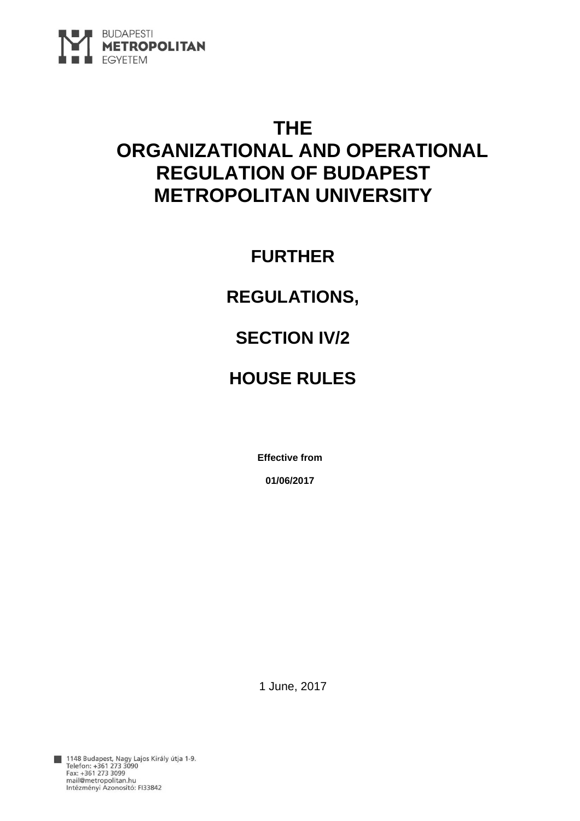

# **THE ORGANIZATIONAL AND OPERATIONAL REGULATION OF BUDAPEST METROPOLITAN UNIVERSITY**

**FURTHER** 

# **REGULATIONS,**

# **SECTION IV/2**

# **HOUSE RULES**

**Effective from** 

**01/06/2017** 

1 June, 2017

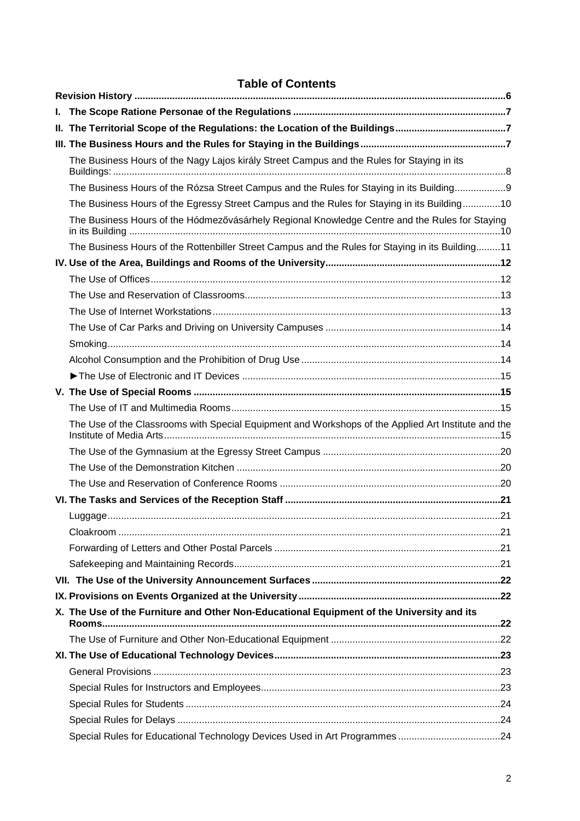# **Table of Contents**

| L. |                                                                                                     |  |
|----|-----------------------------------------------------------------------------------------------------|--|
|    | II. The Territorial Scope of the Regulations: the Location of the Buildings                         |  |
|    |                                                                                                     |  |
|    | The Business Hours of the Nagy Lajos király Street Campus and the Rules for Staying in its          |  |
|    | The Business Hours of the Rózsa Street Campus and the Rules for Staying in its Building9            |  |
|    | The Business Hours of the Egressy Street Campus and the Rules for Staying in its Building10         |  |
|    | The Business Hours of the Hódmezővásárhely Regional Knowledge Centre and the Rules for Staying      |  |
|    | The Business Hours of the Rottenbiller Street Campus and the Rules for Staying in its Building11    |  |
|    |                                                                                                     |  |
|    |                                                                                                     |  |
|    |                                                                                                     |  |
|    |                                                                                                     |  |
|    |                                                                                                     |  |
|    |                                                                                                     |  |
|    |                                                                                                     |  |
|    |                                                                                                     |  |
|    |                                                                                                     |  |
|    |                                                                                                     |  |
|    | The Use of the Classrooms with Special Equipment and Workshops of the Applied Art Institute and the |  |
|    |                                                                                                     |  |
|    |                                                                                                     |  |
|    |                                                                                                     |  |
|    |                                                                                                     |  |
|    |                                                                                                     |  |
|    |                                                                                                     |  |
|    |                                                                                                     |  |
|    |                                                                                                     |  |
|    |                                                                                                     |  |
|    |                                                                                                     |  |
|    | X. The Use of the Furniture and Other Non-Educational Equipment of the University and its           |  |
|    |                                                                                                     |  |
|    |                                                                                                     |  |
|    |                                                                                                     |  |
|    |                                                                                                     |  |
|    |                                                                                                     |  |
|    |                                                                                                     |  |
|    |                                                                                                     |  |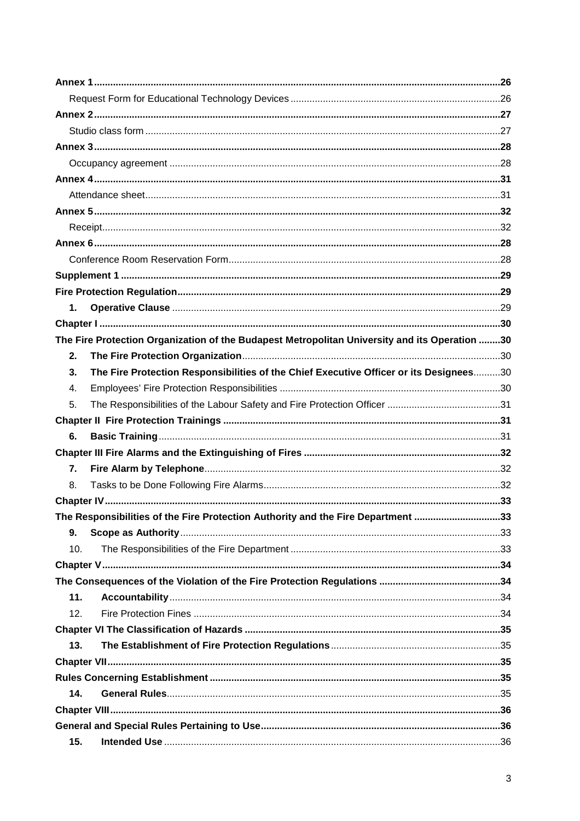| 1.  |                                                                                               |  |
|-----|-----------------------------------------------------------------------------------------------|--|
|     |                                                                                               |  |
|     | The Fire Protection Organization of the Budapest Metropolitan University and its Operation 30 |  |
| 2.  |                                                                                               |  |
| 3.  | The Fire Protection Responsibilities of the Chief Executive Officer or its Designees30        |  |
| 4.  |                                                                                               |  |
| 5.  |                                                                                               |  |
|     |                                                                                               |  |
| 6.  |                                                                                               |  |
|     |                                                                                               |  |
| 7.  |                                                                                               |  |
| 8.  |                                                                                               |  |
|     |                                                                                               |  |
|     | The Responsibilities of the Fire Protection Authority and the Fire Department 33              |  |
| 9.  |                                                                                               |  |
| 10. |                                                                                               |  |
|     |                                                                                               |  |
|     |                                                                                               |  |
| 11. |                                                                                               |  |
| 12. |                                                                                               |  |
|     |                                                                                               |  |
| 13. |                                                                                               |  |
|     |                                                                                               |  |
|     |                                                                                               |  |
| 14. |                                                                                               |  |
|     |                                                                                               |  |
|     |                                                                                               |  |
| 15. |                                                                                               |  |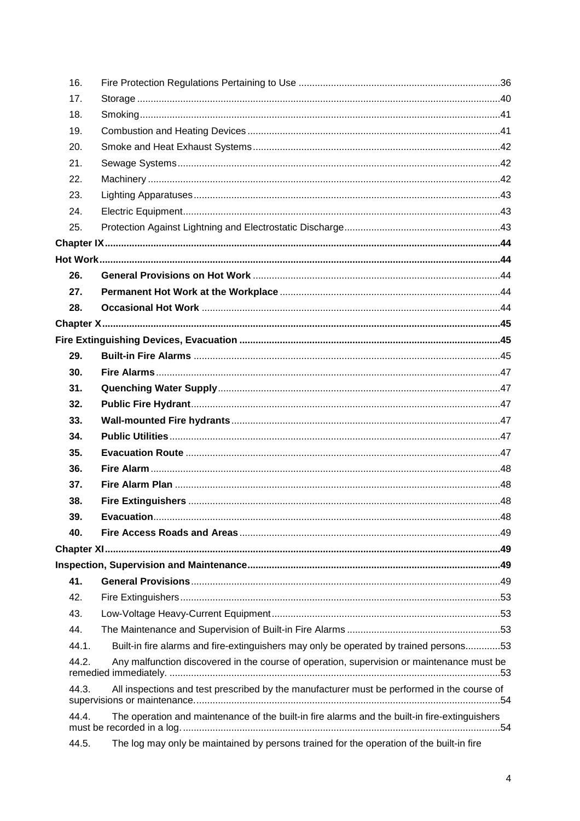| 16. |                                                                                                        |  |
|-----|--------------------------------------------------------------------------------------------------------|--|
| 17. |                                                                                                        |  |
| 18. |                                                                                                        |  |
| 19. |                                                                                                        |  |
| 20. |                                                                                                        |  |
| 21. |                                                                                                        |  |
| 22. |                                                                                                        |  |
| 23. |                                                                                                        |  |
| 24. |                                                                                                        |  |
| 25. |                                                                                                        |  |
|     |                                                                                                        |  |
|     |                                                                                                        |  |
| 26. |                                                                                                        |  |
| 27. |                                                                                                        |  |
| 28. |                                                                                                        |  |
|     |                                                                                                        |  |
|     |                                                                                                        |  |
| 29. |                                                                                                        |  |
| 30. |                                                                                                        |  |
| 31. |                                                                                                        |  |
| 32. |                                                                                                        |  |
| 33. |                                                                                                        |  |
| 34. |                                                                                                        |  |
| 35. |                                                                                                        |  |
| 36. |                                                                                                        |  |
| 37. |                                                                                                        |  |
| 38. |                                                                                                        |  |
| 39. |                                                                                                        |  |
| 40. |                                                                                                        |  |
|     |                                                                                                        |  |
|     |                                                                                                        |  |
| 41. |                                                                                                        |  |
| 42. |                                                                                                        |  |
| 43. |                                                                                                        |  |
| 44. |                                                                                                        |  |
|     | Built-in fire alarms and fire-extinguishers may only be operated by trained persons53<br>44.1.         |  |
|     | 44.2.<br>Any malfunction discovered in the course of operation, supervision or maintenance must be     |  |
|     | All inspections and test prescribed by the manufacturer must be performed in the course of<br>44.3.    |  |
|     | 44.4.<br>The operation and maintenance of the built-in fire alarms and the built-in fire-extinguishers |  |
|     | The log may only be maintained by persons trained for the operation of the built-in fire<br>44.5.      |  |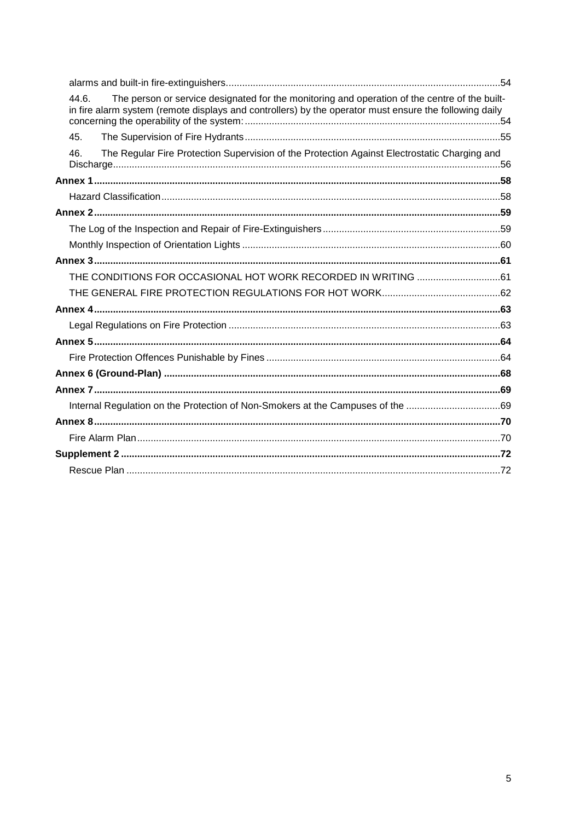| The person or service designated for the monitoring and operation of the centre of the built-<br>44.6.<br>in fire alarm system (remote displays and controllers) by the operator must ensure the following daily |  |
|------------------------------------------------------------------------------------------------------------------------------------------------------------------------------------------------------------------|--|
| 45.                                                                                                                                                                                                              |  |
| The Regular Fire Protection Supervision of the Protection Against Electrostatic Charging and<br>46.                                                                                                              |  |
|                                                                                                                                                                                                                  |  |
|                                                                                                                                                                                                                  |  |
|                                                                                                                                                                                                                  |  |
|                                                                                                                                                                                                                  |  |
|                                                                                                                                                                                                                  |  |
|                                                                                                                                                                                                                  |  |
|                                                                                                                                                                                                                  |  |
|                                                                                                                                                                                                                  |  |
|                                                                                                                                                                                                                  |  |
|                                                                                                                                                                                                                  |  |
|                                                                                                                                                                                                                  |  |
|                                                                                                                                                                                                                  |  |
|                                                                                                                                                                                                                  |  |
|                                                                                                                                                                                                                  |  |
| Internal Regulation on the Protection of Non-Smokers at the Campuses of the 69                                                                                                                                   |  |
|                                                                                                                                                                                                                  |  |
|                                                                                                                                                                                                                  |  |
|                                                                                                                                                                                                                  |  |
|                                                                                                                                                                                                                  |  |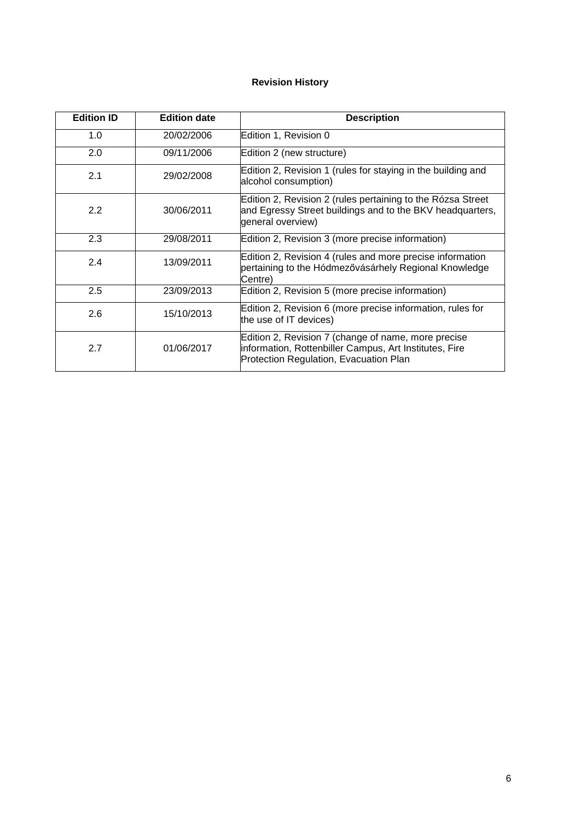# **Revision History**

| <b>Edition ID</b> | <b>Edition date</b> | <b>Description</b>                                                                                                                                      |
|-------------------|---------------------|---------------------------------------------------------------------------------------------------------------------------------------------------------|
| 1.0               | 20/02/2006          | Edition 1, Revision 0                                                                                                                                   |
| 2.0               | 09/11/2006          | Edition 2 (new structure)                                                                                                                               |
| 2.1               | 29/02/2008          | Edition 2, Revision 1 (rules for staying in the building and<br>alcohol consumption)                                                                    |
| 2.2               | 30/06/2011          | Edition 2, Revision 2 (rules pertaining to the Rózsa Street<br>and Egressy Street buildings and to the BKV headquarters,<br>general overview)           |
| 2.3               | 29/08/2011          | Edition 2, Revision 3 (more precise information)                                                                                                        |
| 2.4               | 13/09/2011          | Edition 2, Revision 4 (rules and more precise information<br>pertaining to the Hódmezővásárhely Regional Knowledge<br>Centre)                           |
| 2.5               | 23/09/2013          | Edition 2, Revision 5 (more precise information)                                                                                                        |
| 2.6               | 15/10/2013          | Edition 2, Revision 6 (more precise information, rules for<br>the use of IT devices)                                                                    |
| 2.7               | 01/06/2017          | Edition 2, Revision 7 (change of name, more precise<br>information, Rottenbiller Campus, Art Institutes, Fire<br>Protection Regulation, Evacuation Plan |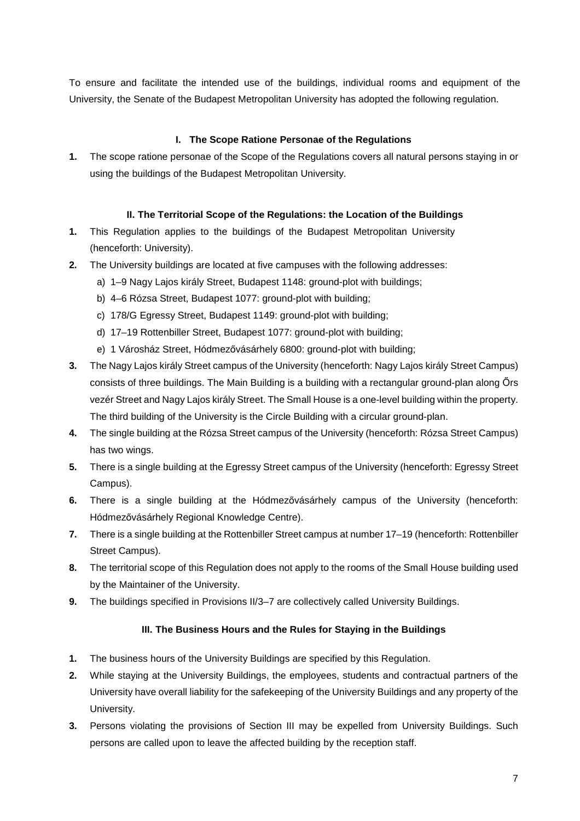To ensure and facilitate the intended use of the buildings, individual rooms and equipment of the University, the Senate of the Budapest Metropolitan University has adopted the following regulation.

# **I. The Scope Ratione Personae of the Regulations**

**1.** The scope ratione personae of the Scope of the Regulations covers all natural persons staying in or using the buildings of the Budapest Metropolitan University.

# **II. The Territorial Scope of the Regulations: the Location of the Buildings**

- **1.** This Regulation applies to the buildings of the Budapest Metropolitan University (henceforth: University).
- **2.** The University buildings are located at five campuses with the following addresses:
	- a) 1–9 Nagy Lajos király Street, Budapest 1148: ground-plot with buildings;
	- b) 4–6 Rózsa Street, Budapest 1077: ground-plot with building;
	- c) 178/G Egressy Street, Budapest 1149: ground-plot with building;
	- d) 17–19 Rottenbiller Street, Budapest 1077: ground-plot with building;
	- e) 1 Városház Street, Hódmezővásárhely 6800: ground-plot with building;
- **3.** The Nagy Lajos király Street campus of the University (henceforth: Nagy Lajos király Street Campus) consists of three buildings. The Main Building is a building with a rectangular ground-plan along Őrs vezér Street and Nagy Lajos király Street. The Small House is a one-level building within the property. The third building of the University is the Circle Building with a circular ground-plan.
- **4.** The single building at the Rózsa Street campus of the University (henceforth: Rózsa Street Campus) has two wings.
- **5.** There is a single building at the Egressy Street campus of the University (henceforth: Egressy Street Campus).
- **6.** There is a single building at the Hódmezővásárhely campus of the University (henceforth: Hódmezővásárhely Regional Knowledge Centre).
- **7.** There is a single building at the Rottenbiller Street campus at number 17–19 (henceforth: Rottenbiller Street Campus).
- **8.** The territorial scope of this Regulation does not apply to the rooms of the Small House building used by the Maintainer of the University.
- **9.** The buildings specified in Provisions II/3–7 are collectively called University Buildings.

#### **III. The Business Hours and the Rules for Staying in the Buildings**

- **1.** The business hours of the University Buildings are specified by this Regulation.
- **2.** While staying at the University Buildings, the employees, students and contractual partners of the University have overall liability for the safekeeping of the University Buildings and any property of the University.
- **3.** Persons violating the provisions of Section III may be expelled from University Buildings. Such persons are called upon to leave the affected building by the reception staff.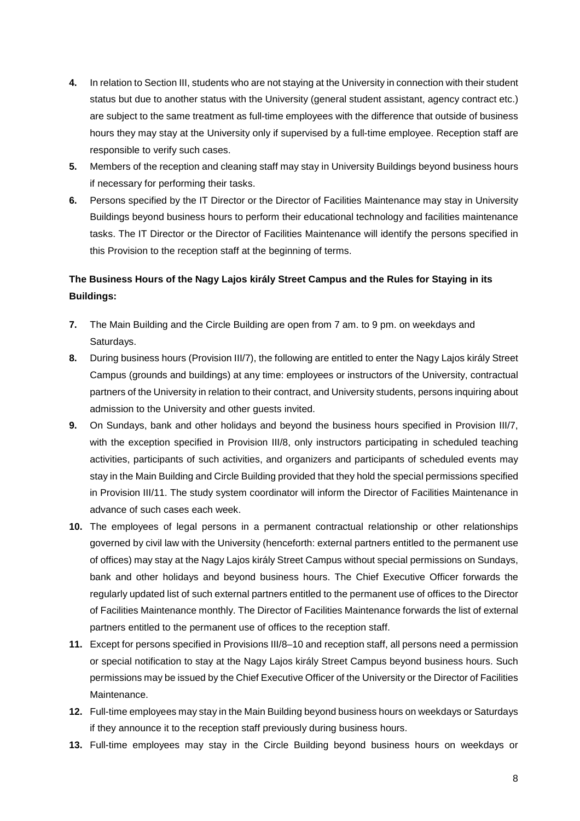- **4.** In relation to Section III, students who are not staying at the University in connection with their student status but due to another status with the University (general student assistant, agency contract etc.) are subject to the same treatment as full-time employees with the difference that outside of business hours they may stay at the University only if supervised by a full-time employee. Reception staff are responsible to verify such cases.
- **5.** Members of the reception and cleaning staff may stay in University Buildings beyond business hours if necessary for performing their tasks.
- **6.** Persons specified by the IT Director or the Director of Facilities Maintenance may stay in University Buildings beyond business hours to perform their educational technology and facilities maintenance tasks. The IT Director or the Director of Facilities Maintenance will identify the persons specified in this Provision to the reception staff at the beginning of terms.

# **The Business Hours of the Nagy Lajos király Street Campus and the Rules for Staying in its Buildings:**

- **7.** The Main Building and the Circle Building are open from 7 am. to 9 pm. on weekdays and Saturdays.
- **8.** During business hours (Provision III/7), the following are entitled to enter the Nagy Lajos király Street Campus (grounds and buildings) at any time: employees or instructors of the University, contractual partners of the University in relation to their contract, and University students, persons inquiring about admission to the University and other guests invited.
- **9.** On Sundays, bank and other holidays and beyond the business hours specified in Provision III/7, with the exception specified in Provision III/8, only instructors participating in scheduled teaching activities, participants of such activities, and organizers and participants of scheduled events may stay in the Main Building and Circle Building provided that they hold the special permissions specified in Provision III/11. The study system coordinator will inform the Director of Facilities Maintenance in advance of such cases each week.
- **10.** The employees of legal persons in a permanent contractual relationship or other relationships governed by civil law with the University (henceforth: external partners entitled to the permanent use of offices) may stay at the Nagy Lajos király Street Campus without special permissions on Sundays, bank and other holidays and beyond business hours. The Chief Executive Officer forwards the regularly updated list of such external partners entitled to the permanent use of offices to the Director of Facilities Maintenance monthly. The Director of Facilities Maintenance forwards the list of external partners entitled to the permanent use of offices to the reception staff.
- **11.** Except for persons specified in Provisions III/8–10 and reception staff, all persons need a permission or special notification to stay at the Nagy Lajos király Street Campus beyond business hours. Such permissions may be issued by the Chief Executive Officer of the University or the Director of Facilities Maintenance.
- **12.** Full-time employees may stay in the Main Building beyond business hours on weekdays or Saturdays if they announce it to the reception staff previously during business hours.
- **13.** Full-time employees may stay in the Circle Building beyond business hours on weekdays or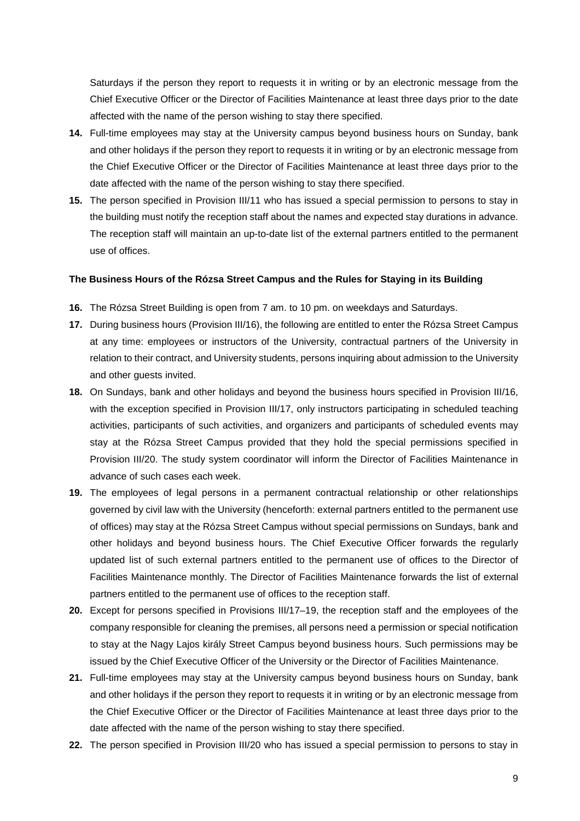Saturdays if the person they report to requests it in writing or by an electronic message from the Chief Executive Officer or the Director of Facilities Maintenance at least three days prior to the date affected with the name of the person wishing to stay there specified.

- **14.** Full-time employees may stay at the University campus beyond business hours on Sunday, bank and other holidays if the person they report to requests it in writing or by an electronic message from the Chief Executive Officer or the Director of Facilities Maintenance at least three days prior to the date affected with the name of the person wishing to stay there specified.
- **15.** The person specified in Provision III/11 who has issued a special permission to persons to stay in the building must notify the reception staff about the names and expected stay durations in advance. The reception staff will maintain an up-to-date list of the external partners entitled to the permanent use of offices.

#### **The Business Hours of the Rózsa Street Campus and the Rules for Staying in its Building**

- **16.** The Rózsa Street Building is open from 7 am. to 10 pm. on weekdays and Saturdays.
- **17.** During business hours (Provision III/16), the following are entitled to enter the Rózsa Street Campus at any time: employees or instructors of the University, contractual partners of the University in relation to their contract, and University students, persons inquiring about admission to the University and other guests invited.
- **18.** On Sundays, bank and other holidays and beyond the business hours specified in Provision III/16, with the exception specified in Provision III/17, only instructors participating in scheduled teaching activities, participants of such activities, and organizers and participants of scheduled events may stay at the Rózsa Street Campus provided that they hold the special permissions specified in Provision III/20. The study system coordinator will inform the Director of Facilities Maintenance in advance of such cases each week.
- **19.** The employees of legal persons in a permanent contractual relationship or other relationships governed by civil law with the University (henceforth: external partners entitled to the permanent use of offices) may stay at the Rózsa Street Campus without special permissions on Sundays, bank and other holidays and beyond business hours. The Chief Executive Officer forwards the regularly updated list of such external partners entitled to the permanent use of offices to the Director of Facilities Maintenance monthly. The Director of Facilities Maintenance forwards the list of external partners entitled to the permanent use of offices to the reception staff.
- **20.** Except for persons specified in Provisions III/17–19, the reception staff and the employees of the company responsible for cleaning the premises, all persons need a permission or special notification to stay at the Nagy Lajos király Street Campus beyond business hours. Such permissions may be issued by the Chief Executive Officer of the University or the Director of Facilities Maintenance.
- **21.** Full-time employees may stay at the University campus beyond business hours on Sunday, bank and other holidays if the person they report to requests it in writing or by an electronic message from the Chief Executive Officer or the Director of Facilities Maintenance at least three days prior to the date affected with the name of the person wishing to stay there specified.
- **22.** The person specified in Provision III/20 who has issued a special permission to persons to stay in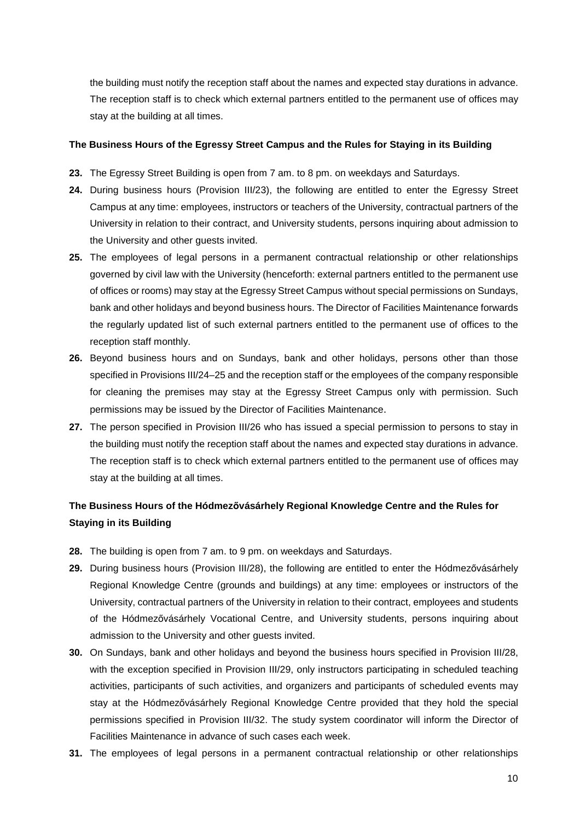the building must notify the reception staff about the names and expected stay durations in advance. The reception staff is to check which external partners entitled to the permanent use of offices may stay at the building at all times.

#### **The Business Hours of the Egressy Street Campus and the Rules for Staying in its Building**

- **23.** The Egressy Street Building is open from 7 am. to 8 pm. on weekdays and Saturdays.
- **24.** During business hours (Provision III/23), the following are entitled to enter the Egressy Street Campus at any time: employees, instructors or teachers of the University, contractual partners of the University in relation to their contract, and University students, persons inquiring about admission to the University and other guests invited.
- **25.** The employees of legal persons in a permanent contractual relationship or other relationships governed by civil law with the University (henceforth: external partners entitled to the permanent use of offices or rooms) may stay at the Egressy Street Campus without special permissions on Sundays, bank and other holidays and beyond business hours. The Director of Facilities Maintenance forwards the regularly updated list of such external partners entitled to the permanent use of offices to the reception staff monthly.
- **26.** Beyond business hours and on Sundays, bank and other holidays, persons other than those specified in Provisions III/24–25 and the reception staff or the employees of the company responsible for cleaning the premises may stay at the Egressy Street Campus only with permission. Such permissions may be issued by the Director of Facilities Maintenance.
- **27.** The person specified in Provision III/26 who has issued a special permission to persons to stay in the building must notify the reception staff about the names and expected stay durations in advance. The reception staff is to check which external partners entitled to the permanent use of offices may stay at the building at all times.

# **The Business Hours of the Hódmezővásárhely Regional Knowledge Centre and the Rules for Staying in its Building**

- **28.** The building is open from 7 am. to 9 pm. on weekdays and Saturdays.
- **29.** During business hours (Provision III/28), the following are entitled to enter the Hódmezővásárhely Regional Knowledge Centre (grounds and buildings) at any time: employees or instructors of the University, contractual partners of the University in relation to their contract, employees and students of the Hódmezővásárhely Vocational Centre, and University students, persons inquiring about admission to the University and other guests invited.
- **30.** On Sundays, bank and other holidays and beyond the business hours specified in Provision III/28, with the exception specified in Provision III/29, only instructors participating in scheduled teaching activities, participants of such activities, and organizers and participants of scheduled events may stay at the Hódmezővásárhely Regional Knowledge Centre provided that they hold the special permissions specified in Provision III/32. The study system coordinator will inform the Director of Facilities Maintenance in advance of such cases each week.
- **31.** The employees of legal persons in a permanent contractual relationship or other relationships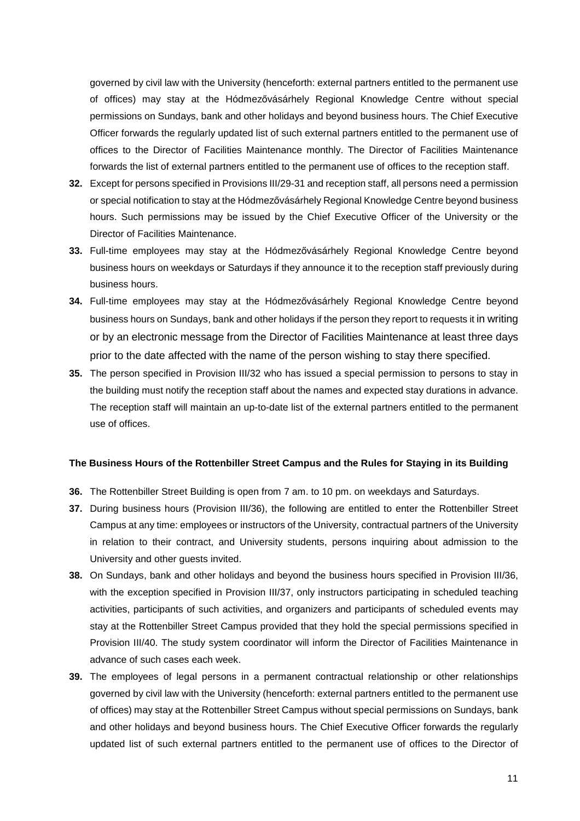governed by civil law with the University (henceforth: external partners entitled to the permanent use of offices) may stay at the Hódmezővásárhely Regional Knowledge Centre without special permissions on Sundays, bank and other holidays and beyond business hours. The Chief Executive Officer forwards the regularly updated list of such external partners entitled to the permanent use of offices to the Director of Facilities Maintenance monthly. The Director of Facilities Maintenance forwards the list of external partners entitled to the permanent use of offices to the reception staff.

- **32.** Except for persons specified in Provisions III/29-31 and reception staff, all persons need a permission or special notification to stay at the Hódmezővásárhely Regional Knowledge Centre beyond business hours. Such permissions may be issued by the Chief Executive Officer of the University or the Director of Facilities Maintenance.
- **33.** Full-time employees may stay at the Hódmezővásárhely Regional Knowledge Centre beyond business hours on weekdays or Saturdays if they announce it to the reception staff previously during business hours.
- **34.** Full-time employees may stay at the Hódmezővásárhely Regional Knowledge Centre beyond business hours on Sundays, bank and other holidays if the person they report to requests it in writing or by an electronic message from the Director of Facilities Maintenance at least three days prior to the date affected with the name of the person wishing to stay there specified.
- **35.** The person specified in Provision III/32 who has issued a special permission to persons to stay in the building must notify the reception staff about the names and expected stay durations in advance. The reception staff will maintain an up-to-date list of the external partners entitled to the permanent use of offices.

#### **The Business Hours of the Rottenbiller Street Campus and the Rules for Staying in its Building**

- **36.** The Rottenbiller Street Building is open from 7 am. to 10 pm. on weekdays and Saturdays.
- **37.** During business hours (Provision III/36), the following are entitled to enter the Rottenbiller Street Campus at any time: employees or instructors of the University, contractual partners of the University in relation to their contract, and University students, persons inquiring about admission to the University and other guests invited.
- **38.** On Sundays, bank and other holidays and beyond the business hours specified in Provision III/36, with the exception specified in Provision III/37, only instructors participating in scheduled teaching activities, participants of such activities, and organizers and participants of scheduled events may stay at the Rottenbiller Street Campus provided that they hold the special permissions specified in Provision III/40. The study system coordinator will inform the Director of Facilities Maintenance in advance of such cases each week.
- **39.** The employees of legal persons in a permanent contractual relationship or other relationships governed by civil law with the University (henceforth: external partners entitled to the permanent use of offices) may stay at the Rottenbiller Street Campus without special permissions on Sundays, bank and other holidays and beyond business hours. The Chief Executive Officer forwards the regularly updated list of such external partners entitled to the permanent use of offices to the Director of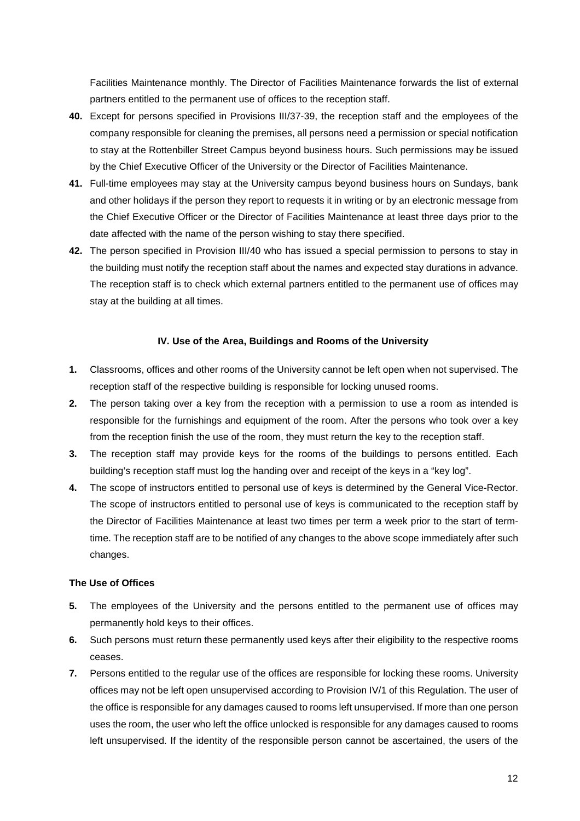Facilities Maintenance monthly. The Director of Facilities Maintenance forwards the list of external partners entitled to the permanent use of offices to the reception staff.

- **40.** Except for persons specified in Provisions III/37-39, the reception staff and the employees of the company responsible for cleaning the premises, all persons need a permission or special notification to stay at the Rottenbiller Street Campus beyond business hours. Such permissions may be issued by the Chief Executive Officer of the University or the Director of Facilities Maintenance.
- **41.** Full-time employees may stay at the University campus beyond business hours on Sundays, bank and other holidays if the person they report to requests it in writing or by an electronic message from the Chief Executive Officer or the Director of Facilities Maintenance at least three days prior to the date affected with the name of the person wishing to stay there specified.
- **42.** The person specified in Provision III/40 who has issued a special permission to persons to stay in the building must notify the reception staff about the names and expected stay durations in advance. The reception staff is to check which external partners entitled to the permanent use of offices may stay at the building at all times.

#### **IV. Use of the Area, Buildings and Rooms of the University**

- **1.** Classrooms, offices and other rooms of the University cannot be left open when not supervised. The reception staff of the respective building is responsible for locking unused rooms.
- **2.** The person taking over a key from the reception with a permission to use a room as intended is responsible for the furnishings and equipment of the room. After the persons who took over a key from the reception finish the use of the room, they must return the key to the reception staff.
- **3.** The reception staff may provide keys for the rooms of the buildings to persons entitled. Each building's reception staff must log the handing over and receipt of the keys in a "key log".
- **4.** The scope of instructors entitled to personal use of keys is determined by the General Vice-Rector. The scope of instructors entitled to personal use of keys is communicated to the reception staff by the Director of Facilities Maintenance at least two times per term a week prior to the start of termtime. The reception staff are to be notified of any changes to the above scope immediately after such changes.

#### **The Use of Offices**

- **5.** The employees of the University and the persons entitled to the permanent use of offices may permanently hold keys to their offices.
- **6.** Such persons must return these permanently used keys after their eligibility to the respective rooms ceases.
- **7.** Persons entitled to the regular use of the offices are responsible for locking these rooms. University offices may not be left open unsupervised according to Provision IV/1 of this Regulation. The user of the office is responsible for any damages caused to rooms left unsupervised. If more than one person uses the room, the user who left the office unlocked is responsible for any damages caused to rooms left unsupervised. If the identity of the responsible person cannot be ascertained, the users of the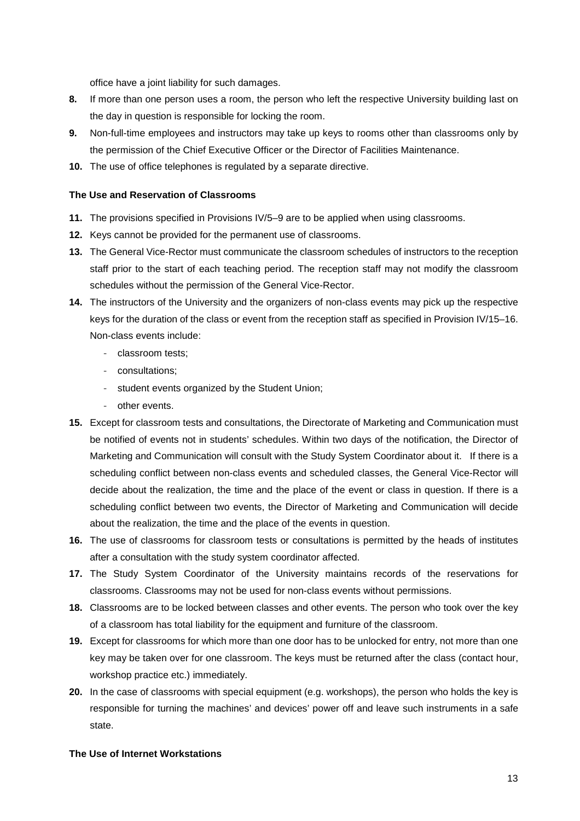office have a joint liability for such damages.

- **8.** If more than one person uses a room, the person who left the respective University building last on the day in question is responsible for locking the room.
- **9.** Non-full-time employees and instructors may take up keys to rooms other than classrooms only by the permission of the Chief Executive Officer or the Director of Facilities Maintenance.
- **10.** The use of office telephones is regulated by a separate directive.

#### **The Use and Reservation of Classrooms**

- **11.** The provisions specified in Provisions IV/5–9 are to be applied when using classrooms.
- **12.** Keys cannot be provided for the permanent use of classrooms.
- **13.** The General Vice-Rector must communicate the classroom schedules of instructors to the reception staff prior to the start of each teaching period. The reception staff may not modify the classroom schedules without the permission of the General Vice-Rector.
- **14.** The instructors of the University and the organizers of non-class events may pick up the respective keys for the duration of the class or event from the reception staff as specified in Provision IV/15–16. Non-class events include:
	- classroom tests;
	- consultations;
	- student events organized by the Student Union;
	- other events.
- **15.** Except for classroom tests and consultations, the Directorate of Marketing and Communication must be notified of events not in students' schedules. Within two days of the notification, the Director of Marketing and Communication will consult with the Study System Coordinator about it. If there is a scheduling conflict between non-class events and scheduled classes, the General Vice-Rector will decide about the realization, the time and the place of the event or class in question. If there is a scheduling conflict between two events, the Director of Marketing and Communication will decide about the realization, the time and the place of the events in question.
- **16.** The use of classrooms for classroom tests or consultations is permitted by the heads of institutes after a consultation with the study system coordinator affected.
- **17.** The Study System Coordinator of the University maintains records of the reservations for classrooms. Classrooms may not be used for non-class events without permissions.
- **18.** Classrooms are to be locked between classes and other events. The person who took over the key of a classroom has total liability for the equipment and furniture of the classroom.
- **19.** Except for classrooms for which more than one door has to be unlocked for entry, not more than one key may be taken over for one classroom. The keys must be returned after the class (contact hour, workshop practice etc.) immediately.
- **20.** In the case of classrooms with special equipment (e.g. workshops), the person who holds the key is responsible for turning the machines' and devices' power off and leave such instruments in a safe state.

#### **The Use of Internet Workstations**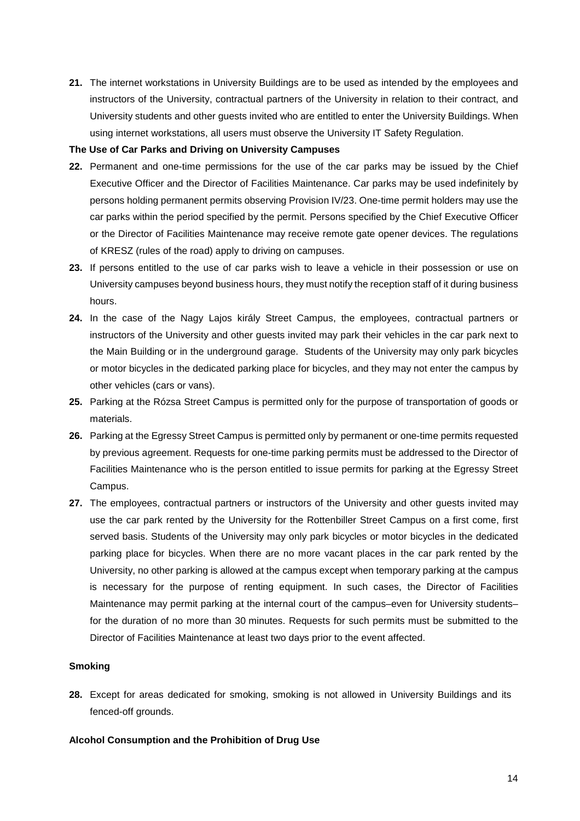**21.** The internet workstations in University Buildings are to be used as intended by the employees and instructors of the University, contractual partners of the University in relation to their contract, and University students and other guests invited who are entitled to enter the University Buildings. When using internet workstations, all users must observe the University IT Safety Regulation.

#### **The Use of Car Parks and Driving on University Campuses**

- **22.** Permanent and one-time permissions for the use of the car parks may be issued by the Chief Executive Officer and the Director of Facilities Maintenance. Car parks may be used indefinitely by persons holding permanent permits observing Provision IV/23. One-time permit holders may use the car parks within the period specified by the permit. Persons specified by the Chief Executive Officer or the Director of Facilities Maintenance may receive remote gate opener devices. The regulations of KRESZ (rules of the road) apply to driving on campuses.
- **23.** If persons entitled to the use of car parks wish to leave a vehicle in their possession or use on University campuses beyond business hours, they must notify the reception staff of it during business hours.
- **24.** In the case of the Nagy Lajos király Street Campus, the employees, contractual partners or instructors of the University and other guests invited may park their vehicles in the car park next to the Main Building or in the underground garage. Students of the University may only park bicycles or motor bicycles in the dedicated parking place for bicycles, and they may not enter the campus by other vehicles (cars or vans).
- **25.** Parking at the Rózsa Street Campus is permitted only for the purpose of transportation of goods or materials.
- **26.** Parking at the Egressy Street Campus is permitted only by permanent or one-time permits requested by previous agreement. Requests for one-time parking permits must be addressed to the Director of Facilities Maintenance who is the person entitled to issue permits for parking at the Egressy Street Campus.
- **27.** The employees, contractual partners or instructors of the University and other guests invited may use the car park rented by the University for the Rottenbiller Street Campus on a first come, first served basis. Students of the University may only park bicycles or motor bicycles in the dedicated parking place for bicycles. When there are no more vacant places in the car park rented by the University, no other parking is allowed at the campus except when temporary parking at the campus is necessary for the purpose of renting equipment. In such cases, the Director of Facilities Maintenance may permit parking at the internal court of the campus–even for University students– for the duration of no more than 30 minutes. Requests for such permits must be submitted to the Director of Facilities Maintenance at least two days prior to the event affected.

### **Smoking**

**28.** Except for areas dedicated for smoking, smoking is not allowed in University Buildings and its fenced-off grounds.

#### **Alcohol Consumption and the Prohibition of Drug Use**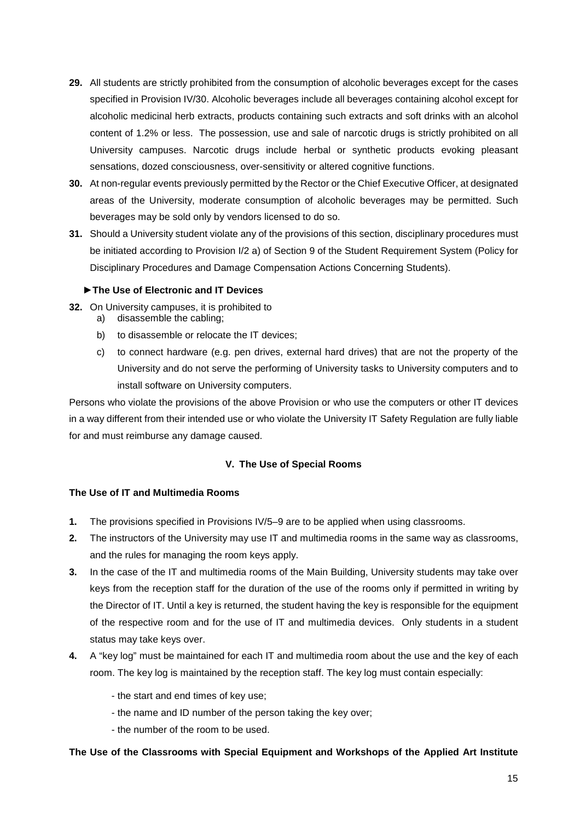- **29.** All students are strictly prohibited from the consumption of alcoholic beverages except for the cases specified in Provision IV/30. Alcoholic beverages include all beverages containing alcohol except for alcoholic medicinal herb extracts, products containing such extracts and soft drinks with an alcohol content of 1.2% or less. The possession, use and sale of narcotic drugs is strictly prohibited on all University campuses. Narcotic drugs include herbal or synthetic products evoking pleasant sensations, dozed consciousness, over-sensitivity or altered cognitive functions.
- **30.** At non-regular events previously permitted by the Rector or the Chief Executive Officer, at designated areas of the University, moderate consumption of alcoholic beverages may be permitted. Such beverages may be sold only by vendors licensed to do so.
- **31.** Should a University student violate any of the provisions of this section, disciplinary procedures must be initiated according to Provision I/2 a) of Section 9 of the Student Requirement System (Policy for Disciplinary Procedures and Damage Compensation Actions Concerning Students).

#### **►The Use of Electronic and IT Devices**

- **32.** On University campuses, it is prohibited to
	- a) disassemble the cabling;
		- b) to disassemble or relocate the IT devices;
		- c) to connect hardware (e.g. pen drives, external hard drives) that are not the property of the University and do not serve the performing of University tasks to University computers and to install software on University computers.

Persons who violate the provisions of the above Provision or who use the computers or other IT devices in a way different from their intended use or who violate the University IT Safety Regulation are fully liable for and must reimburse any damage caused.

## **V. The Use of Special Rooms**

#### **The Use of IT and Multimedia Rooms**

- **1.** The provisions specified in Provisions IV/5–9 are to be applied when using classrooms.
- **2.** The instructors of the University may use IT and multimedia rooms in the same way as classrooms, and the rules for managing the room keys apply.
- **3.** In the case of the IT and multimedia rooms of the Main Building, University students may take over keys from the reception staff for the duration of the use of the rooms only if permitted in writing by the Director of IT. Until a key is returned, the student having the key is responsible for the equipment of the respective room and for the use of IT and multimedia devices. Only students in a student status may take keys over.
- **4.** A "key log" must be maintained for each IT and multimedia room about the use and the key of each room. The key log is maintained by the reception staff. The key log must contain especially:
	- the start and end times of key use;
	- the name and ID number of the person taking the key over;
	- the number of the room to be used.

#### **The Use of the Classrooms with Special Equipment and Workshops of the Applied Art Institute**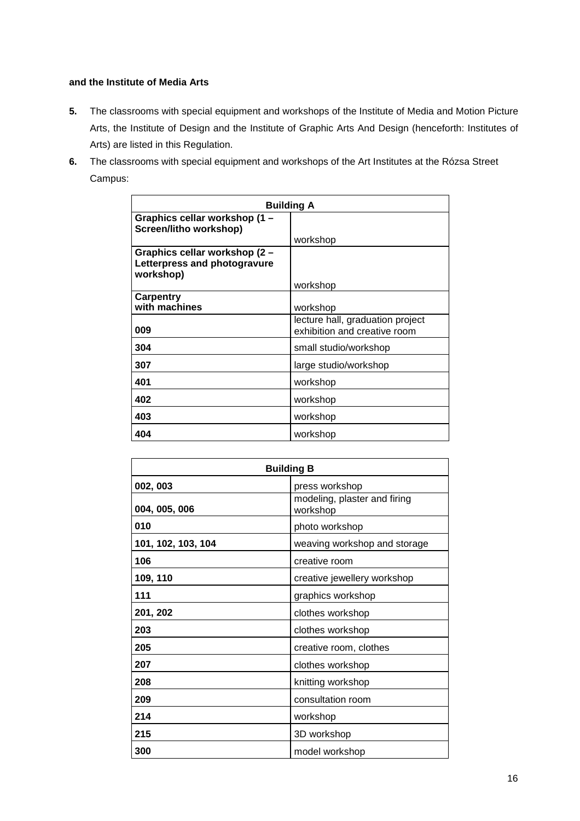# **and the Institute of Media Arts**

- **5.** The classrooms with special equipment and workshops of the Institute of Media and Motion Picture Arts, the Institute of Design and the Institute of Graphic Arts And Design (henceforth: Institutes of Arts) are listed in this Regulation.
- **6.** The classrooms with special equipment and workshops of the Art Institutes at the Rózsa Street Campus:

| <b>Building A</b>                                       |                                  |  |  |  |  |  |
|---------------------------------------------------------|----------------------------------|--|--|--|--|--|
| Graphics cellar workshop (1 -<br>Screen/litho workshop) |                                  |  |  |  |  |  |
|                                                         | workshop                         |  |  |  |  |  |
| Graphics cellar workshop (2 -                           |                                  |  |  |  |  |  |
| Letterpress and photogravure                            |                                  |  |  |  |  |  |
| workshop)                                               |                                  |  |  |  |  |  |
|                                                         | workshop                         |  |  |  |  |  |
| <b>Carpentry</b>                                        |                                  |  |  |  |  |  |
| with machines                                           | workshop                         |  |  |  |  |  |
|                                                         | lecture hall, graduation project |  |  |  |  |  |
| 009                                                     | exhibition and creative room     |  |  |  |  |  |
| 304                                                     | small studio/workshop            |  |  |  |  |  |
| 307                                                     | large studio/workshop            |  |  |  |  |  |
| 401                                                     | workshop                         |  |  |  |  |  |
| 402                                                     | workshop                         |  |  |  |  |  |
| 403                                                     | workshop                         |  |  |  |  |  |
| 404                                                     | workshop                         |  |  |  |  |  |

| <b>Building B</b>  |                                          |  |  |  |  |  |
|--------------------|------------------------------------------|--|--|--|--|--|
| 002, 003           | press workshop                           |  |  |  |  |  |
| 004, 005, 006      | modeling, plaster and firing<br>workshop |  |  |  |  |  |
| 010                | photo workshop                           |  |  |  |  |  |
| 101, 102, 103, 104 | weaving workshop and storage             |  |  |  |  |  |
| 106                | creative room                            |  |  |  |  |  |
| 109, 110           | creative jewellery workshop              |  |  |  |  |  |
| 111                | graphics workshop                        |  |  |  |  |  |
| 201, 202           | clothes workshop                         |  |  |  |  |  |
| 203                | clothes workshop                         |  |  |  |  |  |
| 205                | creative room, clothes                   |  |  |  |  |  |
| 207                | clothes workshop                         |  |  |  |  |  |
| 208                | knitting workshop                        |  |  |  |  |  |
| 209                | consultation room                        |  |  |  |  |  |
| 214                | workshop                                 |  |  |  |  |  |
| 215                | 3D workshop                              |  |  |  |  |  |
| 300                | model workshop                           |  |  |  |  |  |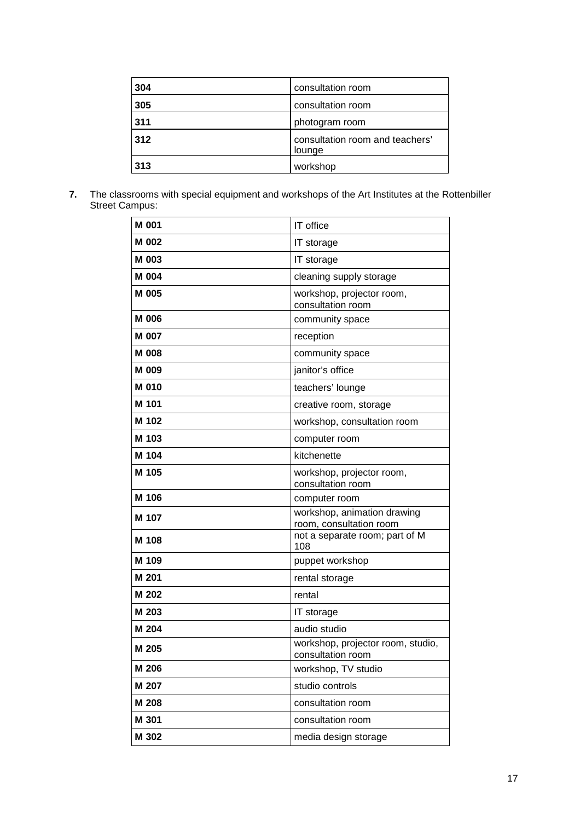| 304 | consultation room                         |
|-----|-------------------------------------------|
| 305 | consultation room                         |
| 311 | photogram room                            |
| 312 | consultation room and teachers'<br>lounge |
| 313 | workshop                                  |

**7.** The classrooms with special equipment and workshops of the Art Institutes at the Rottenbiller Street Campus:

| M 001        | IT office                                              |
|--------------|--------------------------------------------------------|
| M 002        | IT storage                                             |
| M 003        | IT storage                                             |
| M 004        | cleaning supply storage                                |
| M 005        | workshop, projector room,<br>consultation room         |
| M 006        | community space                                        |
| <b>M 007</b> | reception                                              |
| <b>M008</b>  | community space                                        |
| M 009        | janitor's office                                       |
| <b>M010</b>  | teachers' lounge                                       |
| M 101        | creative room, storage                                 |
| M 102        | workshop, consultation room                            |
| M 103        | computer room                                          |
| M 104        | kitchenette                                            |
| M 105        | workshop, projector room,<br>consultation room         |
| M 106        | computer room                                          |
| M 107        | workshop, animation drawing<br>room, consultation room |
| M 108        | not a separate room; part of M<br>108                  |
| M 109        | puppet workshop                                        |
| M 201        | rental storage                                         |
| M 202        | rental                                                 |
| M 203        | IT storage                                             |
| M 204        | audio studio                                           |
| M 205        | workshop, projector room, studio,<br>consultation room |
| M 206        | workshop, TV studio                                    |
| M 207        | studio controls                                        |
| M 208        | consultation room                                      |
| M 301        | consultation room                                      |
| M 302        | media design storage                                   |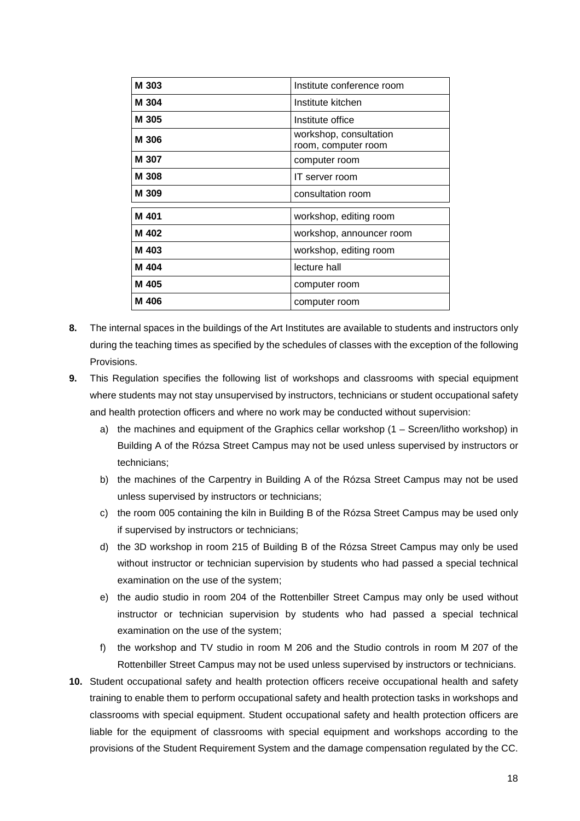| M 303 | Institute conference room                     |
|-------|-----------------------------------------------|
| M 304 | Institute kitchen                             |
| M 305 | Institute office                              |
| M 306 | workshop, consultation<br>room, computer room |
| M 307 | computer room                                 |
| M 308 | IT server room                                |
| M 309 | consultation room                             |
| M 401 | workshop, editing room                        |
| M 402 | workshop, announcer room                      |
| M 403 | workshop, editing room                        |
| M 404 | lecture hall                                  |
| M 405 | computer room                                 |
| M 406 | computer room                                 |

- **8.** The internal spaces in the buildings of the Art Institutes are available to students and instructors only during the teaching times as specified by the schedules of classes with the exception of the following Provisions.
- **9.** This Regulation specifies the following list of workshops and classrooms with special equipment where students may not stay unsupervised by instructors, technicians or student occupational safety and health protection officers and where no work may be conducted without supervision:
	- a) the machines and equipment of the Graphics cellar workshop (1 Screen/litho workshop) in Building A of the Rózsa Street Campus may not be used unless supervised by instructors or technicians;
	- b) the machines of the Carpentry in Building A of the Rózsa Street Campus may not be used unless supervised by instructors or technicians;
	- c) the room 005 containing the kiln in Building B of the Rózsa Street Campus may be used only if supervised by instructors or technicians;
	- d) the 3D workshop in room 215 of Building B of the Rózsa Street Campus may only be used without instructor or technician supervision by students who had passed a special technical examination on the use of the system;
	- e) the audio studio in room 204 of the Rottenbiller Street Campus may only be used without instructor or technician supervision by students who had passed a special technical examination on the use of the system;
	- f) the workshop and TV studio in room M 206 and the Studio controls in room M 207 of the Rottenbiller Street Campus may not be used unless supervised by instructors or technicians.
- **10.** Student occupational safety and health protection officers receive occupational health and safety training to enable them to perform occupational safety and health protection tasks in workshops and classrooms with special equipment. Student occupational safety and health protection officers are liable for the equipment of classrooms with special equipment and workshops according to the provisions of the Student Requirement System and the damage compensation regulated by the CC.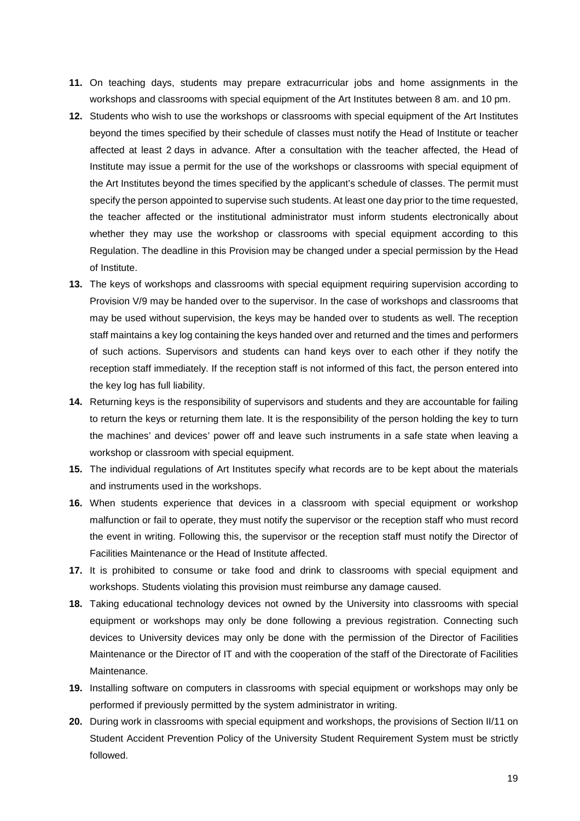- **11.** On teaching days, students may prepare extracurricular jobs and home assignments in the workshops and classrooms with special equipment of the Art Institutes between 8 am. and 10 pm.
- **12.** Students who wish to use the workshops or classrooms with special equipment of the Art Institutes beyond the times specified by their schedule of classes must notify the Head of Institute or teacher affected at least 2 days in advance. After a consultation with the teacher affected, the Head of Institute may issue a permit for the use of the workshops or classrooms with special equipment of the Art Institutes beyond the times specified by the applicant's schedule of classes. The permit must specify the person appointed to supervise such students. At least one day prior to the time requested, the teacher affected or the institutional administrator must inform students electronically about whether they may use the workshop or classrooms with special equipment according to this Regulation. The deadline in this Provision may be changed under a special permission by the Head of Institute.
- **13.** The keys of workshops and classrooms with special equipment requiring supervision according to Provision V/9 may be handed over to the supervisor. In the case of workshops and classrooms that may be used without supervision, the keys may be handed over to students as well. The reception staff maintains a key log containing the keys handed over and returned and the times and performers of such actions. Supervisors and students can hand keys over to each other if they notify the reception staff immediately. If the reception staff is not informed of this fact, the person entered into the key log has full liability.
- **14.** Returning keys is the responsibility of supervisors and students and they are accountable for failing to return the keys or returning them late. It is the responsibility of the person holding the key to turn the machines' and devices' power off and leave such instruments in a safe state when leaving a workshop or classroom with special equipment.
- **15.** The individual regulations of Art Institutes specify what records are to be kept about the materials and instruments used in the workshops.
- **16.** When students experience that devices in a classroom with special equipment or workshop malfunction or fail to operate, they must notify the supervisor or the reception staff who must record the event in writing. Following this, the supervisor or the reception staff must notify the Director of Facilities Maintenance or the Head of Institute affected.
- **17.** It is prohibited to consume or take food and drink to classrooms with special equipment and workshops. Students violating this provision must reimburse any damage caused.
- **18.** Taking educational technology devices not owned by the University into classrooms with special equipment or workshops may only be done following a previous registration. Connecting such devices to University devices may only be done with the permission of the Director of Facilities Maintenance or the Director of IT and with the cooperation of the staff of the Directorate of Facilities Maintenance.
- **19.** Installing software on computers in classrooms with special equipment or workshops may only be performed if previously permitted by the system administrator in writing.
- **20.** During work in classrooms with special equipment and workshops, the provisions of Section II/11 on Student Accident Prevention Policy of the University Student Requirement System must be strictly followed.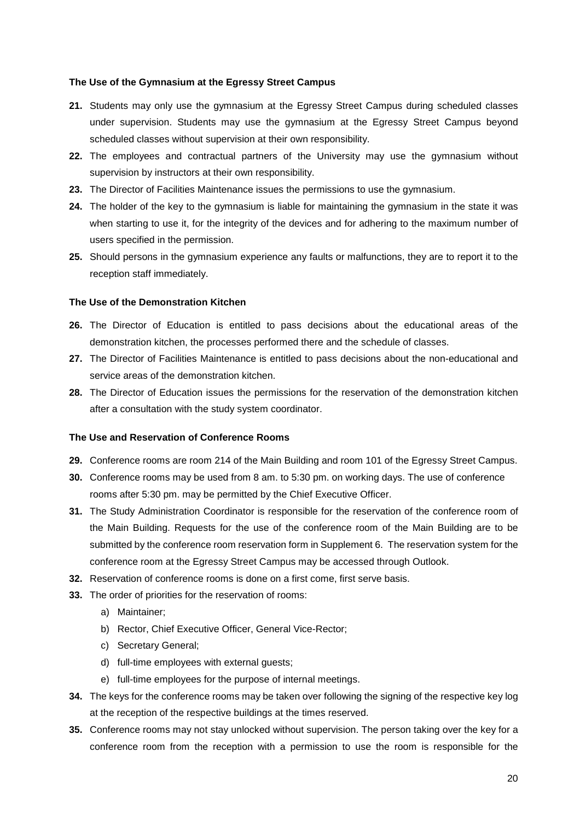#### **The Use of the Gymnasium at the Egressy Street Campus**

- **21.** Students may only use the gymnasium at the Egressy Street Campus during scheduled classes under supervision. Students may use the gymnasium at the Egressy Street Campus beyond scheduled classes without supervision at their own responsibility.
- **22.** The employees and contractual partners of the University may use the gymnasium without supervision by instructors at their own responsibility.
- **23.** The Director of Facilities Maintenance issues the permissions to use the gymnasium.
- **24.** The holder of the key to the gymnasium is liable for maintaining the gymnasium in the state it was when starting to use it, for the integrity of the devices and for adhering to the maximum number of users specified in the permission.
- **25.** Should persons in the gymnasium experience any faults or malfunctions, they are to report it to the reception staff immediately.

#### **The Use of the Demonstration Kitchen**

- **26.** The Director of Education is entitled to pass decisions about the educational areas of the demonstration kitchen, the processes performed there and the schedule of classes.
- **27.** The Director of Facilities Maintenance is entitled to pass decisions about the non-educational and service areas of the demonstration kitchen.
- **28.** The Director of Education issues the permissions for the reservation of the demonstration kitchen after a consultation with the study system coordinator.

#### **The Use and Reservation of Conference Rooms**

- **29.** Conference rooms are room 214 of the Main Building and room 101 of the Egressy Street Campus.
- **30.** Conference rooms may be used from 8 am. to 5:30 pm. on working days. The use of conference rooms after 5:30 pm. may be permitted by the Chief Executive Officer.
- **31.** The Study Administration Coordinator is responsible for the reservation of the conference room of the Main Building. Requests for the use of the conference room of the Main Building are to be submitted by the conference room reservation form in Supplement 6. The reservation system for the conference room at the Egressy Street Campus may be accessed through Outlook.
- **32.** Reservation of conference rooms is done on a first come, first serve basis.
- **33.** The order of priorities for the reservation of rooms:
	- a) Maintainer;
	- b) Rector, Chief Executive Officer, General Vice-Rector;
	- c) Secretary General;
	- d) full-time employees with external guests;
	- e) full-time employees for the purpose of internal meetings.
- **34.** The keys for the conference rooms may be taken over following the signing of the respective key log at the reception of the respective buildings at the times reserved.
- **35.** Conference rooms may not stay unlocked without supervision. The person taking over the key for a conference room from the reception with a permission to use the room is responsible for the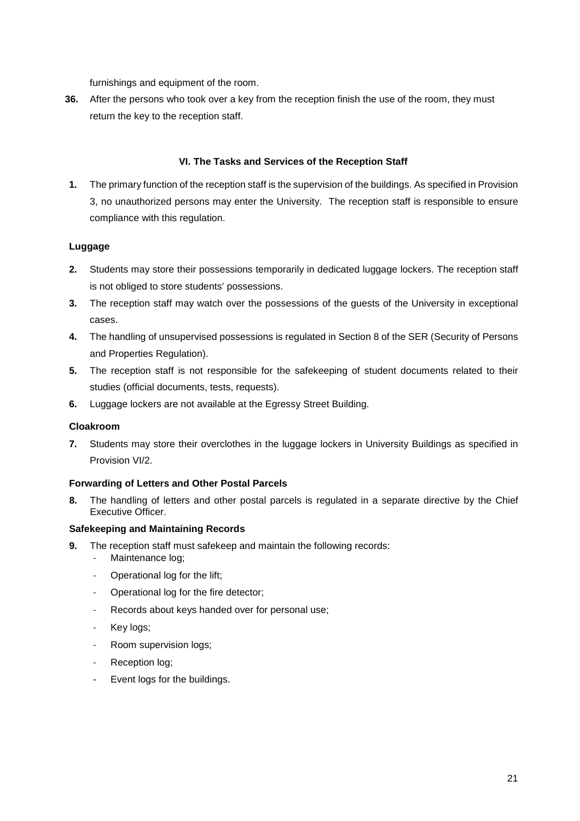furnishings and equipment of the room.

**36.** After the persons who took over a key from the reception finish the use of the room, they must return the key to the reception staff.

## **VI. The Tasks and Services of the Reception Staff**

**1.** The primary function of the reception staff is the supervision of the buildings. As specified in Provision 3, no unauthorized persons may enter the University. The reception staff is responsible to ensure compliance with this regulation.

## **Luggage**

- **2.** Students may store their possessions temporarily in dedicated luggage lockers. The reception staff is not obliged to store students' possessions.
- **3.** The reception staff may watch over the possessions of the guests of the University in exceptional cases.
- **4.** The handling of unsupervised possessions is regulated in Section 8 of the SER (Security of Persons and Properties Regulation).
- **5.** The reception staff is not responsible for the safekeeping of student documents related to their studies (official documents, tests, requests).
- **6.** Luggage lockers are not available at the Egressy Street Building.

#### **Cloakroom**

**7.** Students may store their overclothes in the luggage lockers in University Buildings as specified in Provision VI/2.

#### **Forwarding of Letters and Other Postal Parcels**

**8.** The handling of letters and other postal parcels is regulated in a separate directive by the Chief Executive Officer.

#### **Safekeeping and Maintaining Records**

- **9.** The reception staff must safekeep and maintain the following records:
	- Maintenance log;
	- Operational log for the lift:
	- Operational log for the fire detector;
	- Records about keys handed over for personal use;
	- Key logs;
	- Room supervision logs;
	- Reception log;
	- Event logs for the buildings.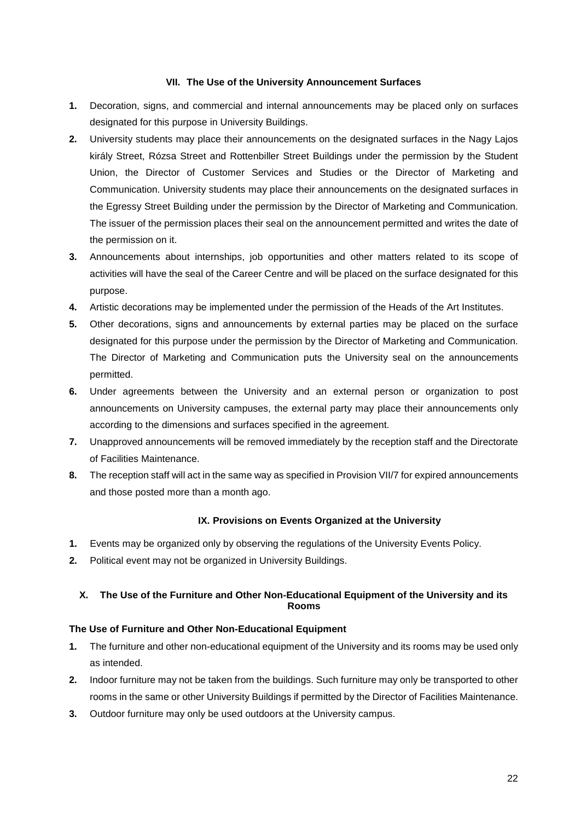#### **VII. The Use of the University Announcement Surfaces**

- **1.** Decoration, signs, and commercial and internal announcements may be placed only on surfaces designated for this purpose in University Buildings.
- **2.** University students may place their announcements on the designated surfaces in the Nagy Lajos király Street, Rózsa Street and Rottenbiller Street Buildings under the permission by the Student Union, the Director of Customer Services and Studies or the Director of Marketing and Communication. University students may place their announcements on the designated surfaces in the Egressy Street Building under the permission by the Director of Marketing and Communication. The issuer of the permission places their seal on the announcement permitted and writes the date of the permission on it.
- **3.** Announcements about internships, job opportunities and other matters related to its scope of activities will have the seal of the Career Centre and will be placed on the surface designated for this purpose.
- **4.** Artistic decorations may be implemented under the permission of the Heads of the Art Institutes.
- **5.** Other decorations, signs and announcements by external parties may be placed on the surface designated for this purpose under the permission by the Director of Marketing and Communication. The Director of Marketing and Communication puts the University seal on the announcements permitted.
- **6.** Under agreements between the University and an external person or organization to post announcements on University campuses, the external party may place their announcements only according to the dimensions and surfaces specified in the agreement.
- **7.** Unapproved announcements will be removed immediately by the reception staff and the Directorate of Facilities Maintenance.
- **8.** The reception staff will act in the same way as specified in Provision VII/7 for expired announcements and those posted more than a month ago.

#### **IX. Provisions on Events Organized at the University**

- **1.** Events may be organized only by observing the regulations of the University Events Policy.
- **2.** Political event may not be organized in University Buildings.

# **X. The Use of the Furniture and Other Non-Educational Equipment of the University and its Rooms**

#### **The Use of Furniture and Other Non-Educational Equipment**

- **1.** The furniture and other non-educational equipment of the University and its rooms may be used only as intended.
- **2.** Indoor furniture may not be taken from the buildings. Such furniture may only be transported to other rooms in the same or other University Buildings if permitted by the Director of Facilities Maintenance.
- **3.** Outdoor furniture may only be used outdoors at the University campus.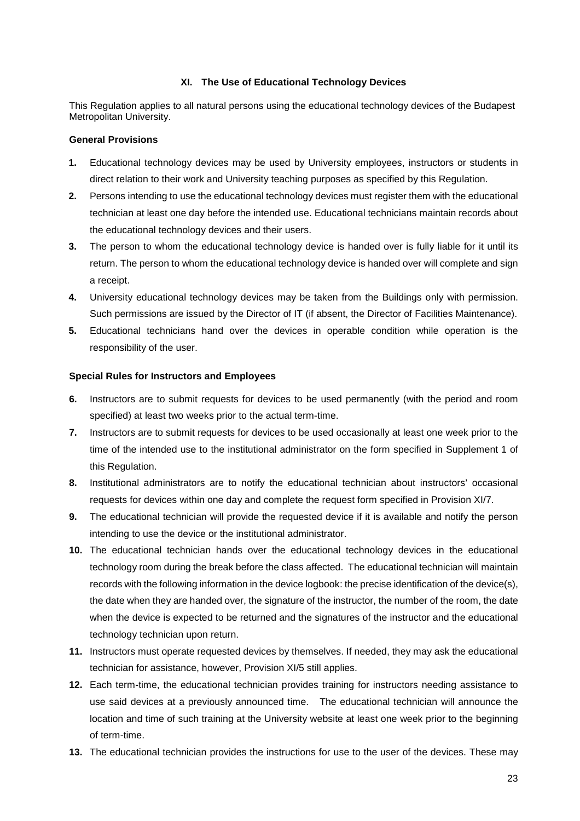#### **XI. The Use of Educational Technology Devices**

This Regulation applies to all natural persons using the educational technology devices of the Budapest Metropolitan University.

#### **General Provisions**

- **1.** Educational technology devices may be used by University employees, instructors or students in direct relation to their work and University teaching purposes as specified by this Regulation.
- **2.** Persons intending to use the educational technology devices must register them with the educational technician at least one day before the intended use. Educational technicians maintain records about the educational technology devices and their users.
- **3.** The person to whom the educational technology device is handed over is fully liable for it until its return. The person to whom the educational technology device is handed over will complete and sign a receipt.
- **4.** University educational technology devices may be taken from the Buildings only with permission. Such permissions are issued by the Director of IT (if absent, the Director of Facilities Maintenance).
- **5.** Educational technicians hand over the devices in operable condition while operation is the responsibility of the user.

#### **Special Rules for Instructors and Employees**

- **6.** Instructors are to submit requests for devices to be used permanently (with the period and room specified) at least two weeks prior to the actual term-time.
- **7.** Instructors are to submit requests for devices to be used occasionally at least one week prior to the time of the intended use to the institutional administrator on the form specified in Supplement 1 of this Regulation.
- **8.** Institutional administrators are to notify the educational technician about instructors' occasional requests for devices within one day and complete the request form specified in Provision XI/7.
- **9.** The educational technician will provide the requested device if it is available and notify the person intending to use the device or the institutional administrator.
- **10.** The educational technician hands over the educational technology devices in the educational technology room during the break before the class affected. The educational technician will maintain records with the following information in the device logbook: the precise identification of the device(s), the date when they are handed over, the signature of the instructor, the number of the room, the date when the device is expected to be returned and the signatures of the instructor and the educational technology technician upon return.
- **11.** Instructors must operate requested devices by themselves. If needed, they may ask the educational technician for assistance, however, Provision XI/5 still applies.
- **12.** Each term-time, the educational technician provides training for instructors needing assistance to use said devices at a previously announced time. The educational technician will announce the location and time of such training at the University website at least one week prior to the beginning of term-time.
- **13.** The educational technician provides the instructions for use to the user of the devices. These may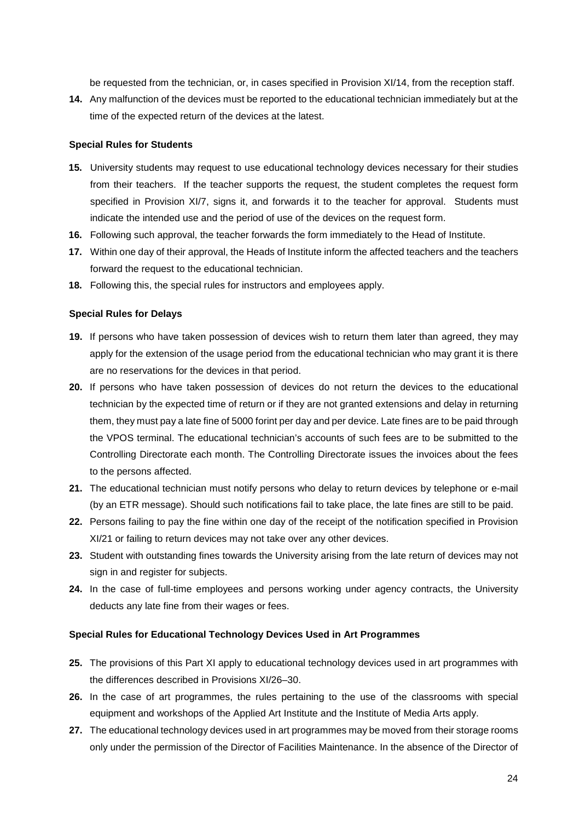be requested from the technician, or, in cases specified in Provision XI/14, from the reception staff.

**14.** Any malfunction of the devices must be reported to the educational technician immediately but at the time of the expected return of the devices at the latest.

#### **Special Rules for Students**

- **15.** University students may request to use educational technology devices necessary for their studies from their teachers. If the teacher supports the request, the student completes the request form specified in Provision XI/7, signs it, and forwards it to the teacher for approval. Students must indicate the intended use and the period of use of the devices on the request form.
- **16.** Following such approval, the teacher forwards the form immediately to the Head of Institute.
- **17.** Within one day of their approval, the Heads of Institute inform the affected teachers and the teachers forward the request to the educational technician.
- **18.** Following this, the special rules for instructors and employees apply.

#### **Special Rules for Delays**

- **19.** If persons who have taken possession of devices wish to return them later than agreed, they may apply for the extension of the usage period from the educational technician who may grant it is there are no reservations for the devices in that period.
- **20.** If persons who have taken possession of devices do not return the devices to the educational technician by the expected time of return or if they are not granted extensions and delay in returning them, they must pay a late fine of 5000 forint per day and per device. Late fines are to be paid through the VPOS terminal. The educational technician's accounts of such fees are to be submitted to the Controlling Directorate each month. The Controlling Directorate issues the invoices about the fees to the persons affected.
- **21.** The educational technician must notify persons who delay to return devices by telephone or e-mail (by an ETR message). Should such notifications fail to take place, the late fines are still to be paid.
- **22.** Persons failing to pay the fine within one day of the receipt of the notification specified in Provision XI/21 or failing to return devices may not take over any other devices.
- **23.** Student with outstanding fines towards the University arising from the late return of devices may not sign in and register for subjects.
- **24.** In the case of full-time employees and persons working under agency contracts, the University deducts any late fine from their wages or fees.

#### **Special Rules for Educational Technology Devices Used in Art Programmes**

- **25.** The provisions of this Part XI apply to educational technology devices used in art programmes with the differences described in Provisions XI/26–30.
- **26.** In the case of art programmes, the rules pertaining to the use of the classrooms with special equipment and workshops of the Applied Art Institute and the Institute of Media Arts apply.
- **27.** The educational technology devices used in art programmes may be moved from their storage rooms only under the permission of the Director of Facilities Maintenance. In the absence of the Director of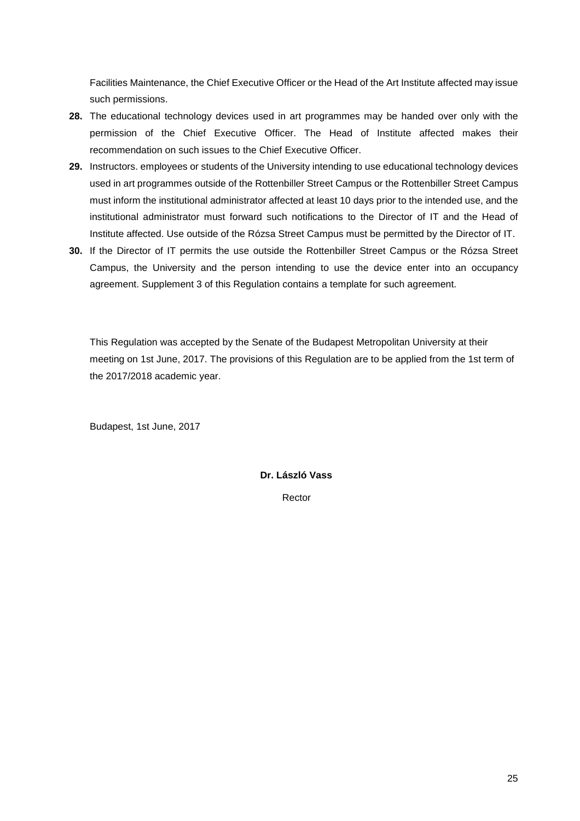Facilities Maintenance, the Chief Executive Officer or the Head of the Art Institute affected may issue such permissions.

- **28.** The educational technology devices used in art programmes may be handed over only with the permission of the Chief Executive Officer. The Head of Institute affected makes their recommendation on such issues to the Chief Executive Officer.
- **29.** Instructors. employees or students of the University intending to use educational technology devices used in art programmes outside of the Rottenbiller Street Campus or the Rottenbiller Street Campus must inform the institutional administrator affected at least 10 days prior to the intended use, and the institutional administrator must forward such notifications to the Director of IT and the Head of Institute affected. Use outside of the Rózsa Street Campus must be permitted by the Director of IT.
- **30.** If the Director of IT permits the use outside the Rottenbiller Street Campus or the Rózsa Street Campus, the University and the person intending to use the device enter into an occupancy agreement. Supplement 3 of this Regulation contains a template for such agreement.

This Regulation was accepted by the Senate of the Budapest Metropolitan University at their meeting on 1st June, 2017. The provisions of this Regulation are to be applied from the 1st term of the 2017/2018 academic year.

Budapest, 1st June, 2017

# **Dr. László Vass**

Rector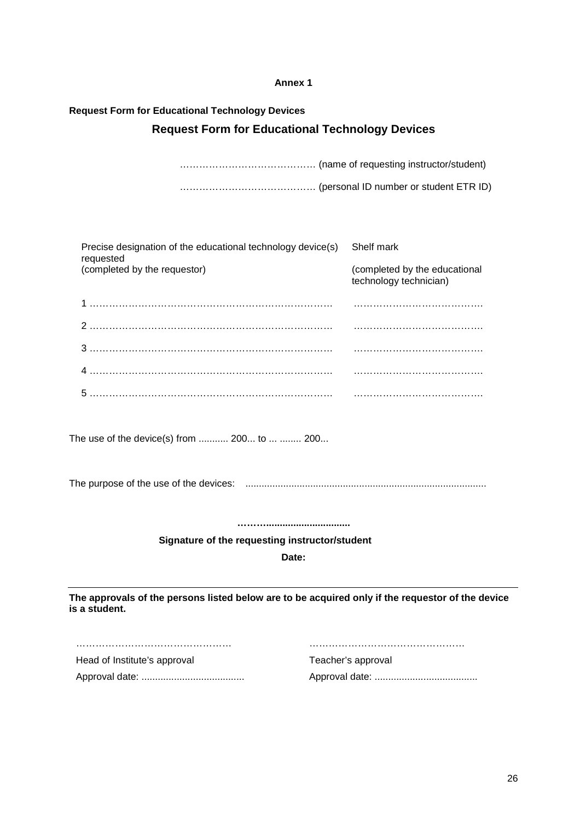# **Request Form for Educational Technology Devices Request Form for Educational Technology Devices**

…………………………………… (name of requesting instructor/student) …………………………………… (personal ID number or student ETR ID)

| Precise designation of the educational technology device(s)<br>requested                                          | Shelf mark                                              |
|-------------------------------------------------------------------------------------------------------------------|---------------------------------------------------------|
| (completed by the requestor)                                                                                      | (completed by the educational<br>technology technician) |
|                                                                                                                   |                                                         |
|                                                                                                                   |                                                         |
|                                                                                                                   |                                                         |
|                                                                                                                   |                                                         |
|                                                                                                                   |                                                         |
| The use of the device(s) from  200 to   200                                                                       |                                                         |
|                                                                                                                   |                                                         |
|                                                                                                                   |                                                         |
| Signature of the requesting instructor/student                                                                    |                                                         |
| Date:                                                                                                             |                                                         |
| The approvals of the persons listed below are to be acquired only if the requestor of the device<br>is a student. |                                                         |

………………………………………… ………………………………………… Head of Institute's approval Teacher's approval

Approval date: ...................................... Approval date: ......................................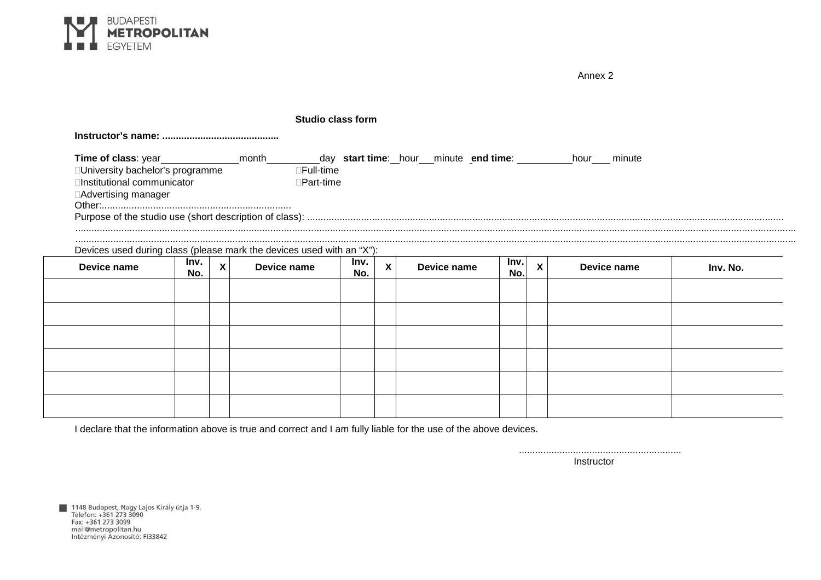

|                                                                                      |             |   |                        | <b>Studio class form</b> |              |             |             |   |             |          |
|--------------------------------------------------------------------------------------|-------------|---|------------------------|--------------------------|--------------|-------------|-------------|---|-------------|----------|
|                                                                                      |             |   |                        |                          |              |             |             |   |             |          |
| University bachelor's programme<br>Institutional communicator<br>Advertising manager |             |   | Full-time<br>Part-time |                          |              |             |             |   |             |          |
|                                                                                      |             |   |                        |                          |              |             |             |   |             |          |
|                                                                                      |             |   |                        |                          |              |             |             |   |             |          |
| Devices used during class (please mark the devices used with an "X"):                |             |   |                        |                          |              |             |             |   |             |          |
| Device name                                                                          | Inv.<br>No. | X | Device name            | Inv.<br>No.              | $\mathsf{X}$ | Device name | Inv.<br>No. | X | Device name | Inv. No. |
|                                                                                      |             |   |                        |                          |              |             |             |   |             |          |
|                                                                                      |             |   |                        |                          |              |             |             |   |             |          |
|                                                                                      |             |   |                        |                          |              |             |             |   |             |          |
|                                                                                      |             |   |                        |                          |              |             |             |   |             |          |
|                                                                                      |             |   |                        |                          |              |             |             |   |             |          |
|                                                                                      |             |   |                        |                          |              |             |             |   |             |          |

I declare that the information above is true and correct and I am fully liable for the use of the above devices.

............................................................ **Instructor** 

Annex 2

■ 1148 Budapest, Nagy Lajos Király útja 1-9.<br>Telefon: +361 273 3090<br>Fax: +361 273 3099 max. +301 273 3033<br>mail@metropolitan.hu<br>Intézményi Azonosító: FI33842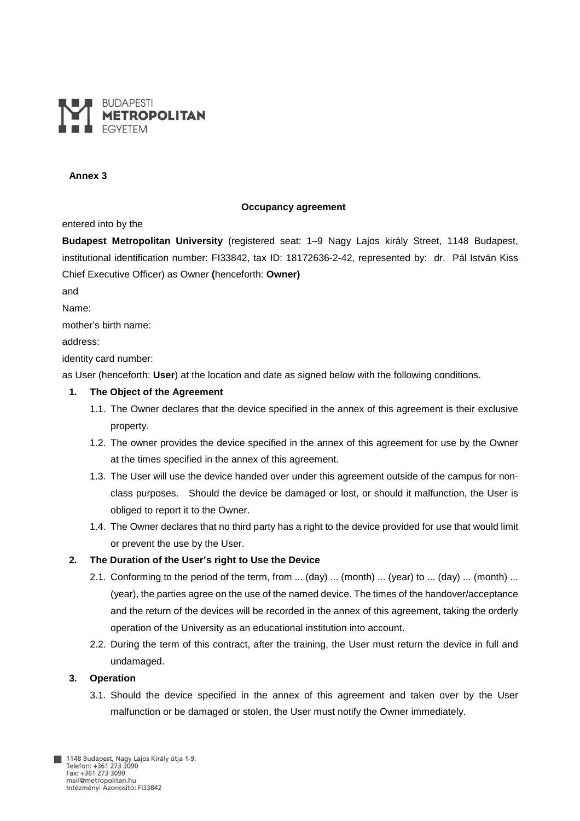

#### **Occupancy agreement**

entered into by the

**Budapest Metropolitan University** (registered seat: 1–9 Nagy Lajos király Street, 1148 Budapest, institutional identification number: FI33842, tax ID: 18172636-2-42, represented by: dr. Pál István Kiss Chief Executive Officer) as Owner **(**henceforth: **Owner)** 

and

Name:

mother's birth name:

address:

identity card number:

as User (henceforth: **User**) at the location and date as signed below with the following conditions.

#### **1. The Object of the Agreement**

- 1.1. The Owner declares that the device specified in the annex of this agreement is their exclusive property.
- 1.2. The owner provides the device specified in the annex of this agreement for use by the Owner at the times specified in the annex of this agreement.
- 1.3. The User will use the device handed over under this agreement outside of the campus for nonclass purposes. Should the device be damaged or lost, or should it malfunction, the User is obliged to report it to the Owner.
- 1.4. The Owner declares that no third party has a right to the device provided for use that would limit or prevent the use by the User.

#### **2. The Duration of the User's right to Use the Device**

- 2.1. Conforming to the period of the term, from ... (day) ... (month) ... (year) to ... (day) ... (month) ... (year), the parties agree on the use of the named device. The times of the handover/acceptance and the return of the devices will be recorded in the annex of this agreement, taking the orderly operation of the University as an educational institution into account.
- 2.2. During the term of this contract, after the training, the User must return the device in full and undamaged.

#### **3. Operation**

3.1. Should the device specified in the annex of this agreement and taken over by the User malfunction or be damaged or stolen, the User must notify the Owner immediately.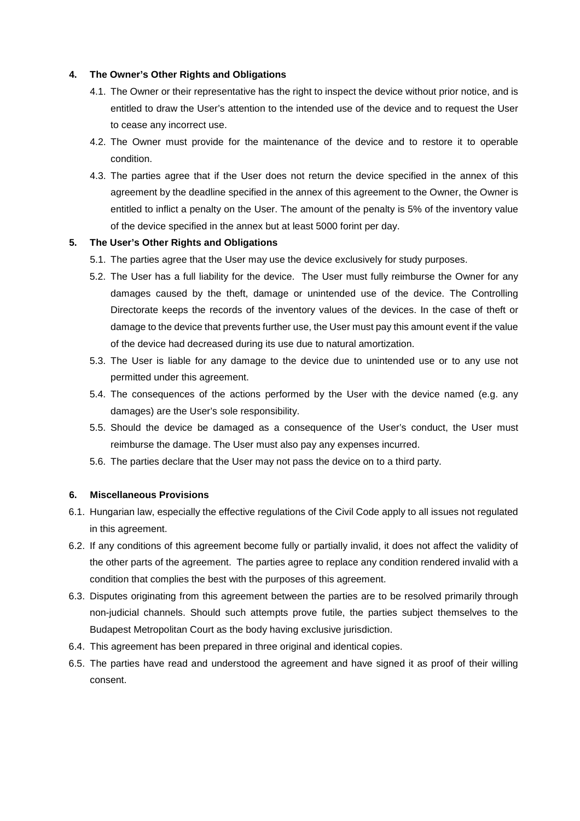#### **4. The Owner's Other Rights and Obligations**

- 4.1. The Owner or their representative has the right to inspect the device without prior notice, and is entitled to draw the User's attention to the intended use of the device and to request the User to cease any incorrect use.
- 4.2. The Owner must provide for the maintenance of the device and to restore it to operable condition.
- 4.3. The parties agree that if the User does not return the device specified in the annex of this agreement by the deadline specified in the annex of this agreement to the Owner, the Owner is entitled to inflict a penalty on the User. The amount of the penalty is 5% of the inventory value of the device specified in the annex but at least 5000 forint per day.

#### **5. The User's Other Rights and Obligations**

- 5.1. The parties agree that the User may use the device exclusively for study purposes.
- 5.2. The User has a full liability for the device. The User must fully reimburse the Owner for any damages caused by the theft, damage or unintended use of the device. The Controlling Directorate keeps the records of the inventory values of the devices. In the case of theft or damage to the device that prevents further use, the User must pay this amount event if the value of the device had decreased during its use due to natural amortization.
- 5.3. The User is liable for any damage to the device due to unintended use or to any use not permitted under this agreement.
- 5.4. The consequences of the actions performed by the User with the device named (e.g. any damages) are the User's sole responsibility.
- 5.5. Should the device be damaged as a consequence of the User's conduct, the User must reimburse the damage. The User must also pay any expenses incurred.
- 5.6. The parties declare that the User may not pass the device on to a third party.

#### **6. Miscellaneous Provisions**

- 6.1. Hungarian law, especially the effective regulations of the Civil Code apply to all issues not regulated in this agreement.
- 6.2. If any conditions of this agreement become fully or partially invalid, it does not affect the validity of the other parts of the agreement. The parties agree to replace any condition rendered invalid with a condition that complies the best with the purposes of this agreement.
- 6.3. Disputes originating from this agreement between the parties are to be resolved primarily through non-judicial channels. Should such attempts prove futile, the parties subject themselves to the Budapest Metropolitan Court as the body having exclusive jurisdiction.
- 6.4. This agreement has been prepared in three original and identical copies.
- 6.5. The parties have read and understood the agreement and have signed it as proof of their willing consent.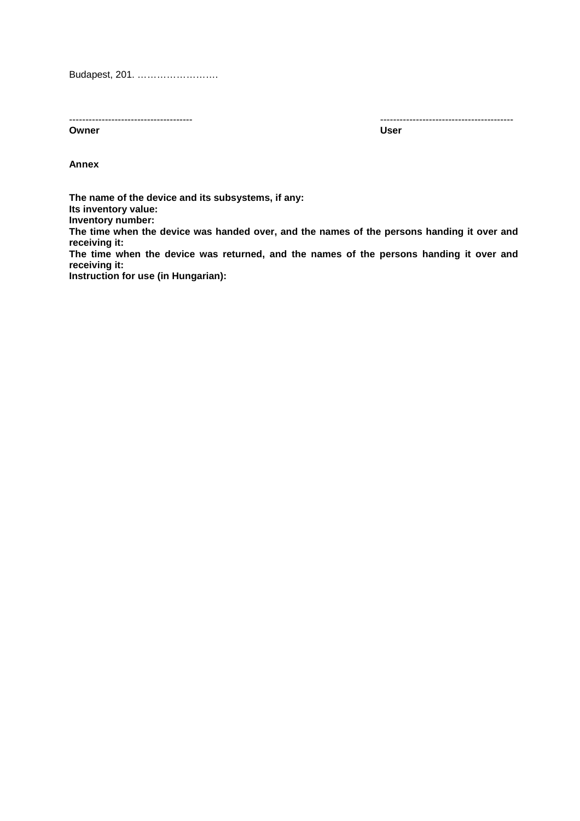Budapest, 201. …………………….

**Owner Contract Contract Contract Contract Contract Contract Contract Contract Contract Contract Contract Contract Contract Contract Contract Contract Contract Contract Contract Contract Contract Contract Contract Contract** 

-------------------------------------- -----------------------------------------

**Annex** 

**The name of the device and its subsystems, if any: Its inventory value: Inventory number: The time when the device was handed over, and the names of the persons handing it over and receiving it: The time when the device was returned, and the names of the persons handing it over and receiving it:** 

**Instruction for use (in Hungarian):**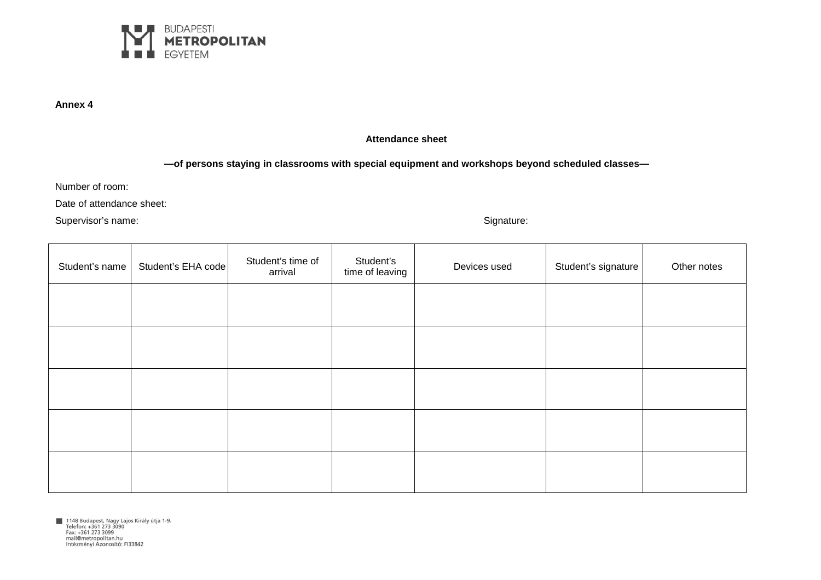

## **Attendance sheet**

## **—of persons staying in classrooms with special equipment and workshops beyond scheduled classes—**

Number of room:

Date of attendance sheet:

Supervisor's name: Supervisor's name: Supervisor's name: Signature: Signature: Signature: Signature: Signature:

| Student's name | Student's EHA code | Student's time of<br>arrival | Student's<br>time of leaving | Devices used | Student's signature | Other notes |
|----------------|--------------------|------------------------------|------------------------------|--------------|---------------------|-------------|
|                |                    |                              |                              |              |                     |             |
|                |                    |                              |                              |              |                     |             |
|                |                    |                              |                              |              |                     |             |
|                |                    |                              |                              |              |                     |             |
|                |                    |                              |                              |              |                     |             |

1148 Budapest, Nagy Lajos Király útja 1-9.<br>Telefon: +361 273 3090<br>Fax: +361 273 3099 mail@metropolitan.hu Intézményi Azonosító: FI33842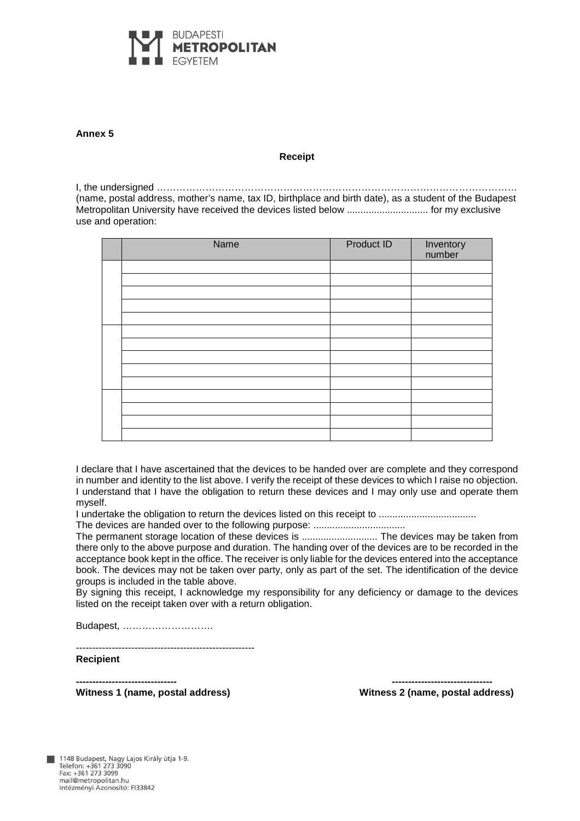

#### **Receipt**

I, the undersigned ………………………………………………………………………………………………… (name, postal address, mother's name, tax ID, birthplace and birth date), as a student of the Budapest Metropolitan University have received the devices listed below .............................. for my exclusive use and operation:

|  | Name | Product ID | Inventory<br>number |
|--|------|------------|---------------------|
|  |      |            |                     |
|  |      |            |                     |
|  |      |            |                     |
|  |      |            |                     |
|  |      |            |                     |
|  |      |            |                     |
|  |      |            |                     |
|  |      |            |                     |
|  |      |            |                     |
|  |      |            |                     |
|  |      |            |                     |
|  |      |            |                     |
|  |      |            |                     |
|  |      |            |                     |

I declare that I have ascertained that the devices to be handed over are complete and they correspond in number and identity to the list above. I verify the receipt of these devices to which I raise no objection. I understand that I have the obligation to return these devices and I may only use and operate them myself.

I undertake the obligation to return the devices listed on this receipt to .................................... The devices are handed over to the following purpose: ..................................

The permanent storage location of these devices is ............................ The devices may be taken from there only to the above purpose and duration. The handing over of the devices are to be recorded in the acceptance book kept in the office. The receiver is only liable for the devices entered into the acceptance book. The devices may not be taken over party, only as part of the set. The identification of the device groups is included in the table above.

By signing this receipt, I acknowledge my responsibility for any deficiency or damage to the devices listed on the receipt taken over with a return obligation.

Budapest, ……………………….

-------------------------------------------------------

**Recipient** 

**------------------------------- ------------------------------- Witness 1 (name, postal address) Witness 2 (name, postal address)**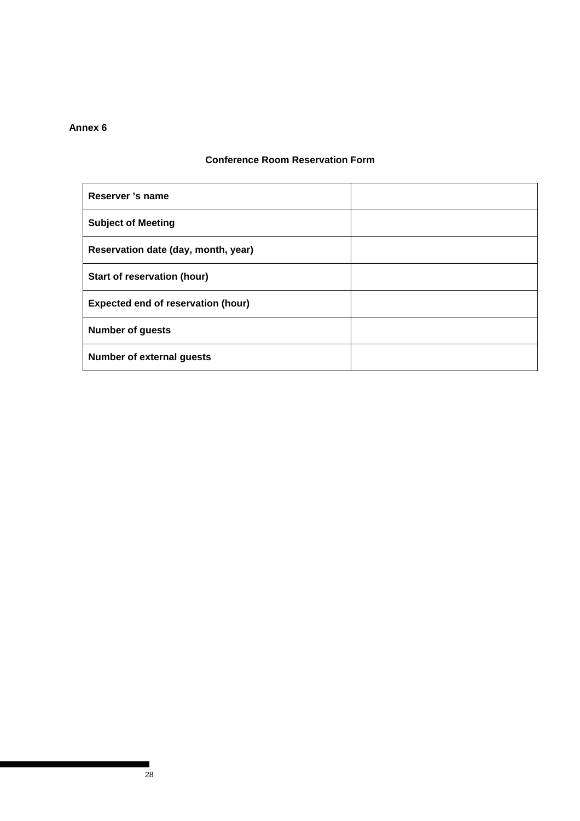# **Conference Room Reservation Form**

| Reserver 's name                          |  |
|-------------------------------------------|--|
| <b>Subject of Meeting</b>                 |  |
| Reservation date (day, month, year)       |  |
| Start of reservation (hour)               |  |
| <b>Expected end of reservation (hour)</b> |  |
| <b>Number of guests</b>                   |  |
| <b>Number of external guests</b>          |  |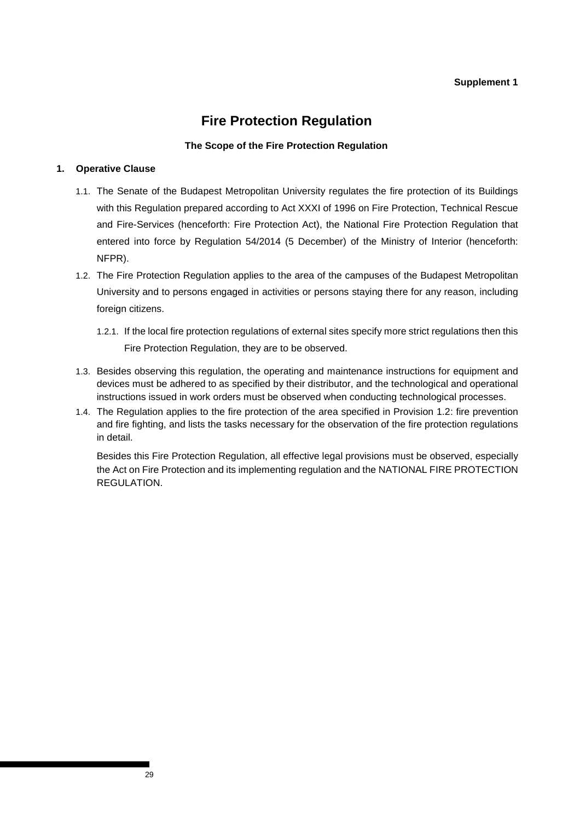## **Supplement 1**

# **Fire Protection Regulation**

## **The Scope of the Fire Protection Regulation**

# **1. Operative Clause**

- 1.1. The Senate of the Budapest Metropolitan University regulates the fire protection of its Buildings with this Regulation prepared according to Act XXXI of 1996 on Fire Protection, Technical Rescue and Fire-Services (henceforth: Fire Protection Act), the National Fire Protection Regulation that entered into force by Regulation 54/2014 (5 December) of the Ministry of Interior (henceforth: NFPR).
- 1.2. The Fire Protection Regulation applies to the area of the campuses of the Budapest Metropolitan University and to persons engaged in activities or persons staying there for any reason, including foreign citizens.
	- 1.2.1. If the local fire protection regulations of external sites specify more strict regulations then this Fire Protection Regulation, they are to be observed.
- 1.3. Besides observing this regulation, the operating and maintenance instructions for equipment and devices must be adhered to as specified by their distributor, and the technological and operational instructions issued in work orders must be observed when conducting technological processes.
- 1.4. The Regulation applies to the fire protection of the area specified in Provision 1.2: fire prevention and fire fighting, and lists the tasks necessary for the observation of the fire protection regulations in detail.

Besides this Fire Protection Regulation, all effective legal provisions must be observed, especially the Act on Fire Protection and its implementing regulation and the NATIONAL FIRE PROTECTION REGULATION.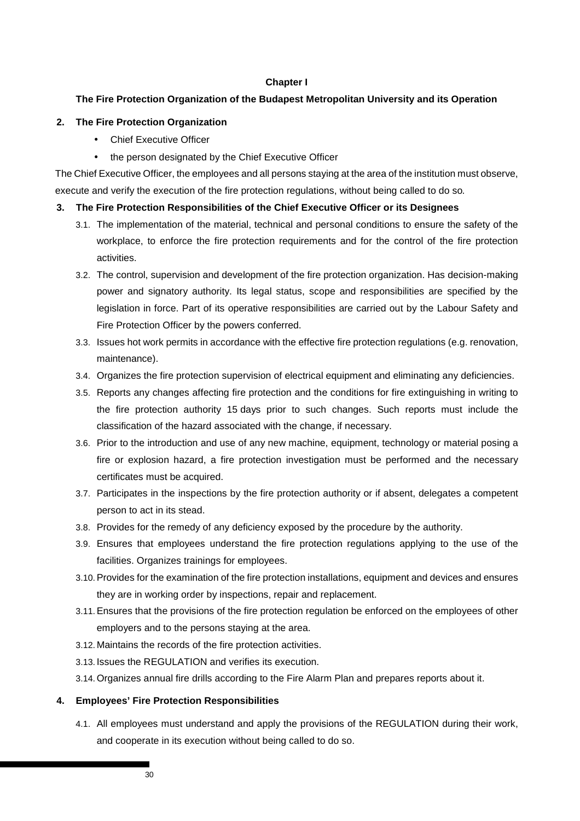#### **Chapter I**

# **The Fire Protection Organization of the Budapest Metropolitan University and its Operation**

## **2. The Fire Protection Organization**

- Chief Executive Officer
- the person designated by the Chief Executive Officer

The Chief Executive Officer, the employees and all persons staying at the area of the institution must observe, execute and verify the execution of the fire protection regulations, without being called to do so.

## **3. The Fire Protection Responsibilities of the Chief Executive Officer or its Designees**

- 3.1. The implementation of the material, technical and personal conditions to ensure the safety of the workplace, to enforce the fire protection requirements and for the control of the fire protection activities.
- 3.2. The control, supervision and development of the fire protection organization. Has decision-making power and signatory authority. Its legal status, scope and responsibilities are specified by the legislation in force. Part of its operative responsibilities are carried out by the Labour Safety and Fire Protection Officer by the powers conferred.
- 3.3. Issues hot work permits in accordance with the effective fire protection regulations (e.g. renovation, maintenance).
- 3.4. Organizes the fire protection supervision of electrical equipment and eliminating any deficiencies.
- 3.5. Reports any changes affecting fire protection and the conditions for fire extinguishing in writing to the fire protection authority 15 days prior to such changes. Such reports must include the classification of the hazard associated with the change, if necessary.
- 3.6. Prior to the introduction and use of any new machine, equipment, technology or material posing a fire or explosion hazard, a fire protection investigation must be performed and the necessary certificates must be acquired.
- 3.7. Participates in the inspections by the fire protection authority or if absent, delegates a competent person to act in its stead.
- 3.8. Provides for the remedy of any deficiency exposed by the procedure by the authority.
- 3.9. Ensures that employees understand the fire protection regulations applying to the use of the facilities. Organizes trainings for employees.
- 3.10. Provides for the examination of the fire protection installations, equipment and devices and ensures they are in working order by inspections, repair and replacement.
- 3.11. Ensures that the provisions of the fire protection regulation be enforced on the employees of other employers and to the persons staying at the area.
- 3.12. Maintains the records of the fire protection activities.
- 3.13. Issues the REGULATION and verifies its execution.
- 3.14. Organizes annual fire drills according to the Fire Alarm Plan and prepares reports about it.

# **4. Employees' Fire Protection Responsibilities**

4.1. All employees must understand and apply the provisions of the REGULATION during their work, and cooperate in its execution without being called to do so.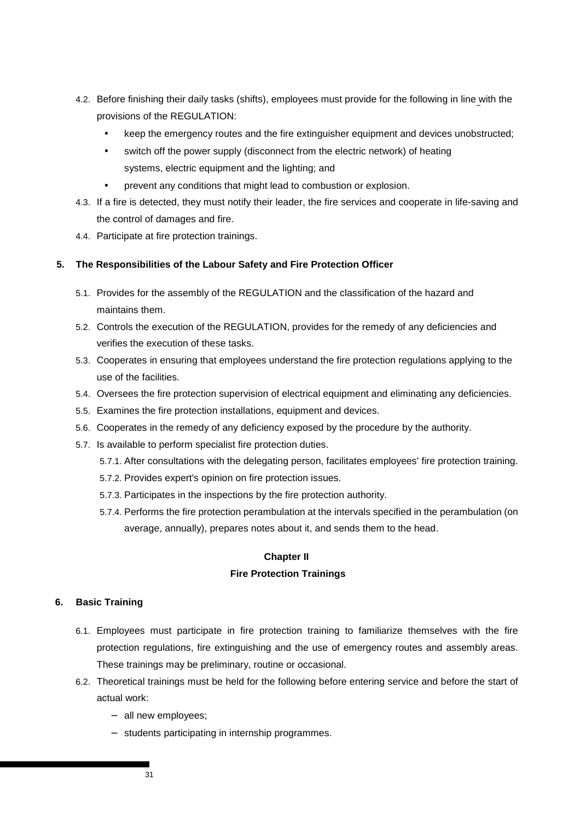- 4.2. Before finishing their daily tasks (shifts), employees must provide for the following in line with the provisions of the REGULATION:
	- keep the emergency routes and the fire extinguisher equipment and devices unobstructed;
	- switch off the power supply (disconnect from the electric network) of heating systems, electric equipment and the lighting; and
	- prevent any conditions that might lead to combustion or explosion.
- 4.3. If a fire is detected, they must notify their leader, the fire services and cooperate in life-saving and the control of damages and fire.
- 4.4. Participate at fire protection trainings.

## **5. The Responsibilities of the Labour Safety and Fire Protection Officer**

- 5.1. Provides for the assembly of the REGULATION and the classification of the hazard and maintains them.
- 5.2. Controls the execution of the REGULATION, provides for the remedy of any deficiencies and verifies the execution of these tasks.
- 5.3. Cooperates in ensuring that employees understand the fire protection regulations applying to the use of the facilities.
- 5.4. Oversees the fire protection supervision of electrical equipment and eliminating any deficiencies.
- 5.5. Examines the fire protection installations, equipment and devices.
- 5.6. Cooperates in the remedy of any deficiency exposed by the procedure by the authority.
- 5.7. Is available to perform specialist fire protection duties.
	- 5.7.1. After consultations with the delegating person, facilitates employees' fire protection training.
	- 5.7.2. Provides expert's opinion on fire protection issues.
	- 5.7.3. Participates in the inspections by the fire protection authority.
	- 5.7.4. Performs the fire protection perambulation at the intervals specified in the perambulation (on average, annually), prepares notes about it, and sends them to the head.

# **Chapter II**

# **Fire Protection Trainings**

#### **6. Basic Training**

- 6.1. Employees must participate in fire protection training to familiarize themselves with the fire protection regulations, fire extinguishing and the use of emergency routes and assembly areas. These trainings may be preliminary, routine or occasional.
- 6.2. Theoretical trainings must be held for the following before entering service and before the start of actual work:
	- − all new employees;
	- − students participating in internship programmes.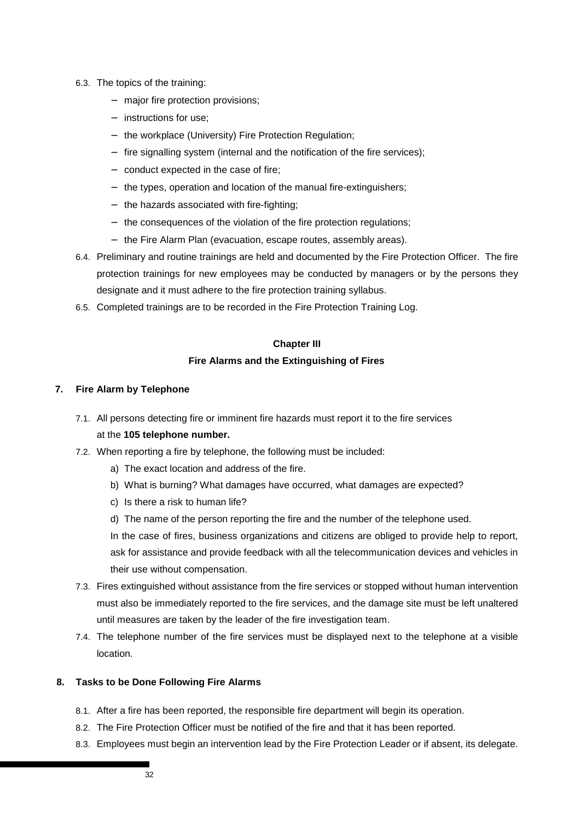- 6.3. The topics of the training:
	- − major fire protection provisions;
	- − instructions for use;
	- − the workplace (University) Fire Protection Regulation;
	- − fire signalling system (internal and the notification of the fire services);
	- − conduct expected in the case of fire;
	- − the types, operation and location of the manual fire-extinguishers;
	- − the hazards associated with fire-fighting;
	- − the consequences of the violation of the fire protection regulations;
	- − the Fire Alarm Plan (evacuation, escape routes, assembly areas).
- 6.4. Preliminary and routine trainings are held and documented by the Fire Protection Officer. The fire protection trainings for new employees may be conducted by managers or by the persons they designate and it must adhere to the fire protection training syllabus.
- 6.5. Completed trainings are to be recorded in the Fire Protection Training Log.

#### **Chapter III**

### **Fire Alarms and the Extinguishing of Fires**

### **7. Fire Alarm by Telephone**

- 7.1. All persons detecting fire or imminent fire hazards must report it to the fire services at the **105 telephone number.**
- 7.2. When reporting a fire by telephone, the following must be included:
	- a) The exact location and address of the fire.
	- b) What is burning? What damages have occurred, what damages are expected?
	- c) Is there a risk to human life?
	- d) The name of the person reporting the fire and the number of the telephone used.

In the case of fires, business organizations and citizens are obliged to provide help to report, ask for assistance and provide feedback with all the telecommunication devices and vehicles in their use without compensation.

- 7.3. Fires extinguished without assistance from the fire services or stopped without human intervention must also be immediately reported to the fire services, and the damage site must be left unaltered until measures are taken by the leader of the fire investigation team.
- 7.4. The telephone number of the fire services must be displayed next to the telephone at a visible location.

## **8. Tasks to be Done Following Fire Alarms**

- 8.1. After a fire has been reported, the responsible fire department will begin its operation.
- 8.2. The Fire Protection Officer must be notified of the fire and that it has been reported.
- 8.3. Employees must begin an intervention lead by the Fire Protection Leader or if absent, its delegate.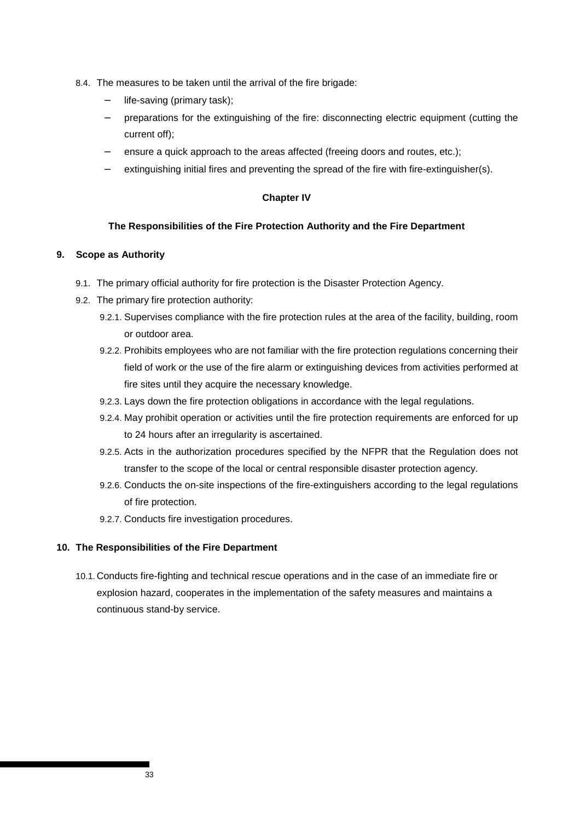- 8.4. The measures to be taken until the arrival of the fire brigade:
	- − life-saving (primary task);
	- − preparations for the extinguishing of the fire: disconnecting electric equipment (cutting the current off);
	- ensure a quick approach to the areas affected (freeing doors and routes, etc.);
	- extinguishing initial fires and preventing the spread of the fire with fire-extinguisher(s).

## **Chapter IV**

## **The Responsibilities of the Fire Protection Authority and the Fire Department**

## **9. Scope as Authority**

- 9.1. The primary official authority for fire protection is the Disaster Protection Agency.
- 9.2. The primary fire protection authority:
	- 9.2.1. Supervises compliance with the fire protection rules at the area of the facility, building, room or outdoor area.
	- 9.2.2. Prohibits employees who are not familiar with the fire protection regulations concerning their field of work or the use of the fire alarm or extinguishing devices from activities performed at fire sites until they acquire the necessary knowledge.
	- 9.2.3. Lays down the fire protection obligations in accordance with the legal regulations.
	- 9.2.4. May prohibit operation or activities until the fire protection requirements are enforced for up to 24 hours after an irregularity is ascertained.
	- 9.2.5. Acts in the authorization procedures specified by the NFPR that the Regulation does not transfer to the scope of the local or central responsible disaster protection agency.
	- 9.2.6. Conducts the on-site inspections of the fire-extinguishers according to the legal regulations of fire protection.
	- 9.2.7. Conducts fire investigation procedures.

## **10. The Responsibilities of the Fire Department**

10.1. Conducts fire-fighting and technical rescue operations and in the case of an immediate fire or explosion hazard, cooperates in the implementation of the safety measures and maintains a continuous stand-by service.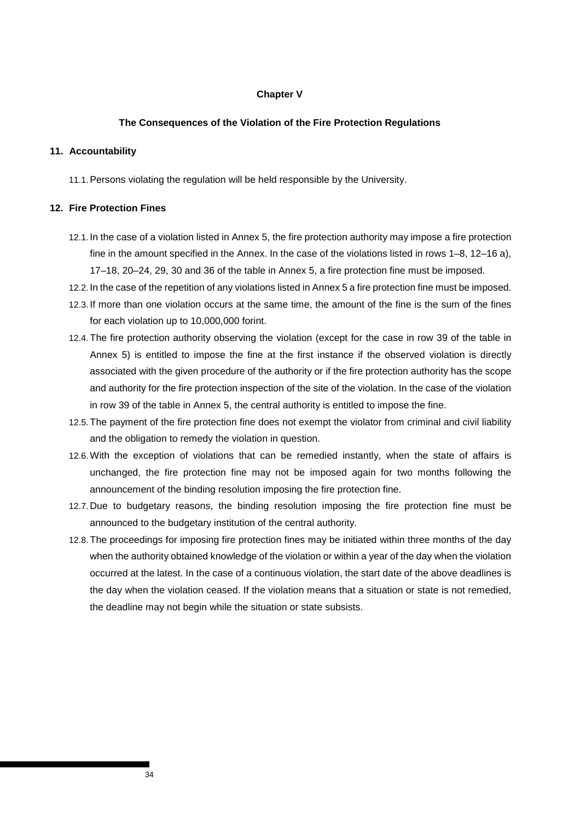### **Chapter V**

## **The Consequences of the Violation of the Fire Protection Regulations**

### **11. Accountability**

11.1. Persons violating the regulation will be held responsible by the University.

## **12. Fire Protection Fines**

- 12.1. In the case of a violation listed in Annex 5, the fire protection authority may impose a fire protection fine in the amount specified in the Annex. In the case of the violations listed in rows 1–8, 12–16 a), 17–18, 20–24, 29, 30 and 36 of the table in Annex 5, a fire protection fine must be imposed.
- 12.2. In the case of the repetition of any violations listed in Annex 5 a fire protection fine must be imposed.
- 12.3. If more than one violation occurs at the same time, the amount of the fine is the sum of the fines for each violation up to 10,000,000 forint.
- 12.4. The fire protection authority observing the violation (except for the case in row 39 of the table in Annex 5) is entitled to impose the fine at the first instance if the observed violation is directly associated with the given procedure of the authority or if the fire protection authority has the scope and authority for the fire protection inspection of the site of the violation. In the case of the violation in row 39 of the table in Annex 5, the central authority is entitled to impose the fine.
- 12.5. The payment of the fire protection fine does not exempt the violator from criminal and civil liability and the obligation to remedy the violation in question.
- 12.6. With the exception of violations that can be remedied instantly, when the state of affairs is unchanged, the fire protection fine may not be imposed again for two months following the announcement of the binding resolution imposing the fire protection fine.
- 12.7. Due to budgetary reasons, the binding resolution imposing the fire protection fine must be announced to the budgetary institution of the central authority.
- 12.8. The proceedings for imposing fire protection fines may be initiated within three months of the day when the authority obtained knowledge of the violation or within a year of the day when the violation occurred at the latest. In the case of a continuous violation, the start date of the above deadlines is the day when the violation ceased. If the violation means that a situation or state is not remedied, the deadline may not begin while the situation or state subsists.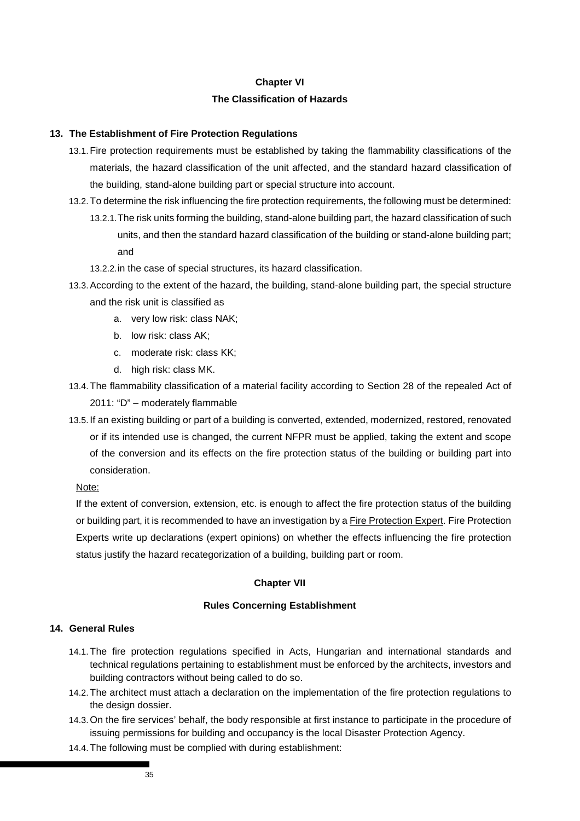## **Chapter VI**

### **The Classification of Hazards**

### **13. The Establishment of Fire Protection Regulations**

- 13.1. Fire protection requirements must be established by taking the flammability classifications of the materials, the hazard classification of the unit affected, and the standard hazard classification of the building, stand-alone building part or special structure into account.
- 13.2. To determine the risk influencing the fire protection requirements, the following must be determined: 13.2.1. The risk units forming the building, stand-alone building part, the hazard classification of such units, and then the standard hazard classification of the building or stand-alone building part; and
	- 13.2.2. in the case of special structures, its hazard classification.
- 13.3. According to the extent of the hazard, the building, stand-alone building part, the special structure and the risk unit is classified as
	- a. very low risk: class NAK;
	- b. low risk: class AK;
	- c. moderate risk: class KK;
	- d. high risk: class MK.
- 13.4. The flammability classification of a material facility according to Section 28 of the repealed Act of 2011: "D" – moderately flammable
- 13.5. If an existing building or part of a building is converted, extended, modernized, restored, renovated or if its intended use is changed, the current NFPR must be applied, taking the extent and scope of the conversion and its effects on the fire protection status of the building or building part into consideration.

Note:

If the extent of conversion, extension, etc. is enough to affect the fire protection status of the building or building part, it is recommended to have an investigation by a Fire Protection Expert. Fire Protection Experts write up declarations (expert opinions) on whether the effects influencing the fire protection status justify the hazard recategorization of a building, building part or room.

#### **Chapter VII**

#### **Rules Concerning Establishment**

#### **14. General Rules**

- 14.1. The fire protection regulations specified in Acts, Hungarian and international standards and technical regulations pertaining to establishment must be enforced by the architects, investors and building contractors without being called to do so.
- 14.2. The architect must attach a declaration on the implementation of the fire protection regulations to the design dossier.
- 14.3. On the fire services' behalf, the body responsible at first instance to participate in the procedure of issuing permissions for building and occupancy is the local Disaster Protection Agency.
- 14.4. The following must be complied with during establishment: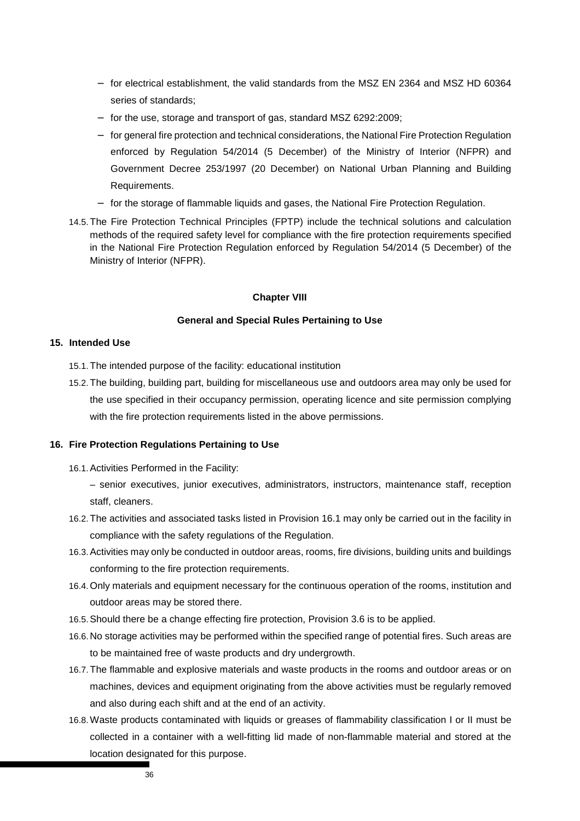- − for electrical establishment, the valid standards from the MSZ EN 2364 and MSZ HD 60364 series of standards;
- − for the use, storage and transport of gas, standard MSZ 6292:2009;
- − for general fire protection and technical considerations, the National Fire Protection Regulation enforced by Regulation 54/2014 (5 December) of the Ministry of Interior (NFPR) and Government Decree 253/1997 (20 December) on National Urban Planning and Building Requirements.
- − for the storage of flammable liquids and gases, the National Fire Protection Regulation.
- 14.5. The Fire Protection Technical Principles (FPTP) include the technical solutions and calculation methods of the required safety level for compliance with the fire protection requirements specified in the National Fire Protection Regulation enforced by Regulation 54/2014 (5 December) of the Ministry of Interior (NFPR).

#### **Chapter VIII**

#### **General and Special Rules Pertaining to Use**

#### **15. Intended Use**

- 15.1. The intended purpose of the facility: educational institution
- 15.2. The building, building part, building for miscellaneous use and outdoors area may only be used for the use specified in their occupancy permission, operating licence and site permission complying with the fire protection requirements listed in the above permissions.

#### **16. Fire Protection Regulations Pertaining to Use**

- 16.1. Activities Performed in the Facility:
	- senior executives, junior executives, administrators, instructors, maintenance staff, reception staff, cleaners.
- 16.2. The activities and associated tasks listed in Provision 16.1 may only be carried out in the facility in compliance with the safety regulations of the Regulation.
- 16.3. Activities may only be conducted in outdoor areas, rooms, fire divisions, building units and buildings conforming to the fire protection requirements.
- 16.4. Only materials and equipment necessary for the continuous operation of the rooms, institution and outdoor areas may be stored there.
- 16.5. Should there be a change effecting fire protection, Provision 3.6 is to be applied.
- 16.6. No storage activities may be performed within the specified range of potential fires. Such areas are to be maintained free of waste products and dry undergrowth.
- 16.7. The flammable and explosive materials and waste products in the rooms and outdoor areas or on machines, devices and equipment originating from the above activities must be regularly removed and also during each shift and at the end of an activity.
- 16.8. Waste products contaminated with liquids or greases of flammability classification I or II must be collected in a container with a well-fitting lid made of non-flammable material and stored at the location designated for this purpose.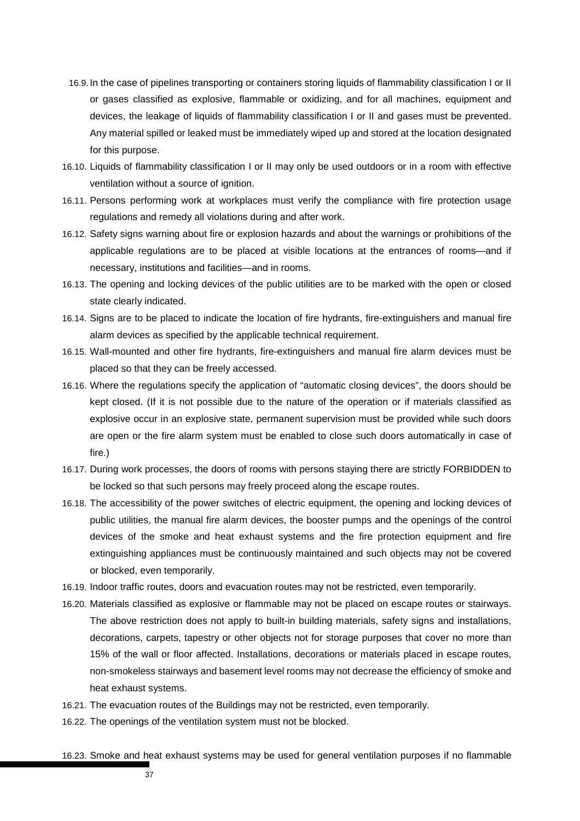- 16.9. In the case of pipelines transporting or containers storing liquids of flammability classification I or II or gases classified as explosive, flammable or oxidizing, and for all machines, equipment and devices, the leakage of liquids of flammability classification I or II and gases must be prevented. Any material spilled or leaked must be immediately wiped up and stored at the location designated for this purpose.
- 16.10. Liquids of flammability classification I or II may only be used outdoors or in a room with effective ventilation without a source of ignition.
- 16.11. Persons performing work at workplaces must verify the compliance with fire protection usage regulations and remedy all violations during and after work.
- 16.12. Safety signs warning about fire or explosion hazards and about the warnings or prohibitions of the applicable regulations are to be placed at visible locations at the entrances of rooms—and if necessary, institutions and facilities—and in rooms.
- 16.13. The opening and locking devices of the public utilities are to be marked with the open or closed state clearly indicated.
- 16.14. Signs are to be placed to indicate the location of fire hydrants, fire-extinguishers and manual fire alarm devices as specified by the applicable technical requirement.
- 16.15. Wall-mounted and other fire hydrants, fire-extinguishers and manual fire alarm devices must be placed so that they can be freely accessed.
- 16.16. Where the regulations specify the application of "automatic closing devices", the doors should be kept closed. (If it is not possible due to the nature of the operation or if materials classified as explosive occur in an explosive state, permanent supervision must be provided while such doors are open or the fire alarm system must be enabled to close such doors automatically in case of fire.)
- 16.17. During work processes, the doors of rooms with persons staying there are strictly FORBIDDEN to be locked so that such persons may freely proceed along the escape routes.
- 16.18. The accessibility of the power switches of electric equipment, the opening and locking devices of public utilities, the manual fire alarm devices, the booster pumps and the openings of the control devices of the smoke and heat exhaust systems and the fire protection equipment and fire extinguishing appliances must be continuously maintained and such objects may not be covered or blocked, even temporarily.
- 16.19. Indoor traffic routes, doors and evacuation routes may not be restricted, even temporarily.
- 16.20. Materials classified as explosive or flammable may not be placed on escape routes or stairways. The above restriction does not apply to built-in building materials, safety signs and installations, decorations, carpets, tapestry or other objects not for storage purposes that cover no more than 15% of the wall or floor affected. Installations, decorations or materials placed in escape routes, non-smokeless stairways and basement level rooms may not decrease the efficiency of smoke and heat exhaust systems.
- 16.21. The evacuation routes of the Buildings may not be restricted, even temporarily.
- 16.22. The openings of the ventilation system must not be blocked.
- 16.23. Smoke and heat exhaust systems may be used for general ventilation purposes if no flammable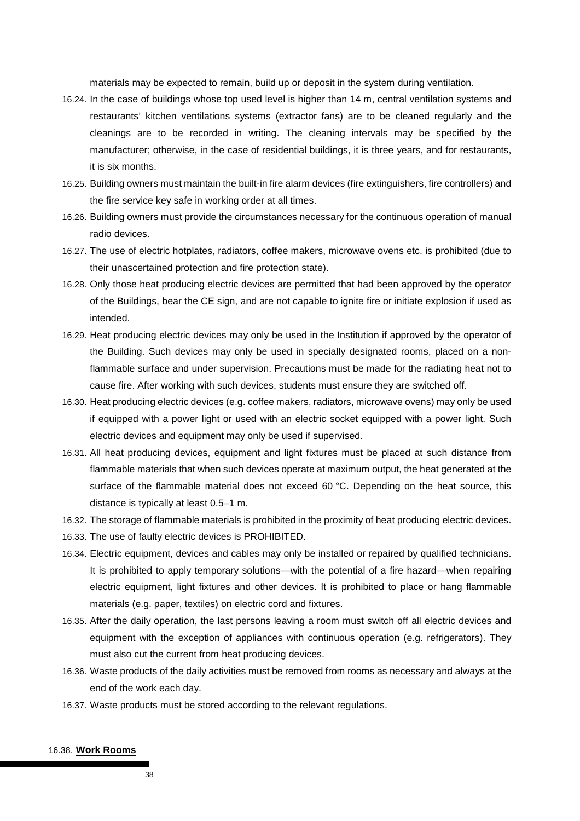materials may be expected to remain, build up or deposit in the system during ventilation.

- 16.24. In the case of buildings whose top used level is higher than 14 m, central ventilation systems and restaurants' kitchen ventilations systems (extractor fans) are to be cleaned regularly and the cleanings are to be recorded in writing. The cleaning intervals may be specified by the manufacturer; otherwise, in the case of residential buildings, it is three years, and for restaurants, it is six months.
- 16.25. Building owners must maintain the built-in fire alarm devices (fire extinguishers, fire controllers) and the fire service key safe in working order at all times.
- 16.26. Building owners must provide the circumstances necessary for the continuous operation of manual radio devices.
- 16.27. The use of electric hotplates, radiators, coffee makers, microwave ovens etc. is prohibited (due to their unascertained protection and fire protection state).
- 16.28. Only those heat producing electric devices are permitted that had been approved by the operator of the Buildings, bear the CE sign, and are not capable to ignite fire or initiate explosion if used as intended.
- 16.29. Heat producing electric devices may only be used in the Institution if approved by the operator of the Building. Such devices may only be used in specially designated rooms, placed on a nonflammable surface and under supervision. Precautions must be made for the radiating heat not to cause fire. After working with such devices, students must ensure they are switched off.
- 16.30. Heat producing electric devices (e.g. coffee makers, radiators, microwave ovens) may only be used if equipped with a power light or used with an electric socket equipped with a power light. Such electric devices and equipment may only be used if supervised.
- 16.31. All heat producing devices, equipment and light fixtures must be placed at such distance from flammable materials that when such devices operate at maximum output, the heat generated at the surface of the flammable material does not exceed 60 °C. Depending on the heat source, this distance is typically at least 0.5–1 m.
- 16.32. The storage of flammable materials is prohibited in the proximity of heat producing electric devices.
- 16.33. The use of faulty electric devices is PROHIBITED.
- 16.34. Electric equipment, devices and cables may only be installed or repaired by qualified technicians. It is prohibited to apply temporary solutions—with the potential of a fire hazard—when repairing electric equipment, light fixtures and other devices. It is prohibited to place or hang flammable materials (e.g. paper, textiles) on electric cord and fixtures.
- 16.35. After the daily operation, the last persons leaving a room must switch off all electric devices and equipment with the exception of appliances with continuous operation (e.g. refrigerators). They must also cut the current from heat producing devices.
- 16.36. Waste products of the daily activities must be removed from rooms as necessary and always at the end of the work each day.
- 16.37. Waste products must be stored according to the relevant regulations.

#### 16.38. **Work Rooms**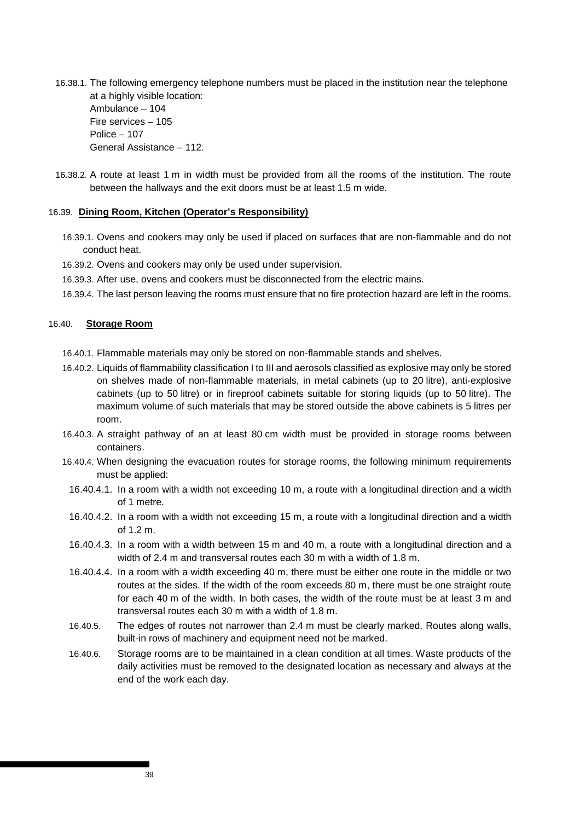16.38.1. The following emergency telephone numbers must be placed in the institution near the telephone at a highly visible location: Ambulance – 104 Fire services – 105 Police – 107 General Assistance – 112.

16.38.2. A route at least 1 m in width must be provided from all the rooms of the institution. The route between the hallways and the exit doors must be at least 1.5 m wide.

#### 16.39. **Dining Room, Kitchen (Operator's Responsibility)**

- 16.39.1. Ovens and cookers may only be used if placed on surfaces that are non-flammable and do not conduct heat.
- 16.39.2. Ovens and cookers may only be used under supervision.
- 16.39.3. After use, ovens and cookers must be disconnected from the electric mains.
- 16.39.4. The last person leaving the rooms must ensure that no fire protection hazard are left in the rooms.

#### 16.40. **Storage Room**

- 16.40.1. Flammable materials may only be stored on non-flammable stands and shelves.
- 16.40.2. Liquids of flammability classification I to III and aerosols classified as explosive may only be stored on shelves made of non-flammable materials, in metal cabinets (up to 20 litre), anti-explosive cabinets (up to 50 litre) or in fireproof cabinets suitable for storing liquids (up to 50 litre). The maximum volume of such materials that may be stored outside the above cabinets is 5 litres per room.
- 16.40.3. A straight pathway of an at least 80 cm width must be provided in storage rooms between containers.
- 16.40.4. When designing the evacuation routes for storage rooms, the following minimum requirements must be applied:
	- 16.40.4.1. In a room with a width not exceeding 10 m, a route with a longitudinal direction and a width of 1 metre.
	- 16.40.4.2. In a room with a width not exceeding 15 m, a route with a longitudinal direction and a width of 1.2 m.
	- 16.40.4.3. In a room with a width between 15 m and 40 m, a route with a longitudinal direction and a width of 2.4 m and transversal routes each 30 m with a width of 1.8 m.
	- 16.40.4.4. In a room with a width exceeding 40 m, there must be either one route in the middle or two routes at the sides. If the width of the room exceeds 80 m, there must be one straight route for each 40 m of the width. In both cases, the width of the route must be at least 3 m and transversal routes each 30 m with a width of 1.8 m.
	- 16.40.5. The edges of routes not narrower than 2.4 m must be clearly marked. Routes along walls, built-in rows of machinery and equipment need not be marked.
	- 16.40.6. Storage rooms are to be maintained in a clean condition at all times. Waste products of the daily activities must be removed to the designated location as necessary and always at the end of the work each day.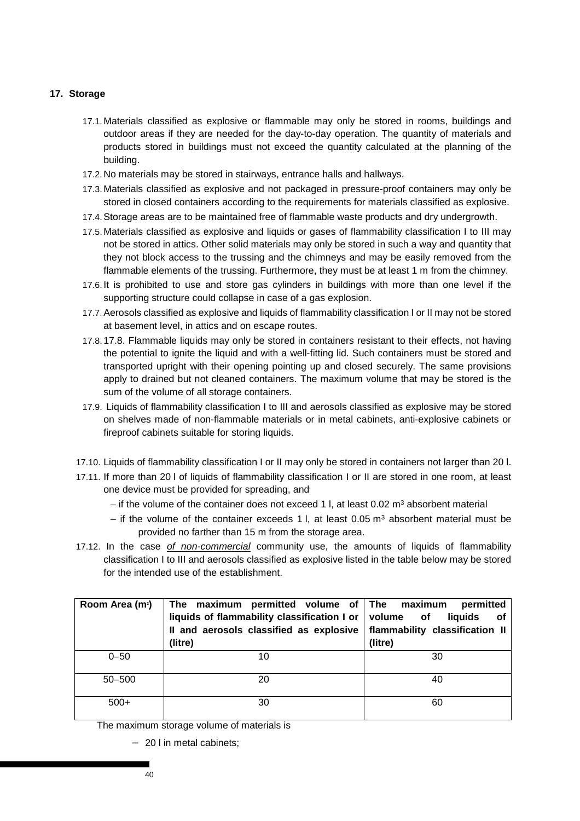## **17. Storage**

- 17.1. Materials classified as explosive or flammable may only be stored in rooms, buildings and outdoor areas if they are needed for the day-to-day operation. The quantity of materials and products stored in buildings must not exceed the quantity calculated at the planning of the building.
- 17.2. No materials may be stored in stairways, entrance halls and hallways.
- 17.3. Materials classified as explosive and not packaged in pressure-proof containers may only be stored in closed containers according to the requirements for materials classified as explosive.
- 17.4. Storage areas are to be maintained free of flammable waste products and dry undergrowth.
- 17.5. Materials classified as explosive and liquids or gases of flammability classification I to III may not be stored in attics. Other solid materials may only be stored in such a way and quantity that they not block access to the trussing and the chimneys and may be easily removed from the flammable elements of the trussing. Furthermore, they must be at least 1 m from the chimney.
- 17.6. It is prohibited to use and store gas cylinders in buildings with more than one level if the supporting structure could collapse in case of a gas explosion.
- 17.7. Aerosols classified as explosive and liquids of flammability classification I or II may not be stored at basement level, in attics and on escape routes.
- 17.8. 17.8. Flammable liquids may only be stored in containers resistant to their effects, not having the potential to ignite the liquid and with a well-fitting lid. Such containers must be stored and transported upright with their opening pointing up and closed securely. The same provisions apply to drained but not cleaned containers. The maximum volume that may be stored is the sum of the volume of all storage containers.
- 17.9. Liquids of flammability classification I to III and aerosols classified as explosive may be stored on shelves made of non-flammable materials or in metal cabinets, anti-explosive cabinets or fireproof cabinets suitable for storing liquids.
- 17.10. Liquids of flammability classification I or II may only be stored in containers not larger than 20 l.
- 17.11. If more than 20 l of liquids of flammability classification I or II are stored in one room, at least one device must be provided for spreading, and
	- $-$  if the volume of the container does not exceed 1 l, at least 0.02  $\text{m}^3$  absorbent material
	- $-$  if the volume of the container exceeds 1 l, at least 0.05  $\text{m}^3$  absorbent material must be provided no farther than 15 m from the storage area.
- 17.12. In the case of non-commercial community use, the amounts of liquids of flammability classification I to III and aerosols classified as explosive listed in the table below may be stored for the intended use of the establishment.

| Room Area (m <sup>2</sup> ) | The maximum permitted volume of The<br>liquids of flammability classification $I$ or $\parallel$<br>Il and aerosols classified as explosive<br>(litre) | permitted<br>maximum<br>volume of<br>liquids<br>оf<br>flammability classification II<br>(litre) |  |  |
|-----------------------------|--------------------------------------------------------------------------------------------------------------------------------------------------------|-------------------------------------------------------------------------------------------------|--|--|
| $0 - 50$                    | 10                                                                                                                                                     | 30                                                                                              |  |  |
| $50 - 500$                  | 20                                                                                                                                                     | 40                                                                                              |  |  |
| $500+$                      | 30                                                                                                                                                     | 60                                                                                              |  |  |

The maximum storage volume of materials is

− 20 l in metal cabinets;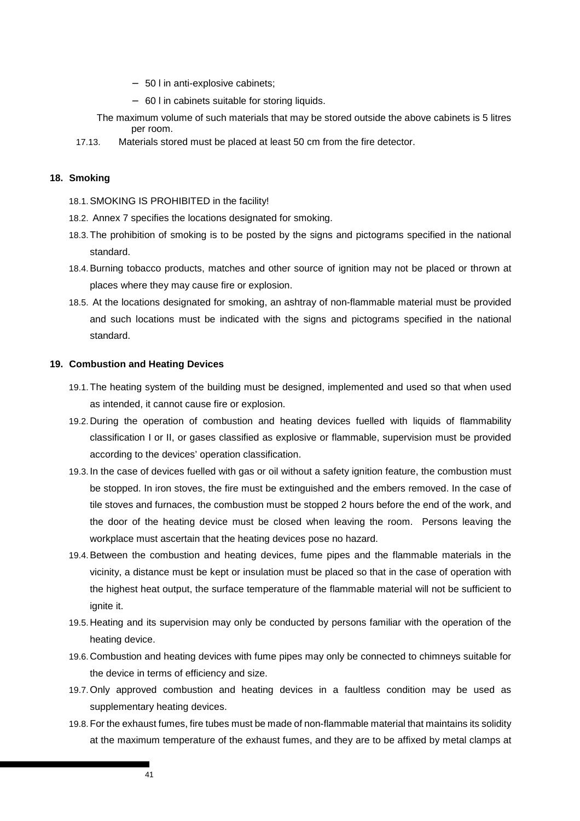- − 50 l in anti-explosive cabinets;
- − 60 l in cabinets suitable for storing liquids.
- The maximum volume of such materials that may be stored outside the above cabinets is 5 litres per room.
- 17.13. Materials stored must be placed at least 50 cm from the fire detector.

### **18. Smoking**

- 18.1. SMOKING IS PROHIBITED in the facility!
- 18.2. Annex 7 specifies the locations designated for smoking.
- 18.3. The prohibition of smoking is to be posted by the signs and pictograms specified in the national standard.
- 18.4. Burning tobacco products, matches and other source of ignition may not be placed or thrown at places where they may cause fire or explosion.
- 18.5. At the locations designated for smoking, an ashtray of non-flammable material must be provided and such locations must be indicated with the signs and pictograms specified in the national standard.

#### **19. Combustion and Heating Devices**

- 19.1. The heating system of the building must be designed, implemented and used so that when used as intended, it cannot cause fire or explosion.
- 19.2. During the operation of combustion and heating devices fuelled with liquids of flammability classification I or II, or gases classified as explosive or flammable, supervision must be provided according to the devices' operation classification.
- 19.3. In the case of devices fuelled with gas or oil without a safety ignition feature, the combustion must be stopped. In iron stoves, the fire must be extinguished and the embers removed. In the case of tile stoves and furnaces, the combustion must be stopped 2 hours before the end of the work, and the door of the heating device must be closed when leaving the room. Persons leaving the workplace must ascertain that the heating devices pose no hazard.
- 19.4. Between the combustion and heating devices, fume pipes and the flammable materials in the vicinity, a distance must be kept or insulation must be placed so that in the case of operation with the highest heat output, the surface temperature of the flammable material will not be sufficient to ignite it.
- 19.5. Heating and its supervision may only be conducted by persons familiar with the operation of the heating device.
- 19.6. Combustion and heating devices with fume pipes may only be connected to chimneys suitable for the device in terms of efficiency and size.
- 19.7. Only approved combustion and heating devices in a faultless condition may be used as supplementary heating devices.
- 19.8. For the exhaust fumes, fire tubes must be made of non-flammable material that maintains its solidity at the maximum temperature of the exhaust fumes, and they are to be affixed by metal clamps at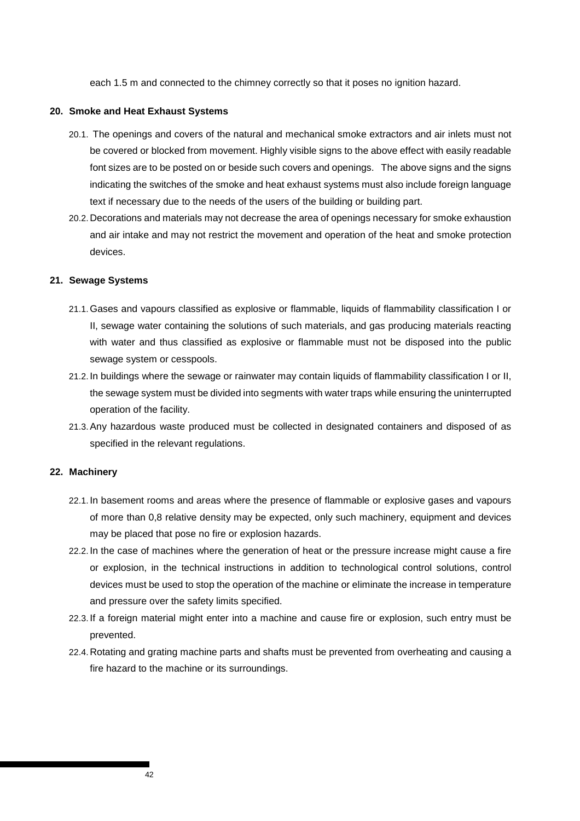each 1.5 m and connected to the chimney correctly so that it poses no ignition hazard.

#### **20. Smoke and Heat Exhaust Systems**

- 20.1. The openings and covers of the natural and mechanical smoke extractors and air inlets must not be covered or blocked from movement. Highly visible signs to the above effect with easily readable font sizes are to be posted on or beside such covers and openings. The above signs and the signs indicating the switches of the smoke and heat exhaust systems must also include foreign language text if necessary due to the needs of the users of the building or building part.
- 20.2. Decorations and materials may not decrease the area of openings necessary for smoke exhaustion and air intake and may not restrict the movement and operation of the heat and smoke protection devices.

#### **21. Sewage Systems**

- 21.1. Gases and vapours classified as explosive or flammable, liquids of flammability classification I or II, sewage water containing the solutions of such materials, and gas producing materials reacting with water and thus classified as explosive or flammable must not be disposed into the public sewage system or cesspools.
- 21.2. In buildings where the sewage or rainwater may contain liquids of flammability classification I or II, the sewage system must be divided into segments with water traps while ensuring the uninterrupted operation of the facility.
- 21.3. Any hazardous waste produced must be collected in designated containers and disposed of as specified in the relevant regulations.

#### **22. Machinery**

- 22.1. In basement rooms and areas where the presence of flammable or explosive gases and vapours of more than 0,8 relative density may be expected, only such machinery, equipment and devices may be placed that pose no fire or explosion hazards.
- 22.2. In the case of machines where the generation of heat or the pressure increase might cause a fire or explosion, in the technical instructions in addition to technological control solutions, control devices must be used to stop the operation of the machine or eliminate the increase in temperature and pressure over the safety limits specified.
- 22.3. If a foreign material might enter into a machine and cause fire or explosion, such entry must be prevented.
- 22.4. Rotating and grating machine parts and shafts must be prevented from overheating and causing a fire hazard to the machine or its surroundings.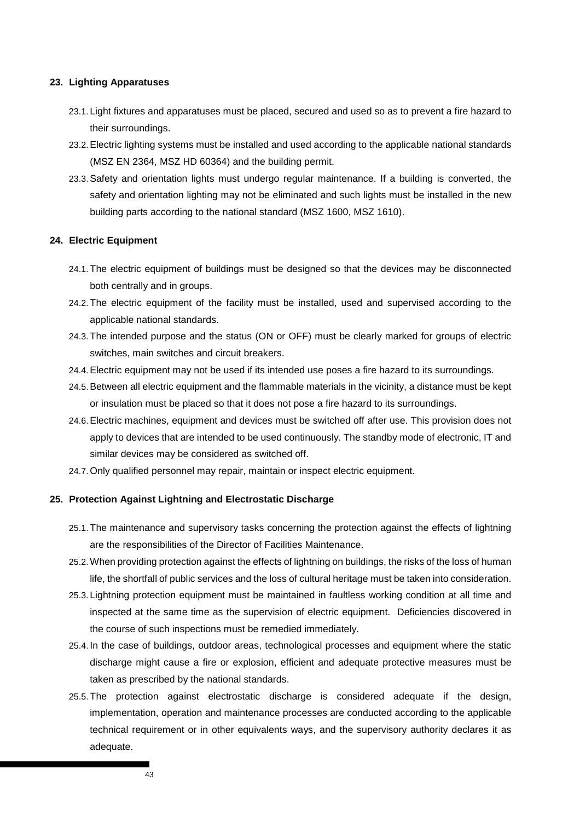### **23. Lighting Apparatuses**

- 23.1. Light fixtures and apparatuses must be placed, secured and used so as to prevent a fire hazard to their surroundings.
- 23.2. Electric lighting systems must be installed and used according to the applicable national standards (MSZ EN 2364, MSZ HD 60364) and the building permit.
- 23.3. Safety and orientation lights must undergo regular maintenance. If a building is converted, the safety and orientation lighting may not be eliminated and such lights must be installed in the new building parts according to the national standard (MSZ 1600, MSZ 1610).

### **24. Electric Equipment**

- 24.1. The electric equipment of buildings must be designed so that the devices may be disconnected both centrally and in groups.
- 24.2. The electric equipment of the facility must be installed, used and supervised according to the applicable national standards.
- 24.3. The intended purpose and the status (ON or OFF) must be clearly marked for groups of electric switches, main switches and circuit breakers.
- 24.4. Electric equipment may not be used if its intended use poses a fire hazard to its surroundings.
- 24.5. Between all electric equipment and the flammable materials in the vicinity, a distance must be kept or insulation must be placed so that it does not pose a fire hazard to its surroundings.
- 24.6. Electric machines, equipment and devices must be switched off after use. This provision does not apply to devices that are intended to be used continuously. The standby mode of electronic, IT and similar devices may be considered as switched off.
- 24.7. Only qualified personnel may repair, maintain or inspect electric equipment.

## **25. Protection Against Lightning and Electrostatic Discharge**

- 25.1. The maintenance and supervisory tasks concerning the protection against the effects of lightning are the responsibilities of the Director of Facilities Maintenance.
- 25.2. When providing protection against the effects of lightning on buildings, the risks of the loss of human life, the shortfall of public services and the loss of cultural heritage must be taken into consideration.
- 25.3. Lightning protection equipment must be maintained in faultless working condition at all time and inspected at the same time as the supervision of electric equipment. Deficiencies discovered in the course of such inspections must be remedied immediately.
- 25.4. In the case of buildings, outdoor areas, technological processes and equipment where the static discharge might cause a fire or explosion, efficient and adequate protective measures must be taken as prescribed by the national standards.
- 25.5. The protection against electrostatic discharge is considered adequate if the design, implementation, operation and maintenance processes are conducted according to the applicable technical requirement or in other equivalents ways, and the supervisory authority declares it as adequate.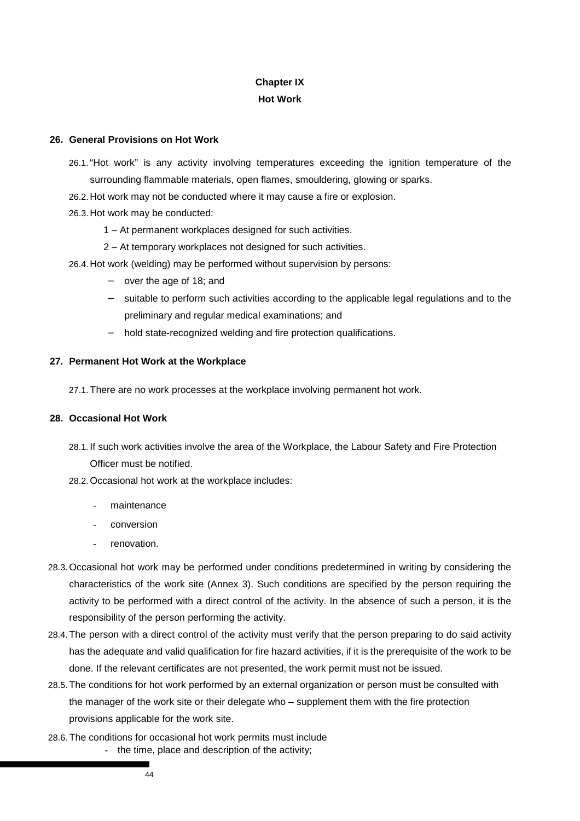## **Chapter IX**

## **Hot Work**

## **26. General Provisions on Hot Work**

- 26.1. "Hot work" is any activity involving temperatures exceeding the ignition temperature of the surrounding flammable materials, open flames, smouldering, glowing or sparks.
- 26.2. Hot work may not be conducted where it may cause a fire or explosion.
- 26.3. Hot work may be conducted:
	- 1 At permanent workplaces designed for such activities.
	- 2 At temporary workplaces not designed for such activities.
- 26.4. Hot work (welding) may be performed without supervision by persons:
	- − over the age of 18; and
	- − suitable to perform such activities according to the applicable legal regulations and to the preliminary and regular medical examinations; and
	- hold state-recognized welding and fire protection qualifications.

## **27. Permanent Hot Work at the Workplace**

27.1. There are no work processes at the workplace involving permanent hot work.

## **28. Occasional Hot Work**

- 28.1. If such work activities involve the area of the Workplace, the Labour Safety and Fire Protection Officer must be notified.
- 28.2. Occasional hot work at the workplace includes:
	- maintenance
	- conversion
	- renovation.
- 28.3. Occasional hot work may be performed under conditions predetermined in writing by considering the characteristics of the work site (Annex 3). Such conditions are specified by the person requiring the activity to be performed with a direct control of the activity. In the absence of such a person, it is the responsibility of the person performing the activity.
- 28.4. The person with a direct control of the activity must verify that the person preparing to do said activity has the adequate and valid qualification for fire hazard activities, if it is the prerequisite of the work to be done. If the relevant certificates are not presented, the work permit must not be issued.
- 28.5. The conditions for hot work performed by an external organization or person must be consulted with the manager of the work site or their delegate who – supplement them with the fire protection provisions applicable for the work site.
- 28.6. The conditions for occasional hot work permits must include - the time, place and description of the activity;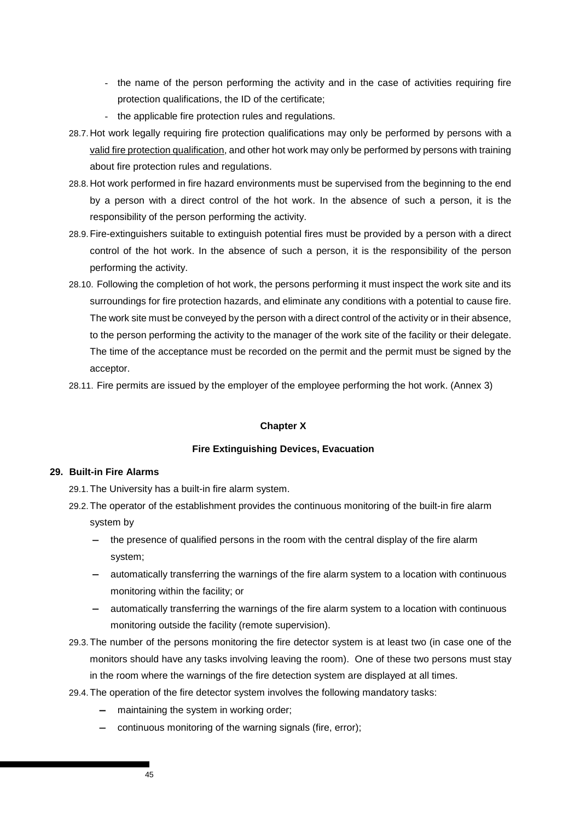- the name of the person performing the activity and in the case of activities requiring fire protection qualifications, the ID of the certificate;
- the applicable fire protection rules and regulations.
- 28.7. Hot work legally requiring fire protection qualifications may only be performed by persons with a valid fire protection qualification, and other hot work may only be performed by persons with training about fire protection rules and regulations.
- 28.8. Hot work performed in fire hazard environments must be supervised from the beginning to the end by a person with a direct control of the hot work. In the absence of such a person, it is the responsibility of the person performing the activity.
- 28.9. Fire-extinguishers suitable to extinguish potential fires must be provided by a person with a direct control of the hot work. In the absence of such a person, it is the responsibility of the person performing the activity.
- 28.10. Following the completion of hot work, the persons performing it must inspect the work site and its surroundings for fire protection hazards, and eliminate any conditions with a potential to cause fire. The work site must be conveyed by the person with a direct control of the activity or in their absence, to the person performing the activity to the manager of the work site of the facility or their delegate. The time of the acceptance must be recorded on the permit and the permit must be signed by the acceptor.

28.11. Fire permits are issued by the employer of the employee performing the hot work. (Annex 3)

## **Chapter X**

#### **Fire Extinguishing Devices, Evacuation**

## **29. Built-in Fire Alarms**

29.1. The University has a built-in fire alarm system.

- 29.2. The operator of the establishment provides the continuous monitoring of the built-in fire alarm system by
	- the presence of qualified persons in the room with the central display of the fire alarm system;
	- automatically transferring the warnings of the fire alarm system to a location with continuous monitoring within the facility; or
	- automatically transferring the warnings of the fire alarm system to a location with continuous monitoring outside the facility (remote supervision).
- 29.3. The number of the persons monitoring the fire detector system is at least two (in case one of the monitors should have any tasks involving leaving the room). One of these two persons must stay in the room where the warnings of the fire detection system are displayed at all times.
- 29.4. The operation of the fire detector system involves the following mandatory tasks:
	- maintaining the system in working order;
	- − continuous monitoring of the warning signals (fire, error);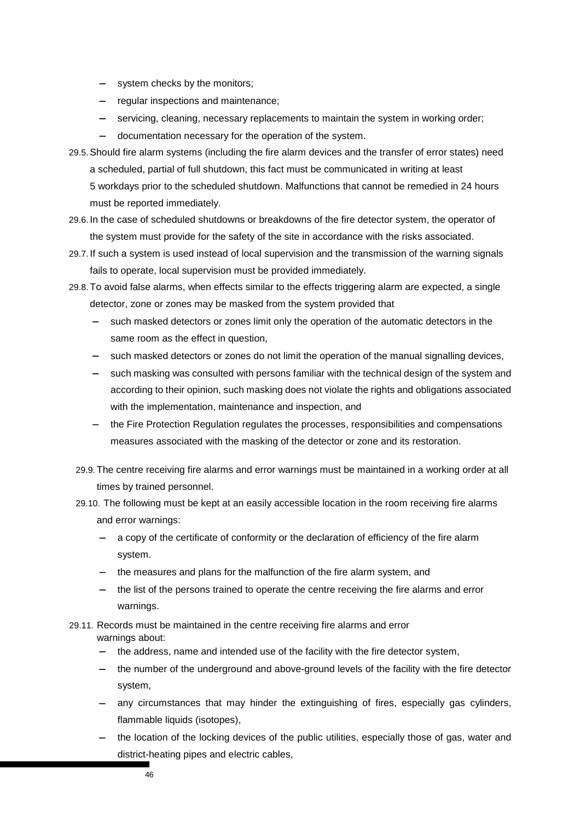- system checks by the monitors;
- − regular inspections and maintenance;
- servicing, cleaning, necessary replacements to maintain the system in working order;
- − documentation necessary for the operation of the system.
- 29.5. Should fire alarm systems (including the fire alarm devices and the transfer of error states) need a scheduled, partial of full shutdown, this fact must be communicated in writing at least 5 workdays prior to the scheduled shutdown. Malfunctions that cannot be remedied in 24 hours must be reported immediately.
- 29.6. In the case of scheduled shutdowns or breakdowns of the fire detector system, the operator of the system must provide for the safety of the site in accordance with the risks associated.
- 29.7. If such a system is used instead of local supervision and the transmission of the warning signals fails to operate, local supervision must be provided immediately.
- 29.8. To avoid false alarms, when effects similar to the effects triggering alarm are expected, a single detector, zone or zones may be masked from the system provided that
	- such masked detectors or zones limit only the operation of the automatic detectors in the same room as the effect in question,
	- such masked detectors or zones do not limit the operation of the manual signalling devices,
	- such masking was consulted with persons familiar with the technical design of the system and according to their opinion, such masking does not violate the rights and obligations associated with the implementation, maintenance and inspection, and
	- the Fire Protection Regulation regulates the processes, responsibilities and compensations measures associated with the masking of the detector or zone and its restoration.
	- 29.9. The centre receiving fire alarms and error warnings must be maintained in a working order at all times by trained personnel.
	- 29.10. The following must be kept at an easily accessible location in the room receiving fire alarms and error warnings:
		- a copy of the certificate of conformity or the declaration of efficiency of the fire alarm system.
		- − the measures and plans for the malfunction of the fire alarm system, and
		- the list of the persons trained to operate the centre receiving the fire alarms and error warnings.
- 29.11. Records must be maintained in the centre receiving fire alarms and error warnings about:
	- the address, name and intended use of the facility with the fire detector system,
	- the number of the underground and above-ground levels of the facility with the fire detector system,
	- any circumstances that may hinder the extinguishing of fires, especially gas cylinders, flammable liquids (isotopes),
	- the location of the locking devices of the public utilities, especially those of gas, water and district-heating pipes and electric cables,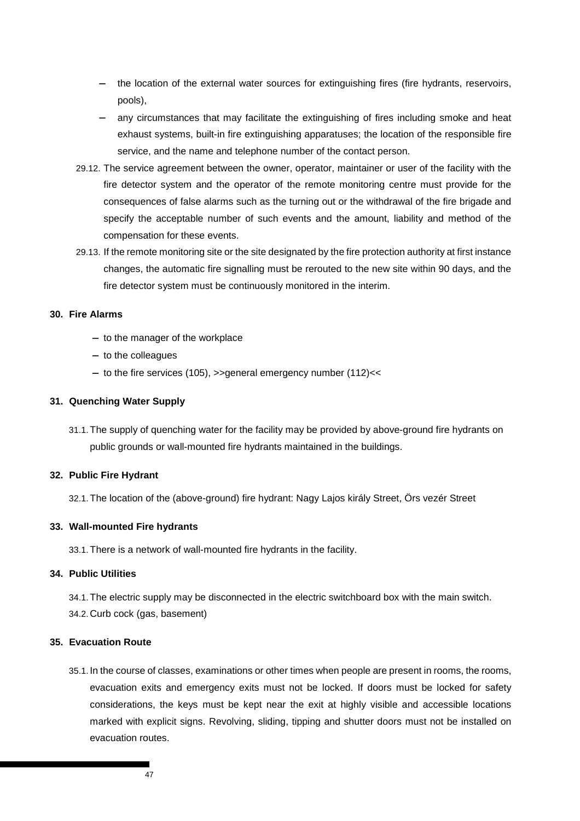- the location of the external water sources for extinguishing fires (fire hydrants, reservoirs, pools),
- any circumstances that may facilitate the extinguishing of fires including smoke and heat exhaust systems, built-in fire extinguishing apparatuses; the location of the responsible fire service, and the name and telephone number of the contact person.
- 29.12. The service agreement between the owner, operator, maintainer or user of the facility with the fire detector system and the operator of the remote monitoring centre must provide for the consequences of false alarms such as the turning out or the withdrawal of the fire brigade and specify the acceptable number of such events and the amount, liability and method of the compensation for these events.
- 29.13. If the remote monitoring site or the site designated by the fire protection authority at first instance changes, the automatic fire signalling must be rerouted to the new site within 90 days, and the fire detector system must be continuously monitored in the interim.

## **30. Fire Alarms**

- − to the manager of the workplace
- − to the colleagues
- − to the fire services (105), >>general emergency number (112)<<

## **31. Quenching Water Supply**

31.1. The supply of quenching water for the facility may be provided by above-ground fire hydrants on public grounds or wall-mounted fire hydrants maintained in the buildings.

### **32. Public Fire Hydrant**

32.1. The location of the (above-ground) fire hydrant: Nagy Lajos király Street, Örs vezér Street

#### **33. Wall-mounted Fire hydrants**

33.1. There is a network of wall-mounted fire hydrants in the facility.

## **34. Public Utilities**

34.1. The electric supply may be disconnected in the electric switchboard box with the main switch. 34.2. Curb cock (gas, basement)

## **35. Evacuation Route**

35.1. In the course of classes, examinations or other times when people are present in rooms, the rooms, evacuation exits and emergency exits must not be locked. If doors must be locked for safety considerations, the keys must be kept near the exit at highly visible and accessible locations marked with explicit signs. Revolving, sliding, tipping and shutter doors must not be installed on evacuation routes.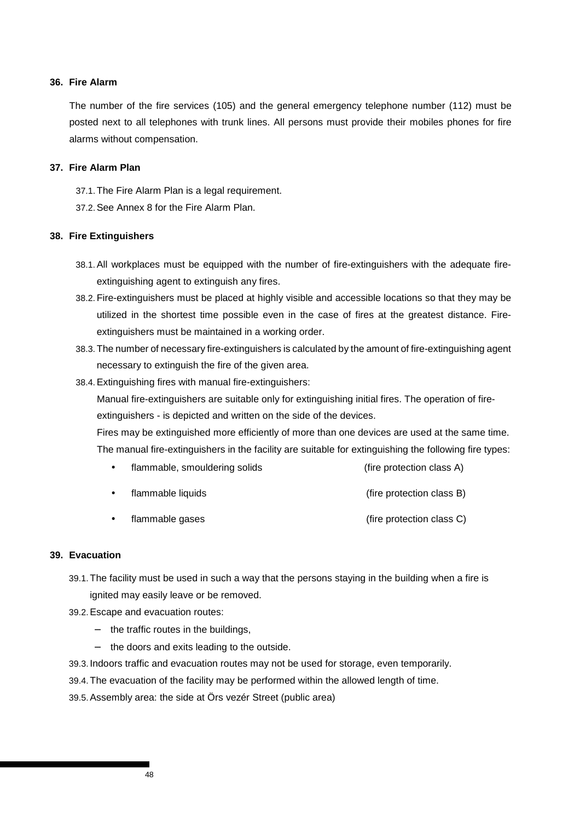#### **36. Fire Alarm**

The number of the fire services (105) and the general emergency telephone number (112) must be posted next to all telephones with trunk lines. All persons must provide their mobiles phones for fire alarms without compensation.

## **37. Fire Alarm Plan**

37.1. The Fire Alarm Plan is a legal requirement.

37.2. See Annex 8 for the Fire Alarm Plan.

## **38. Fire Extinguishers**

- 38.1. All workplaces must be equipped with the number of fire-extinguishers with the adequate fireextinguishing agent to extinguish any fires.
- 38.2. Fire-extinguishers must be placed at highly visible and accessible locations so that they may be utilized in the shortest time possible even in the case of fires at the greatest distance. Fireextinguishers must be maintained in a working order.
- 38.3. The number of necessary fire-extinguishers is calculated by the amount of fire-extinguishing agent necessary to extinguish the fire of the given area.
- 38.4. Extinguishing fires with manual fire-extinguishers:

Manual fire-extinguishers are suitable only for extinguishing initial fires. The operation of fireextinguishers - is depicted and written on the side of the devices.

Fires may be extinguished more efficiently of more than one devices are used at the same time. The manual fire-extinguishers in the facility are suitable for extinguishing the following fire types:

- flammable, smouldering solids (fire protection class A)
- flammable liquids (fire protection class B)
- flammable gases (fire protection class C)

## **39. Evacuation**

- 39.1. The facility must be used in such a way that the persons staying in the building when a fire is ignited may easily leave or be removed.
- 39.2. Escape and evacuation routes:
	- − the traffic routes in the buildings,
	- − the doors and exits leading to the outside.
- 39.3. Indoors traffic and evacuation routes may not be used for storage, even temporarily.
- 39.4. The evacuation of the facility may be performed within the allowed length of time.
- 39.5. Assembly area: the side at Örs vezér Street (public area)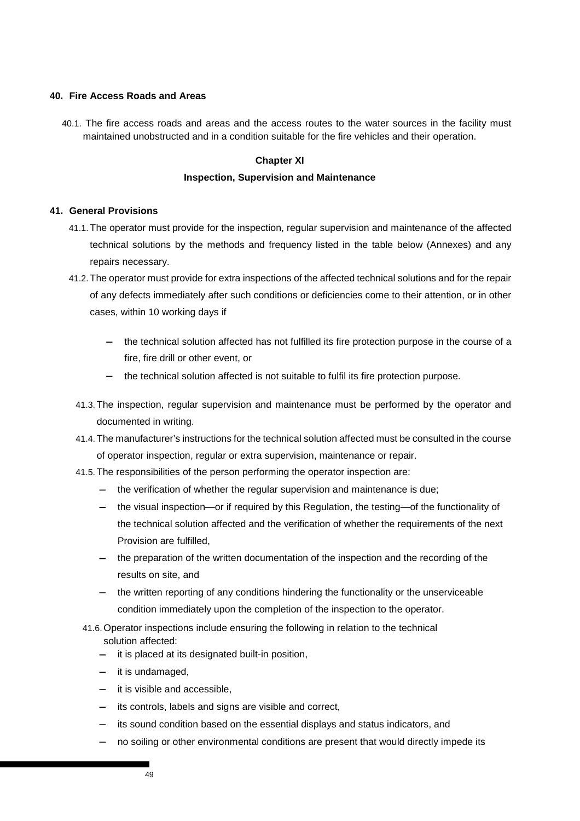### **40. Fire Access Roads and Areas**

40.1. The fire access roads and areas and the access routes to the water sources in the facility must maintained unobstructed and in a condition suitable for the fire vehicles and their operation.

### **Chapter XI**

### **Inspection, Supervision and Maintenance**

#### **41. General Provisions**

- 41.1. The operator must provide for the inspection, regular supervision and maintenance of the affected technical solutions by the methods and frequency listed in the table below (Annexes) and any repairs necessary.
- 41.2. The operator must provide for extra inspections of the affected technical solutions and for the repair of any defects immediately after such conditions or deficiencies come to their attention, or in other cases, within 10 working days if
	- − the technical solution affected has not fulfilled its fire protection purpose in the course of a fire, fire drill or other event, or
	- the technical solution affected is not suitable to fulfil its fire protection purpose.
	- 41.3. The inspection, regular supervision and maintenance must be performed by the operator and documented in writing.
	- 41.4. The manufacturer's instructions for the technical solution affected must be consulted in the course of operator inspection, regular or extra supervision, maintenance or repair.
	- 41.5. The responsibilities of the person performing the operator inspection are:
		- the verification of whether the regular supervision and maintenance is due;
		- the visual inspection—or if required by this Regulation, the testing—of the functionality of the technical solution affected and the verification of whether the requirements of the next Provision are fulfilled,
		- − the preparation of the written documentation of the inspection and the recording of the results on site, and
		- the written reporting of any conditions hindering the functionality or the unserviceable condition immediately upon the completion of the inspection to the operator.
		- 41.6. Operator inspections include ensuring the following in relation to the technical solution affected:
			- it is placed at its designated built-in position,
			- − it is undamaged,
			- it is visible and accessible.
			- its controls, labels and signs are visible and correct,
			- its sound condition based on the essential displays and status indicators, and
			- no soiling or other environmental conditions are present that would directly impede its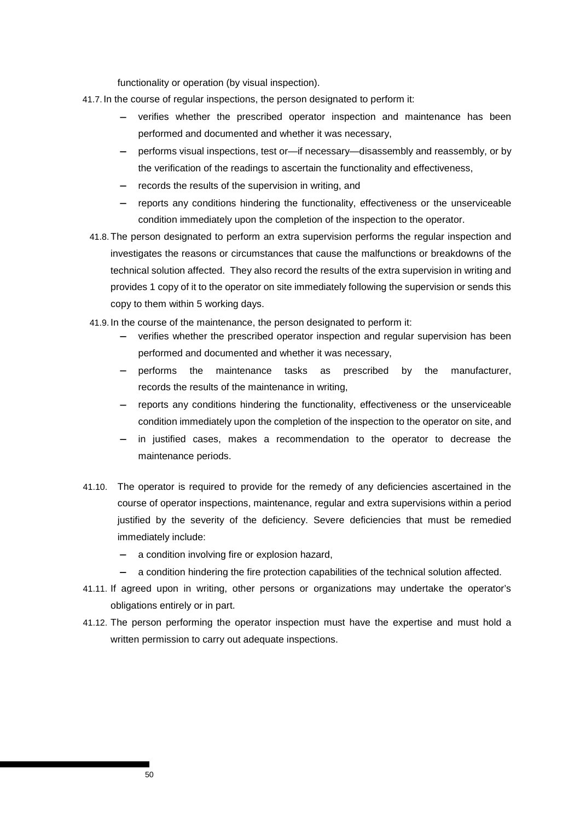functionality or operation (by visual inspection).

- 41.7. In the course of regular inspections, the person designated to perform it:
	- − verifies whether the prescribed operator inspection and maintenance has been performed and documented and whether it was necessary,
	- − performs visual inspections, test or—if necessary—disassembly and reassembly, or by the verification of the readings to ascertain the functionality and effectiveness,
	- records the results of the supervision in writing, and
	- − reports any conditions hindering the functionality, effectiveness or the unserviceable condition immediately upon the completion of the inspection to the operator.
	- 41.8. The person designated to perform an extra supervision performs the regular inspection and investigates the reasons or circumstances that cause the malfunctions or breakdowns of the technical solution affected. They also record the results of the extra supervision in writing and provides 1 copy of it to the operator on site immediately following the supervision or sends this copy to them within 5 working days.
	- 41.9. In the course of the maintenance, the person designated to perform it:
		- − verifies whether the prescribed operator inspection and regular supervision has been performed and documented and whether it was necessary,
		- − performs the maintenance tasks as prescribed by the manufacturer, records the results of the maintenance in writing,
		- − reports any conditions hindering the functionality, effectiveness or the unserviceable condition immediately upon the completion of the inspection to the operator on site, and
		- in justified cases, makes a recommendation to the operator to decrease the maintenance periods.
- 41.10. The operator is required to provide for the remedy of any deficiencies ascertained in the course of operator inspections, maintenance, regular and extra supervisions within a period justified by the severity of the deficiency. Severe deficiencies that must be remedied immediately include:
	- − a condition involving fire or explosion hazard,
	- a condition hindering the fire protection capabilities of the technical solution affected.
- 41.11. If agreed upon in writing, other persons or organizations may undertake the operator's obligations entirely or in part.
- 41.12. The person performing the operator inspection must have the expertise and must hold a written permission to carry out adequate inspections.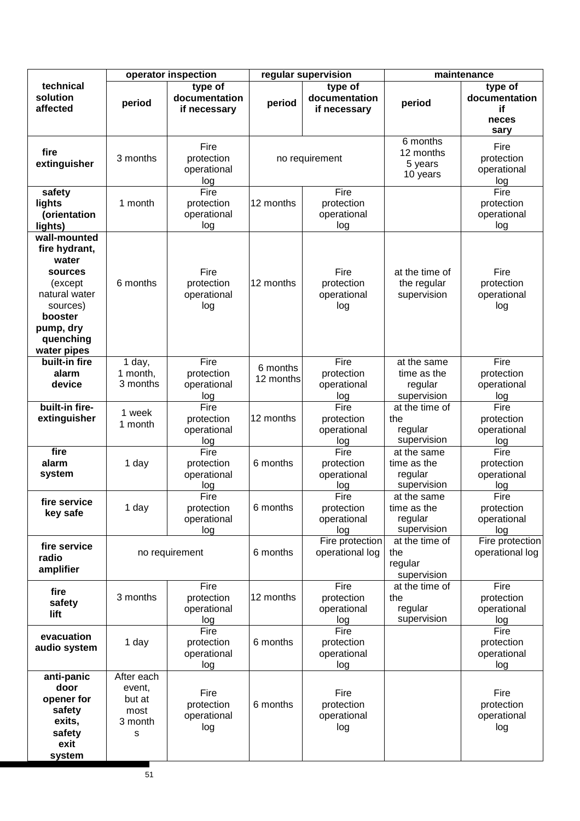|                                                                                                                                               | operator inspection                                    |                                          |                       | regular supervision                      | maintenance                                          |                                                 |  |
|-----------------------------------------------------------------------------------------------------------------------------------------------|--------------------------------------------------------|------------------------------------------|-----------------------|------------------------------------------|------------------------------------------------------|-------------------------------------------------|--|
| technical<br>solution<br>affected                                                                                                             | period                                                 | type of<br>documentation<br>if necessary | period                | type of<br>documentation<br>if necessary | period                                               | type of<br>documentation<br>if<br>neces<br>sary |  |
| fire<br>extinguisher                                                                                                                          | 3 months                                               | Fire<br>protection<br>operational<br>log |                       | no requirement                           | 6 months<br>12 months<br>5 years<br>10 years         | Fire<br>protection<br>operational<br>log        |  |
| safety<br>lights<br>(orientation<br>lights)                                                                                                   | 1 month                                                | Fire<br>protection<br>operational<br>log | 12 months             | Fire<br>protection<br>operational<br>log |                                                      | Fire<br>protection<br>operational<br>log        |  |
| wall-mounted<br>fire hydrant,<br>water<br>sources<br>(except<br>natural water<br>sources)<br>booster<br>pump, dry<br>quenching<br>water pipes | 6 months                                               | Fire<br>protection<br>operational<br>log | 12 months             | Fire<br>protection<br>operational<br>log | at the time of<br>the regular<br>supervision         | Fire<br>protection<br>operational<br>log        |  |
| built-in fire<br>alarm<br>device                                                                                                              | 1 day,<br>1 month,<br>3 months                         | Fire<br>protection<br>operational<br>log | 6 months<br>12 months | Fire<br>protection<br>operational<br>log | at the same<br>time as the<br>regular<br>supervision | Fire<br>protection<br>operational<br>log        |  |
| built-in fire-<br>extinguisher                                                                                                                | 1 week<br>1 month                                      | Fire<br>protection<br>operational<br>log | 12 months             | Fire<br>protection<br>operational<br>log | at the time of<br>the<br>regular<br>supervision      | Fire<br>protection<br>operational<br>log        |  |
| fire<br>alarm<br>system                                                                                                                       | 1 day                                                  | Fire<br>protection<br>operational<br>log | 6 months              | Fire<br>protection<br>operational<br>log | at the same<br>time as the<br>regular<br>supervision | Fire<br>protection<br>operational<br>log        |  |
| fire service<br>key safe                                                                                                                      | 1 day                                                  | Fire<br>protection<br>operational<br>log | 6 months              | Fire<br>protection<br>operational<br>log | at the same<br>time as the<br>regular<br>supervision | Fire<br>protection<br>operational<br>log        |  |
| fire service<br>radio<br>amplifier                                                                                                            |                                                        | no requirement                           | 6 months              | Fire protection<br>operational log       | at the time of<br>the<br>regular<br>supervision      | Fire protection<br>operational log              |  |
| fire<br>safety<br>lift                                                                                                                        | 3 months                                               | Fire<br>protection<br>operational<br>log | 12 months             | Fire<br>protection<br>operational<br>log | at the time of<br>the<br>regular<br>supervision      | Fire<br>protection<br>operational<br>log        |  |
| evacuation<br>audio system                                                                                                                    | 1 day                                                  | Fire<br>protection<br>operational<br>log | 6 months              | Fire<br>protection<br>operational<br>log |                                                      | Fire<br>protection<br>operational<br>log        |  |
| anti-panic<br>door<br>opener for<br>safety<br>exits,<br>safety<br>exit<br>system                                                              | After each<br>event,<br>but at<br>most<br>3 month<br>S | Fire<br>protection<br>operational<br>log | 6 months              | Fire<br>protection<br>operational<br>log |                                                      | Fire<br>protection<br>operational<br>log        |  |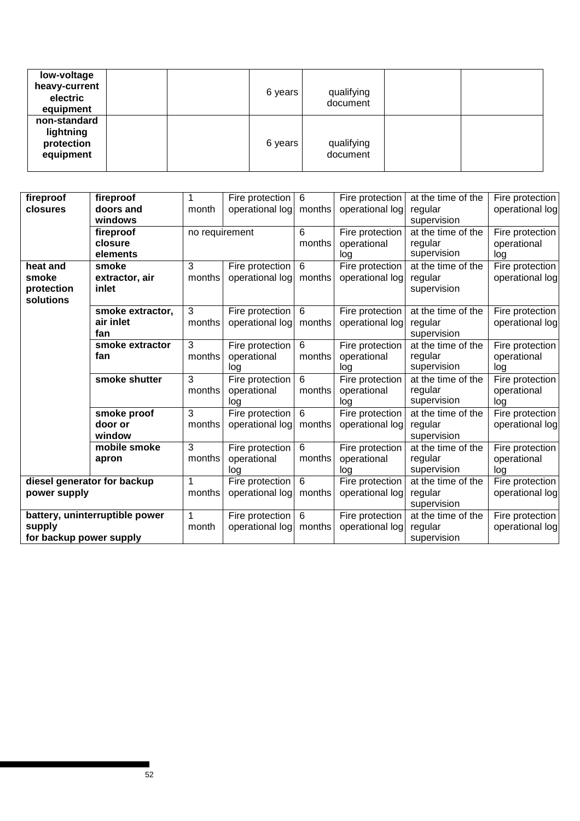| low-voltage<br>heavy-current<br>electric<br>equipment |  | 6 years | qualifying<br>document |  |
|-------------------------------------------------------|--|---------|------------------------|--|
| non-standard<br>lightning<br>protection<br>equipment  |  | 6 years | qualifying<br>document |  |

| fireproof                   | fireproof                      |                | Fire protection | 6               | Fire protection | at the time of the | Fire protection |
|-----------------------------|--------------------------------|----------------|-----------------|-----------------|-----------------|--------------------|-----------------|
| closures                    | doors and                      | month          | operational log | months          | operational log | regular            | operational log |
|                             | windows                        |                |                 |                 |                 | supervision        |                 |
|                             | fireproof                      | no requirement |                 | 6               | Fire protection | at the time of the | Fire protection |
|                             | closure                        |                |                 | months          | operational     | regular            | operational     |
|                             | elements                       |                |                 |                 | log             | supervision        | log             |
| heat and                    | smoke                          | 3              | Fire protection | 6               | Fire protection | at the time of the | Fire protection |
| smoke                       | extractor, air                 | months         | operational log | months          | operational log | regular            | operational log |
| protection                  | inlet                          |                |                 |                 |                 | supervision        |                 |
| solutions                   |                                |                |                 |                 |                 |                    |                 |
|                             | smoke extractor,               | 3              | Fire protection | $6\phantom{1}6$ | Fire protection | at the time of the | Fire protection |
|                             | air inlet                      | months         | operational log | months          | operational log | regular            | operational log |
|                             | fan                            |                |                 |                 |                 | supervision        |                 |
|                             | smoke extractor                | 3              | Fire protection | 6               | Fire protection | at the time of the | Fire protection |
|                             | fan                            | months         | operational     | months          | operational     | regular            | operational     |
|                             |                                |                | log             |                 | log             | supervision        | log             |
|                             | smoke shutter                  | 3              | Fire protection | $6\phantom{1}6$ | Fire protection | at the time of the | Fire protection |
|                             |                                | months         | operational     | months          | operational     | regular            | operational     |
|                             |                                |                | log             |                 | log             | supervision        | log             |
|                             | smoke proof                    | 3              | Fire protection | $6\phantom{1}6$ | Fire protection | at the time of the | Fire protection |
|                             | door or                        | months         | operational log | months          | operational log | regular            | operational log |
|                             | window                         |                |                 |                 |                 | supervision        |                 |
|                             | mobile smoke                   | 3              | Fire protection | 6               | Fire protection | at the time of the | Fire protection |
|                             | apron                          | months         | operational     | months          | operational     | regular            | operational     |
|                             |                                |                | log             |                 | log             | supervision        | log             |
| diesel generator for backup |                                | 1              | Fire protection | $\overline{6}$  | Fire protection | at the time of the | Fire protection |
| power supply                |                                | months         | operational log | months          | operational log | regular            | operational log |
|                             |                                |                |                 |                 |                 | supervision        |                 |
|                             | battery, uninterruptible power | 1              | Fire protection | $6\phantom{1}6$ | Fire protection | at the time of the | Fire protection |
| supply                      |                                | month          | operational log | months          | operational log | regular            | operational log |
| for backup power supply     |                                |                |                 |                 |                 | supervision        |                 |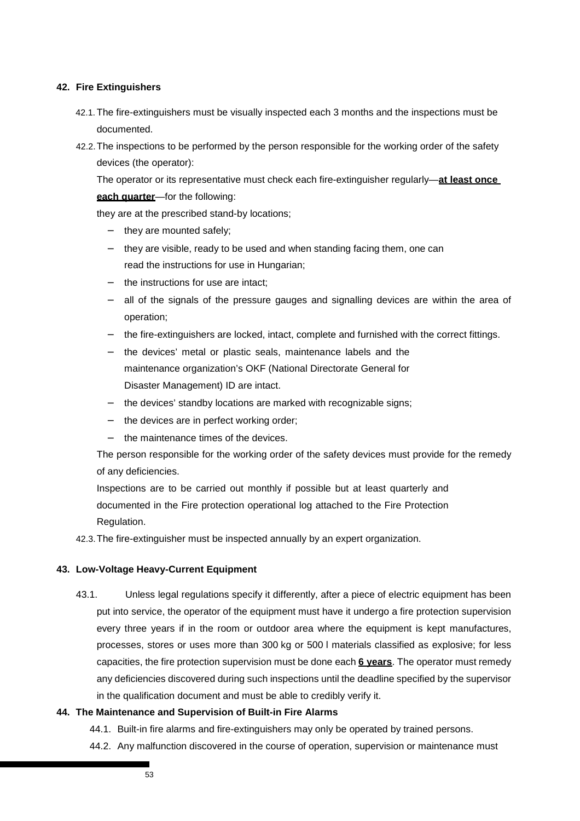## **42. Fire Extinguishers**

- 42.1. The fire-extinguishers must be visually inspected each 3 months and the inspections must be documented.
- 42.2. The inspections to be performed by the person responsible for the working order of the safety devices (the operator):

The operator or its representative must check each fire-extinguisher regularly—**at least once each quarter**—for the following:

they are at the prescribed stand-by locations;

- they are mounted safely:
- − they are visible, ready to be used and when standing facing them, one can read the instructions for use in Hungarian;
- − the instructions for use are intact;
- − all of the signals of the pressure gauges and signalling devices are within the area of operation;
- − the fire-extinguishers are locked, intact, complete and furnished with the correct fittings.
- − the devices' metal or plastic seals, maintenance labels and the maintenance organization's OKF (National Directorate General for Disaster Management) ID are intact.
- the devices' standby locations are marked with recognizable signs;
- the devices are in perfect working order;
- the maintenance times of the devices.

The person responsible for the working order of the safety devices must provide for the remedy of any deficiencies.

Inspections are to be carried out monthly if possible but at least quarterly and documented in the Fire protection operational log attached to the Fire Protection Regulation.

42.3. The fire-extinguisher must be inspected annually by an expert organization.

#### **43. Low-Voltage Heavy-Current Equipment**

43.1. Unless legal regulations specify it differently, after a piece of electric equipment has been put into service, the operator of the equipment must have it undergo a fire protection supervision every three years if in the room or outdoor area where the equipment is kept manufactures, processes, stores or uses more than 300 kg or 500 l materials classified as explosive; for less capacities, the fire protection supervision must be done each **6 years**. The operator must remedy any deficiencies discovered during such inspections until the deadline specified by the supervisor in the qualification document and must be able to credibly verify it.

#### **44. The Maintenance and Supervision of Built-in Fire Alarms**

- 44.1. Built-in fire alarms and fire-extinguishers may only be operated by trained persons.
- 44.2. Any malfunction discovered in the course of operation, supervision or maintenance must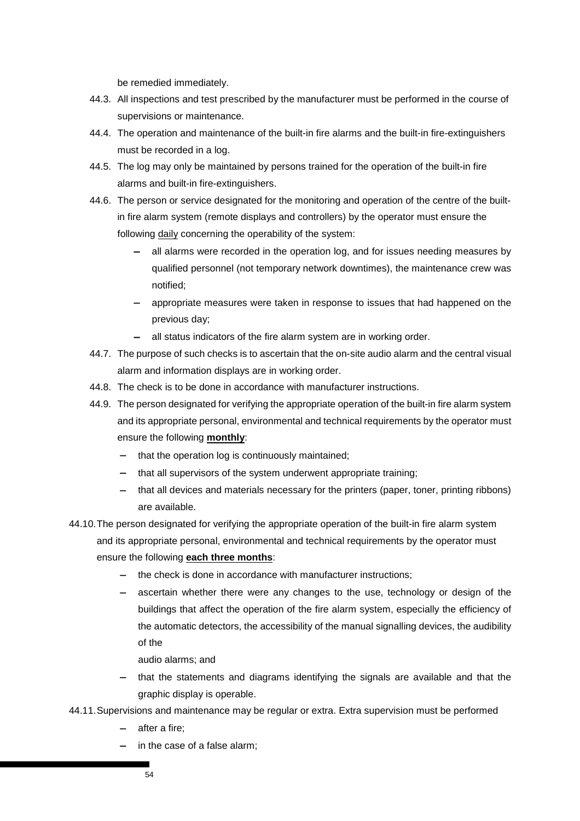be remedied immediately.

- 44.3. All inspections and test prescribed by the manufacturer must be performed in the course of supervisions or maintenance.
- 44.4. The operation and maintenance of the built-in fire alarms and the built-in fire-extinguishers must be recorded in a log.
- 44.5. The log may only be maintained by persons trained for the operation of the built-in fire alarms and built-in fire-extinguishers.
- 44.6. The person or service designated for the monitoring and operation of the centre of the builtin fire alarm system (remote displays and controllers) by the operator must ensure the following daily concerning the operability of the system:
	- all alarms were recorded in the operation log, and for issues needing measures by qualified personnel (not temporary network downtimes), the maintenance crew was notified;
	- − appropriate measures were taken in response to issues that had happened on the previous day;
	- − all status indicators of the fire alarm system are in working order.
- 44.7. The purpose of such checks is to ascertain that the on-site audio alarm and the central visual alarm and information displays are in working order.
- 44.8. The check is to be done in accordance with manufacturer instructions.
- 44.9. The person designated for verifying the appropriate operation of the built-in fire alarm system and its appropriate personal, environmental and technical requirements by the operator must ensure the following **monthly**:
	- − that the operation log is continuously maintained;
	- that all supervisors of the system underwent appropriate training;
	- − that all devices and materials necessary for the printers (paper, toner, printing ribbons) are available.
- 44.10. The person designated for verifying the appropriate operation of the built-in fire alarm system and its appropriate personal, environmental and technical requirements by the operator must ensure the following **each three months**:
	- the check is done in accordance with manufacturer instructions;
	- − ascertain whether there were any changes to the use, technology or design of the buildings that affect the operation of the fire alarm system, especially the efficiency of the automatic detectors, the accessibility of the manual signalling devices, the audibility of the
		- audio alarms; and
	- that the statements and diagrams identifying the signals are available and that the graphic display is operable.
- 44.11. Supervisions and maintenance may be regular or extra. Extra supervision must be performed
	- − after a fire;
	- in the case of a false alarm;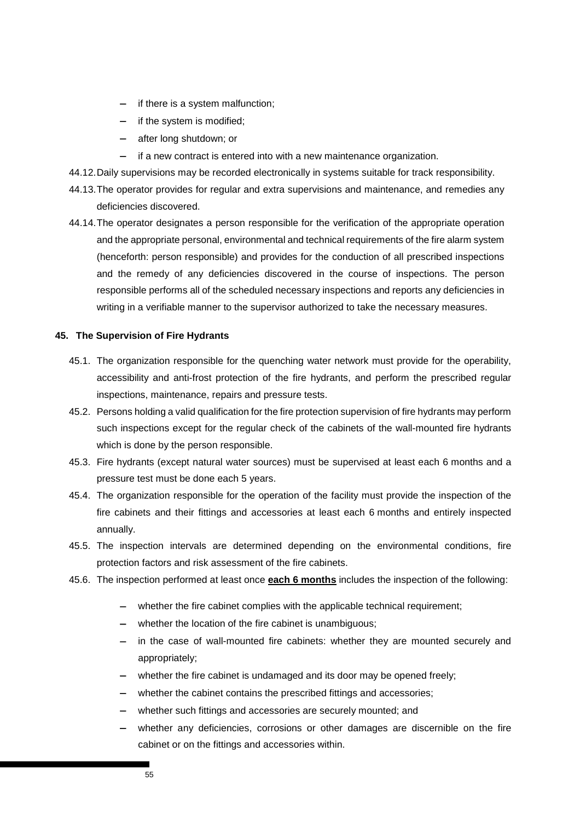- − if there is a system malfunction;
- − if the system is modified;
- − after long shutdown; or
- if a new contract is entered into with a new maintenance organization.
- 44.12. Daily supervisions may be recorded electronically in systems suitable for track responsibility.
- 44.13. The operator provides for regular and extra supervisions and maintenance, and remedies any deficiencies discovered.
- 44.14. The operator designates a person responsible for the verification of the appropriate operation and the appropriate personal, environmental and technical requirements of the fire alarm system (henceforth: person responsible) and provides for the conduction of all prescribed inspections and the remedy of any deficiencies discovered in the course of inspections. The person responsible performs all of the scheduled necessary inspections and reports any deficiencies in writing in a verifiable manner to the supervisor authorized to take the necessary measures.

## **45. The Supervision of Fire Hydrants**

- 45.1. The organization responsible for the quenching water network must provide for the operability, accessibility and anti-frost protection of the fire hydrants, and perform the prescribed regular inspections, maintenance, repairs and pressure tests.
- 45.2. Persons holding a valid qualification for the fire protection supervision of fire hydrants may perform such inspections except for the regular check of the cabinets of the wall-mounted fire hydrants which is done by the person responsible.
- 45.3. Fire hydrants (except natural water sources) must be supervised at least each 6 months and a pressure test must be done each 5 years.
- 45.4. The organization responsible for the operation of the facility must provide the inspection of the fire cabinets and their fittings and accessories at least each 6 months and entirely inspected annually.
- 45.5. The inspection intervals are determined depending on the environmental conditions, fire protection factors and risk assessment of the fire cabinets.
- 45.6. The inspection performed at least once **each 6 months** includes the inspection of the following:
	- whether the fire cabinet complies with the applicable technical requirement;
	- whether the location of the fire cabinet is unambiguous;
	- − in the case of wall-mounted fire cabinets: whether they are mounted securely and appropriately;
	- whether the fire cabinet is undamaged and its door may be opened freely;
	- − whether the cabinet contains the prescribed fittings and accessories;
	- − whether such fittings and accessories are securely mounted; and
	- whether any deficiencies, corrosions or other damages are discernible on the fire cabinet or on the fittings and accessories within.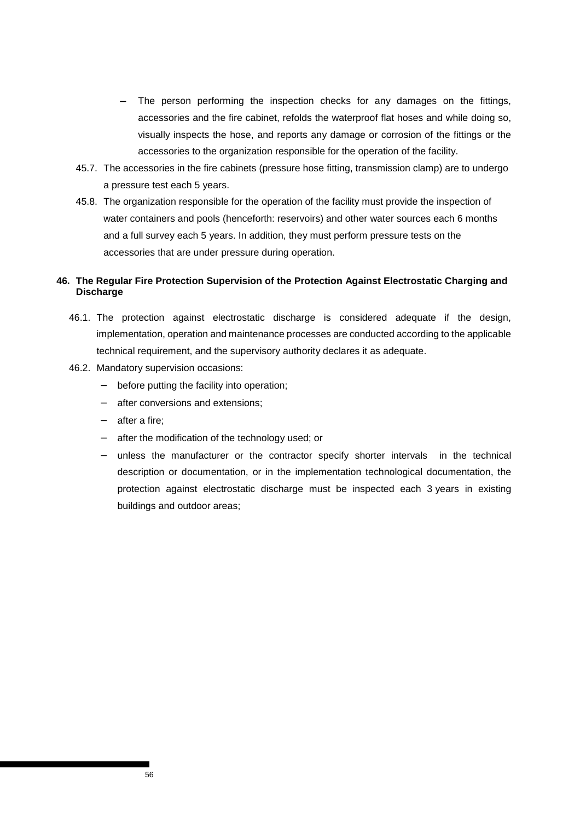- The person performing the inspection checks for any damages on the fittings, accessories and the fire cabinet, refolds the waterproof flat hoses and while doing so, visually inspects the hose, and reports any damage or corrosion of the fittings or the accessories to the organization responsible for the operation of the facility.
- 45.7. The accessories in the fire cabinets (pressure hose fitting, transmission clamp) are to undergo a pressure test each 5 years.
- 45.8. The organization responsible for the operation of the facility must provide the inspection of water containers and pools (henceforth: reservoirs) and other water sources each 6 months and a full survey each 5 years. In addition, they must perform pressure tests on the accessories that are under pressure during operation.

## **46. The Regular Fire Protection Supervision of the Protection Against Electrostatic Charging and Discharge**

- 46.1. The protection against electrostatic discharge is considered adequate if the design, implementation, operation and maintenance processes are conducted according to the applicable technical requirement, and the supervisory authority declares it as adequate.
- 46.2. Mandatory supervision occasions:
	- before putting the facility into operation;
	- after conversions and extensions;
	- − after a fire;
	- − after the modification of the technology used; or
	- unless the manufacturer or the contractor specify shorter intervals in the technical description or documentation, or in the implementation technological documentation, the protection against electrostatic discharge must be inspected each 3 years in existing buildings and outdoor areas;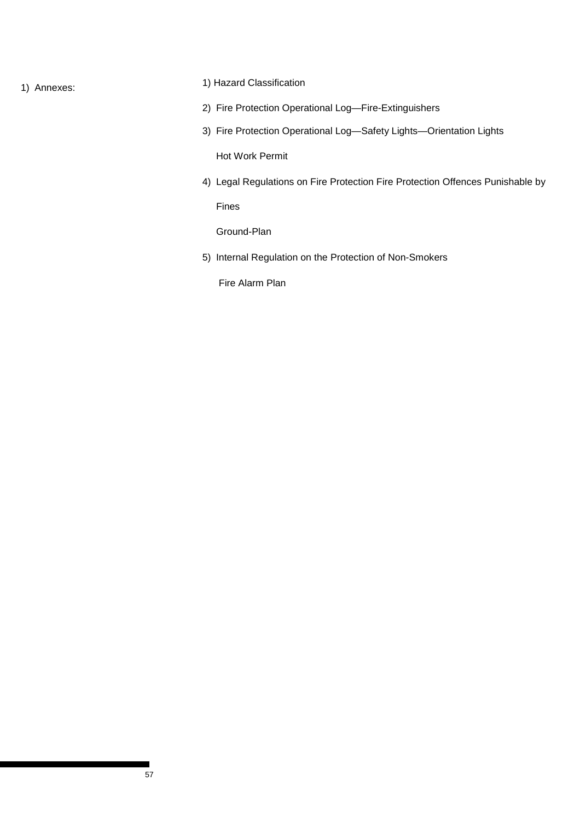# 1) Annexes: 1) Hazard Classification

- 2) Fire Protection Operational Log—Fire-Extinguishers
- 3) Fire Protection Operational Log—Safety Lights—Orientation Lights

Hot Work Permit

4) Legal Regulations on Fire Protection Fire Protection Offences Punishable by

Fines

Ground-Plan

5) Internal Regulation on the Protection of Non-Smokers

Fire Alarm Plan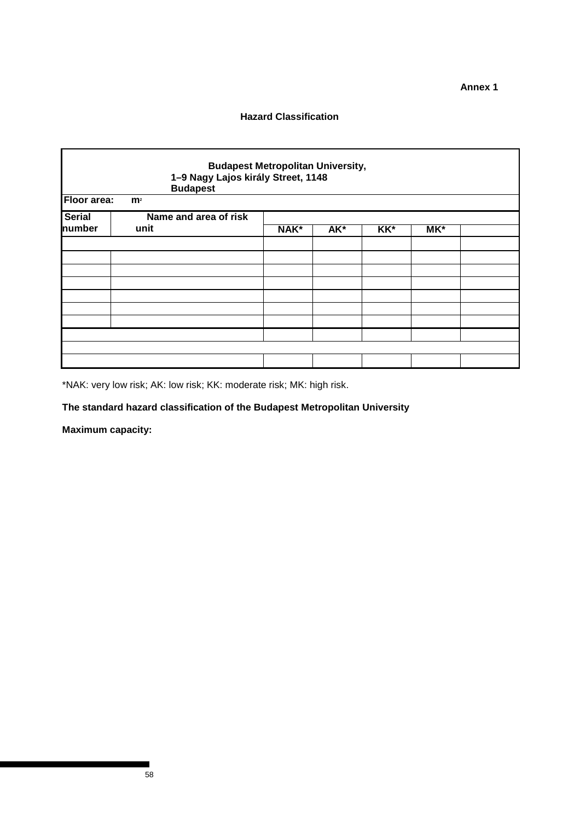**Annex 1** 

## **Hazard Classification**

| <b>Budapest Metropolitan University,</b><br>1-9 Nagy Lajos király Street, 1148<br><b>Budapest</b><br>Floor area: |                |                 |        |       |  |  |  |  |  |
|------------------------------------------------------------------------------------------------------------------|----------------|-----------------|--------|-------|--|--|--|--|--|
| Name and area of risk<br>unit                                                                                    | NAK*           | AK <sup>*</sup> | $KK^*$ | $MK*$ |  |  |  |  |  |
|                                                                                                                  |                |                 |        |       |  |  |  |  |  |
|                                                                                                                  |                |                 |        |       |  |  |  |  |  |
|                                                                                                                  |                |                 |        |       |  |  |  |  |  |
|                                                                                                                  |                |                 |        |       |  |  |  |  |  |
|                                                                                                                  | m <sup>2</sup> |                 |        |       |  |  |  |  |  |

\*NAK: very low risk; AK: low risk; KK: moderate risk; MK: high risk.

## **The standard hazard classification of the Budapest Metropolitan University**

**Maximum capacity:**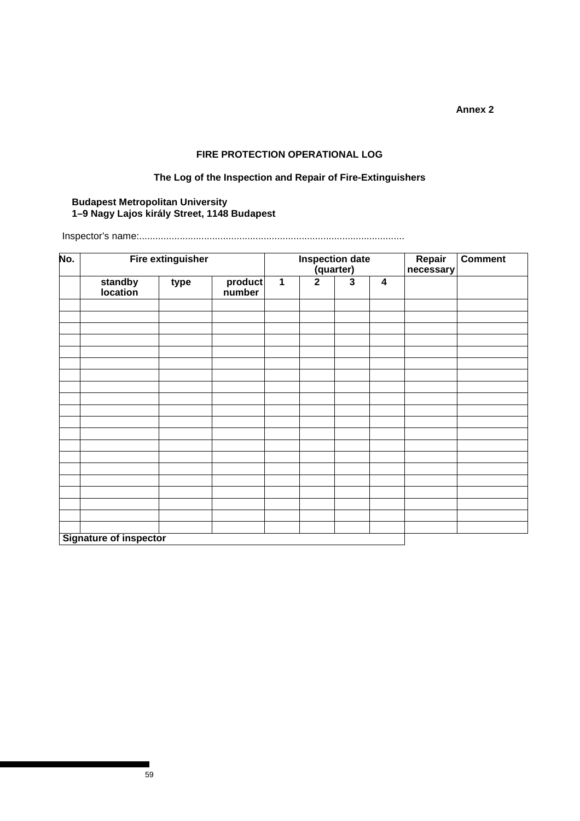**Annex 2** 

## **FIRE PROTECTION OPERATIONAL LOG**

## **The Log of the Inspection and Repair of Fire-Extinguishers**

## **Budapest Metropolitan University 1–9 Nagy Lajos király Street, 1148 Budapest**

Inspector's name:..................................................................................................

| No. | <b>Fire extinguisher</b>      |      |                   |                         | Inspection date<br>(quarter) |                         | Repair<br>necessary     | <b>Comment</b> |  |
|-----|-------------------------------|------|-------------------|-------------------------|------------------------------|-------------------------|-------------------------|----------------|--|
|     | standby<br>location           | type | product<br>number | $\overline{\mathbf{1}}$ | $\overline{2}$               | $\overline{\mathbf{3}}$ | $\overline{\mathbf{4}}$ |                |  |
|     |                               |      |                   |                         |                              |                         |                         |                |  |
|     |                               |      |                   |                         |                              |                         |                         |                |  |
|     |                               |      |                   |                         |                              |                         |                         |                |  |
|     |                               |      |                   |                         |                              |                         |                         |                |  |
|     |                               |      |                   |                         |                              |                         |                         |                |  |
|     |                               |      |                   |                         |                              |                         |                         |                |  |
|     |                               |      |                   |                         |                              |                         |                         |                |  |
|     |                               |      |                   |                         |                              |                         |                         |                |  |
|     |                               |      |                   |                         |                              |                         |                         |                |  |
|     |                               |      |                   |                         |                              |                         |                         |                |  |
|     |                               |      |                   |                         |                              |                         |                         |                |  |
|     |                               |      |                   |                         |                              |                         |                         |                |  |
|     |                               |      |                   |                         |                              |                         |                         |                |  |
|     |                               |      |                   |                         |                              |                         |                         |                |  |
|     |                               |      |                   |                         |                              |                         |                         |                |  |
|     |                               |      |                   |                         |                              |                         |                         |                |  |
|     |                               |      |                   |                         |                              |                         |                         |                |  |
|     |                               |      |                   |                         |                              |                         |                         |                |  |
|     |                               |      |                   |                         |                              |                         |                         |                |  |
|     |                               |      |                   |                         |                              |                         |                         |                |  |
|     | <b>Signature of inspector</b> |      |                   |                         |                              |                         |                         |                |  |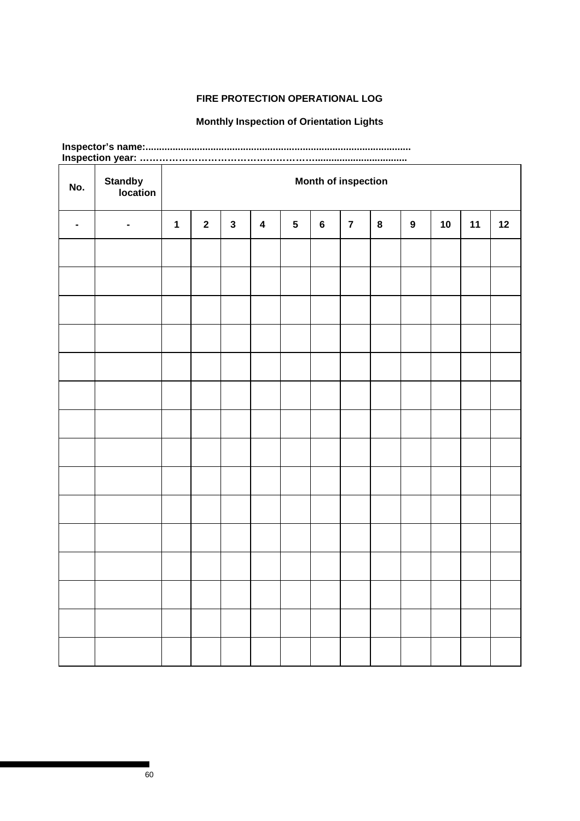# **FIRE PROTECTION OPERATIONAL LOG**

## **Monthly Inspection of Orientation Lights**

| No.            | <b>Standby</b><br>location |             | <b>Month of inspection</b> |              |   |            |         |                |   |   |    |    |    |
|----------------|----------------------------|-------------|----------------------------|--------------|---|------------|---------|----------------|---|---|----|----|----|
| $\blacksquare$ | $\blacksquare$             | $\mathbf 1$ | $\mathbf{2}$               | $\mathbf{3}$ | 4 | $\sqrt{5}$ | $\bf 6$ | $\overline{7}$ | 8 | 9 | 10 | 11 | 12 |
|                |                            |             |                            |              |   |            |         |                |   |   |    |    |    |
|                |                            |             |                            |              |   |            |         |                |   |   |    |    |    |
|                |                            |             |                            |              |   |            |         |                |   |   |    |    |    |
|                |                            |             |                            |              |   |            |         |                |   |   |    |    |    |
|                |                            |             |                            |              |   |            |         |                |   |   |    |    |    |
|                |                            |             |                            |              |   |            |         |                |   |   |    |    |    |
|                |                            |             |                            |              |   |            |         |                |   |   |    |    |    |
|                |                            |             |                            |              |   |            |         |                |   |   |    |    |    |
|                |                            |             |                            |              |   |            |         |                |   |   |    |    |    |
|                |                            |             |                            |              |   |            |         |                |   |   |    |    |    |
|                |                            |             |                            |              |   |            |         |                |   |   |    |    |    |
|                |                            |             |                            |              |   |            |         |                |   |   |    |    |    |
|                |                            |             |                            |              |   |            |         |                |   |   |    |    |    |
|                |                            |             |                            |              |   |            |         |                |   |   |    |    |    |
|                |                            |             |                            |              |   |            |         |                |   |   |    |    |    |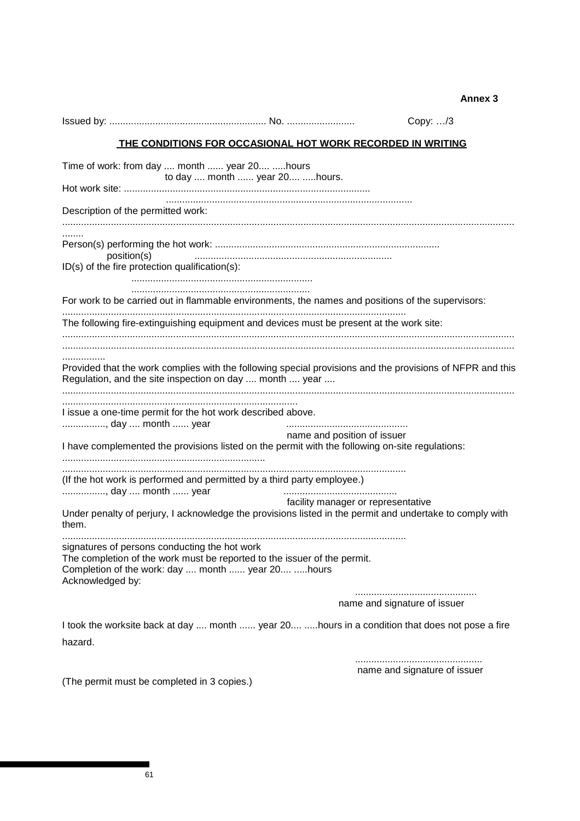**Annex 3** 

|                                                               |                                                                                                                                                                                |                                    | Copy: /3                     |
|---------------------------------------------------------------|--------------------------------------------------------------------------------------------------------------------------------------------------------------------------------|------------------------------------|------------------------------|
|                                                               | <u>THE CONDITIONS FOR OCCASIONAL HOT WORK RECORDED IN WRITING</u>                                                                                                              |                                    |                              |
|                                                               | Time of work: from day  month  year 20 hours                                                                                                                                   |                                    |                              |
|                                                               | to day  month  year 20 hours.                                                                                                                                                  |                                    |                              |
| Description of the permitted work:                            |                                                                                                                                                                                |                                    |                              |
| position(s)<br>ID(s) of the fire protection qualification(s): |                                                                                                                                                                                |                                    |                              |
|                                                               |                                                                                                                                                                                |                                    |                              |
|                                                               | For work to be carried out in flammable environments, the names and positions of the supervisors:                                                                              |                                    |                              |
|                                                               | The following fire-extinguishing equipment and devices must be present at the work site:                                                                                       |                                    |                              |
|                                                               |                                                                                                                                                                                |                                    |                              |
| .                                                             | Provided that the work complies with the following special provisions and the provisions of NFPR and this<br>Regulation, and the site inspection on day  month  year           |                                    |                              |
| , day  month  year                                            | I issue a one-time permit for the hot work described above.                                                                                                                    |                                    |                              |
|                                                               | I have complemented the provisions listed on the permit with the following on-site regulations:                                                                                | name and position of issuer        |                              |
|                                                               | (If the hot work is performed and permitted by a third party employee.)                                                                                                        |                                    |                              |
| , day  month  year<br>them.                                   | Under penalty of perjury, I acknowledge the provisions listed in the permit and undertake to comply with                                                                       | facility manager or representative |                              |
| Acknowledged by:                                              | signatures of persons conducting the hot work<br>The completion of the work must be reported to the issuer of the permit.<br>Completion of the work: day  month  year 20 hours |                                    |                              |
|                                                               |                                                                                                                                                                                |                                    | name and signature of issuer |
| hazard.                                                       | I took the worksite back at day  month  year 20 hours in a condition that does not pose a fire                                                                                 |                                    |                              |
|                                                               |                                                                                                                                                                                |                                    |                              |
| (The permit must be completed in 3 copies.)                   |                                                                                                                                                                                |                                    | name and signature of issuer |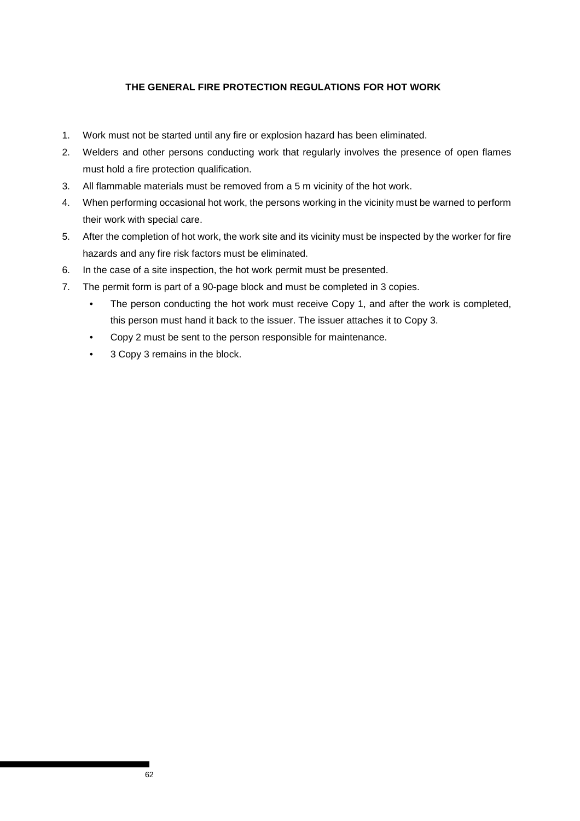## **THE GENERAL FIRE PROTECTION REGULATIONS FOR HOT WORK**

- 1. Work must not be started until any fire or explosion hazard has been eliminated.
- 2. Welders and other persons conducting work that regularly involves the presence of open flames must hold a fire protection qualification.
- 3. All flammable materials must be removed from a 5 m vicinity of the hot work.
- 4. When performing occasional hot work, the persons working in the vicinity must be warned to perform their work with special care.
- 5. After the completion of hot work, the work site and its vicinity must be inspected by the worker for fire hazards and any fire risk factors must be eliminated.
- 6. In the case of a site inspection, the hot work permit must be presented.
- 7. The permit form is part of a 90-page block and must be completed in 3 copies.
	- The person conducting the hot work must receive Copy 1, and after the work is completed, this person must hand it back to the issuer. The issuer attaches it to Copy 3.
	- Copy 2 must be sent to the person responsible for maintenance.
	- 3 Copy 3 remains in the block.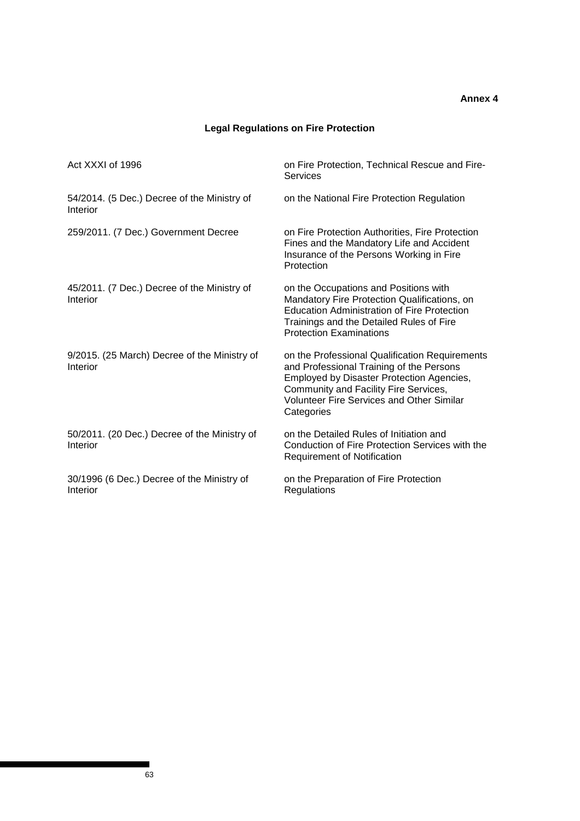## **Annex 4**

# **Legal Regulations on Fire Protection**

| Act XXXI of 1996                                         | on Fire Protection, Technical Rescue and Fire-<br>Services                                                                                                                                                                                                |
|----------------------------------------------------------|-----------------------------------------------------------------------------------------------------------------------------------------------------------------------------------------------------------------------------------------------------------|
| 54/2014. (5 Dec.) Decree of the Ministry of<br>Interior  | on the National Fire Protection Regulation                                                                                                                                                                                                                |
| 259/2011. (7 Dec.) Government Decree                     | on Fire Protection Authorities, Fire Protection<br>Fines and the Mandatory Life and Accident<br>Insurance of the Persons Working in Fire<br>Protection                                                                                                    |
| 45/2011. (7 Dec.) Decree of the Ministry of<br>Interior  | on the Occupations and Positions with<br>Mandatory Fire Protection Qualifications, on<br><b>Education Administration of Fire Protection</b><br>Trainings and the Detailed Rules of Fire<br><b>Protection Examinations</b>                                 |
| 9/2015. (25 March) Decree of the Ministry of<br>Interior | on the Professional Qualification Requirements<br>and Professional Training of the Persons<br><b>Employed by Disaster Protection Agencies,</b><br>Community and Facility Fire Services,<br><b>Volunteer Fire Services and Other Similar</b><br>Categories |
| 50/2011. (20 Dec.) Decree of the Ministry of<br>Interior | on the Detailed Rules of Initiation and<br>Conduction of Fire Protection Services with the<br><b>Requirement of Notification</b>                                                                                                                          |
| 30/1996 (6 Dec.) Decree of the Ministry of<br>Interior   | on the Preparation of Fire Protection<br>Regulations                                                                                                                                                                                                      |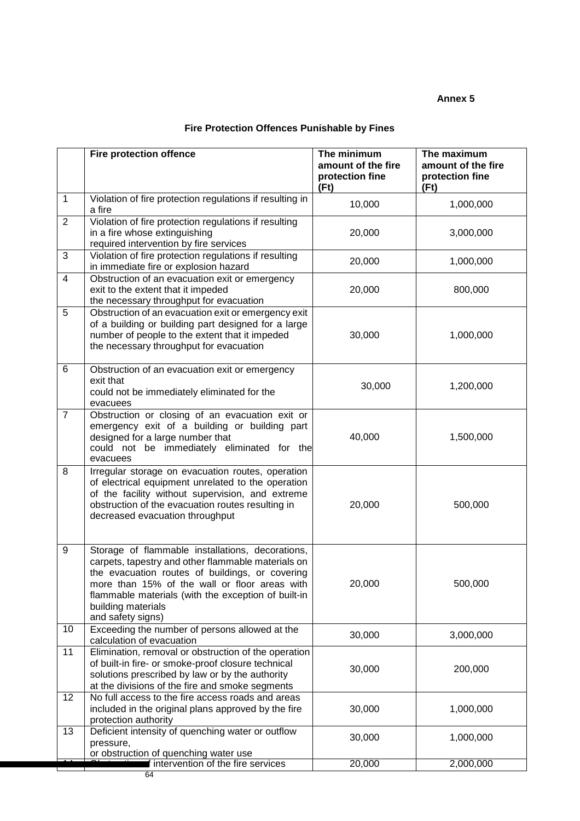## **Annex 5**

|                | <b>Fire protection offence</b>                                                                                                                                                                                                                                                                               | The minimum<br>amount of the fire<br>protection fine<br>(Ft) | The maximum<br>amount of the fire<br>protection fine<br>(Ft) |
|----------------|--------------------------------------------------------------------------------------------------------------------------------------------------------------------------------------------------------------------------------------------------------------------------------------------------------------|--------------------------------------------------------------|--------------------------------------------------------------|
| 1              | Violation of fire protection regulations if resulting in<br>a fire                                                                                                                                                                                                                                           | 10,000                                                       | 1,000,000                                                    |
| $\overline{2}$ | Violation of fire protection regulations if resulting<br>in a fire whose extinguishing<br>required intervention by fire services                                                                                                                                                                             | 20,000                                                       | 3,000,000                                                    |
| 3              | Violation of fire protection regulations if resulting<br>in immediate fire or explosion hazard                                                                                                                                                                                                               | 20,000                                                       | 1,000,000                                                    |
| $\overline{4}$ | Obstruction of an evacuation exit or emergency<br>exit to the extent that it impeded<br>the necessary throughput for evacuation                                                                                                                                                                              | 20,000                                                       | 800,000                                                      |
| 5              | Obstruction of an evacuation exit or emergency exit<br>of a building or building part designed for a large<br>number of people to the extent that it impeded<br>the necessary throughput for evacuation                                                                                                      | 30,000                                                       | 1,000,000                                                    |
| 6              | Obstruction of an evacuation exit or emergency<br>exit that<br>could not be immediately eliminated for the<br>evacuees                                                                                                                                                                                       | 30,000                                                       | 1,200,000                                                    |
| $\overline{7}$ | Obstruction or closing of an evacuation exit or<br>emergency exit of a building or building part<br>designed for a large number that<br>could not be immediately eliminated for the<br>evacuees                                                                                                              | 40,000                                                       | 1,500,000                                                    |
| 8              | Irregular storage on evacuation routes, operation<br>of electrical equipment unrelated to the operation<br>of the facility without supervision, and extreme<br>obstruction of the evacuation routes resulting in<br>decreased evacuation throughput                                                          | 20,000                                                       | 500,000                                                      |
| 9              | Storage of flammable installations, decorations,<br>carpets, tapestry and other flammable materials on<br>the evacuation routes of buildings, or covering<br>more than 15% of the wall or floor areas with<br>flammable materials (with the exception of built-in<br>building materials<br>and safety signs) | 20,000                                                       | 500,000                                                      |
| 10             | Exceeding the number of persons allowed at the<br>calculation of evacuation                                                                                                                                                                                                                                  | 30,000                                                       | 3,000,000                                                    |
| 11             | Elimination, removal or obstruction of the operation<br>of built-in fire- or smoke-proof closure technical<br>solutions prescribed by law or by the authority<br>at the divisions of the fire and smoke segments                                                                                             | 30,000                                                       | 200,000                                                      |
| 12             | No full access to the fire access roads and areas<br>included in the original plans approved by the fire<br>protection authority                                                                                                                                                                             | 30,000                                                       | 1,000,000                                                    |
| 13             | Deficient intensity of quenching water or outflow<br>pressure,<br>or obstruction of quenching water use                                                                                                                                                                                                      | 30,000                                                       | 1,000,000                                                    |
|                | intervention of the fire services                                                                                                                                                                                                                                                                            | 20,000                                                       | 2,000,000                                                    |

64

# **Fire Protection Offences Punishable by Fines**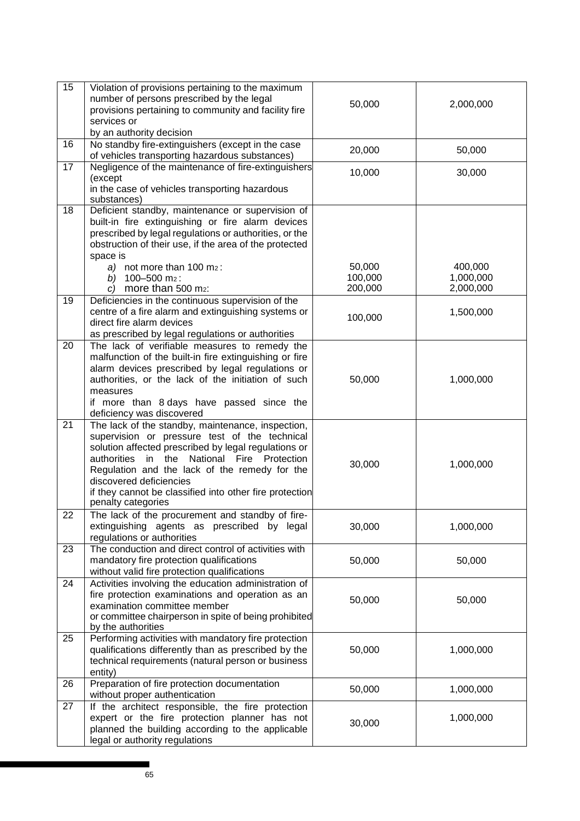| 15              | Violation of provisions pertaining to the maximum<br>number of persons prescribed by the legal<br>provisions pertaining to community and facility fire<br>services or<br>by an authority decision                                                                                                                                                                      | 50,000                       | 2,000,000                         |
|-----------------|------------------------------------------------------------------------------------------------------------------------------------------------------------------------------------------------------------------------------------------------------------------------------------------------------------------------------------------------------------------------|------------------------------|-----------------------------------|
| 16              | No standby fire-extinguishers (except in the case<br>of vehicles transporting hazardous substances)                                                                                                                                                                                                                                                                    | 20,000                       | 50,000                            |
| 17              | Negligence of the maintenance of fire-extinguishers<br>(except<br>in the case of vehicles transporting hazardous<br>substances)                                                                                                                                                                                                                                        | 10,000                       | 30,000                            |
| 18              | Deficient standby, maintenance or supervision of<br>built-in fire extinguishing or fire alarm devices<br>prescribed by legal regulations or authorities, or the<br>obstruction of their use, if the area of the protected<br>space is<br>a) not more than $100 \text{ m}_2$ :<br>b) $100 - 500$ m <sub>2</sub> :<br>c) more than $500$ m <sub>2</sub> :                | 50,000<br>100,000<br>200,000 | 400,000<br>1,000,000<br>2,000,000 |
| 19              | Deficiencies in the continuous supervision of the<br>centre of a fire alarm and extinguishing systems or<br>direct fire alarm devices<br>as prescribed by legal regulations or authorities                                                                                                                                                                             | 100,000                      | 1,500,000                         |
| 20              | The lack of verifiable measures to remedy the<br>malfunction of the built-in fire extinguishing or fire<br>alarm devices prescribed by legal regulations or<br>authorities, or the lack of the initiation of such<br>measures<br>if more than 8 days have passed since the<br>deficiency was discovered                                                                | 50,000                       | 1,000,000                         |
| $\overline{21}$ | The lack of the standby, maintenance, inspection,<br>supervision or pressure test of the technical<br>solution affected prescribed by legal regulations or<br>authorities in the National Fire Protection<br>Regulation and the lack of the remedy for the<br>discovered deficiencies<br>if they cannot be classified into other fire protection<br>penalty categories | 30,000                       | 1,000,000                         |
| 22              | The lack of the procurement and standby of fire-<br>extinguishing agents as prescribed by legal<br>regulations or authorities                                                                                                                                                                                                                                          | 30,000                       | 1,000,000                         |
| 23              | The conduction and direct control of activities with<br>mandatory fire protection qualifications<br>without valid fire protection qualifications                                                                                                                                                                                                                       | 50,000                       | 50,000                            |
| 24              | Activities involving the education administration of<br>fire protection examinations and operation as an<br>examination committee member<br>or committee chairperson in spite of being prohibited<br>by the authorities                                                                                                                                                | 50,000                       | 50,000                            |
| 25              | Performing activities with mandatory fire protection<br>qualifications differently than as prescribed by the<br>technical requirements (natural person or business<br>entity)                                                                                                                                                                                          | 50,000                       | 1,000,000                         |
| 26              | Preparation of fire protection documentation<br>without proper authentication                                                                                                                                                                                                                                                                                          | 50,000                       | 1,000,000                         |
| 27              | If the architect responsible, the fire protection<br>expert or the fire protection planner has not<br>planned the building according to the applicable<br>legal or authority regulations                                                                                                                                                                               | 30,000                       | 1,000,000                         |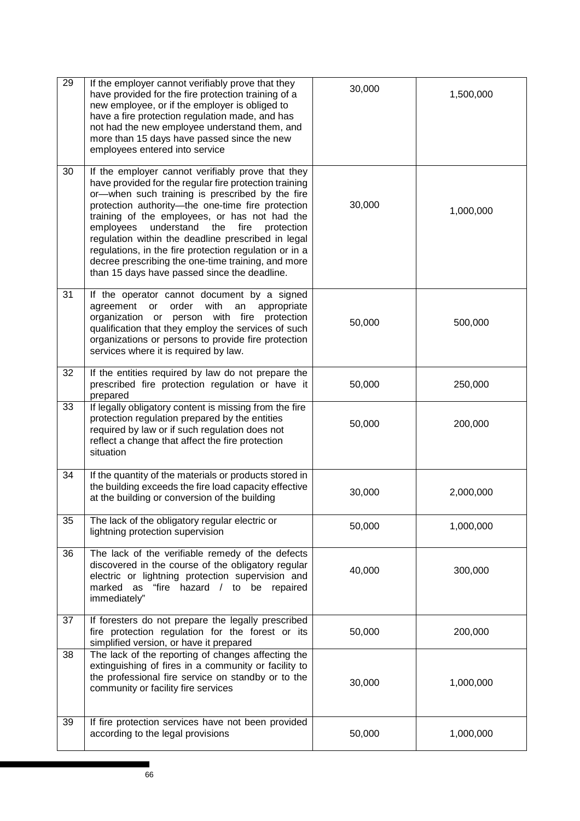| 29 | If the employer cannot verifiably prove that they<br>have provided for the fire protection training of a<br>new employee, or if the employer is obliged to<br>have a fire protection regulation made, and has<br>not had the new employee understand them, and<br>more than 15 days have passed since the new<br>employees entered into service                                                                                                                                                                                                    | 30,000 | 1,500,000 |
|----|----------------------------------------------------------------------------------------------------------------------------------------------------------------------------------------------------------------------------------------------------------------------------------------------------------------------------------------------------------------------------------------------------------------------------------------------------------------------------------------------------------------------------------------------------|--------|-----------|
| 30 | If the employer cannot verifiably prove that they<br>have provided for the regular fire protection training<br>or-when such training is prescribed by the fire<br>protection authority-the one-time fire protection<br>training of the employees, or has not had the<br>employees<br>understand<br>the<br>fire<br>protection<br>regulation within the deadline prescribed in legal<br>regulations, in the fire protection regulation or in a<br>decree prescribing the one-time training, and more<br>than 15 days have passed since the deadline. | 30,000 | 1,000,000 |
| 31 | If the operator cannot document by a signed<br>order<br>with<br>agreement<br>appropriate<br>or<br>an<br>organization or person<br>with fire<br>protection<br>qualification that they employ the services of such<br>organizations or persons to provide fire protection<br>services where it is required by law.                                                                                                                                                                                                                                   | 50,000 | 500,000   |
| 32 | If the entities required by law do not prepare the<br>prescribed fire protection regulation or have it<br>prepared                                                                                                                                                                                                                                                                                                                                                                                                                                 | 50,000 | 250,000   |
| 33 | If legally obligatory content is missing from the fire<br>protection regulation prepared by the entities<br>required by law or if such regulation does not<br>reflect a change that affect the fire protection<br>situation                                                                                                                                                                                                                                                                                                                        | 50,000 | 200,000   |
| 34 | If the quantity of the materials or products stored in<br>the building exceeds the fire load capacity effective<br>at the building or conversion of the building                                                                                                                                                                                                                                                                                                                                                                                   | 30,000 | 2,000,000 |
| 35 | The lack of the obligatory regular electric or<br>lightning protection supervision                                                                                                                                                                                                                                                                                                                                                                                                                                                                 | 50,000 | 1,000,000 |
| 36 | The lack of the verifiable remedy of the defects<br>discovered in the course of the obligatory regular<br>electric or lightning protection supervision and<br>marked as "fire hazard / to be repaired<br>immediately"                                                                                                                                                                                                                                                                                                                              | 40,000 | 300,000   |
| 37 | If foresters do not prepare the legally prescribed<br>fire protection regulation for the forest or its<br>simplified version, or have it prepared                                                                                                                                                                                                                                                                                                                                                                                                  | 50,000 | 200,000   |
| 38 | The lack of the reporting of changes affecting the<br>extinguishing of fires in a community or facility to<br>the professional fire service on standby or to the<br>community or facility fire services                                                                                                                                                                                                                                                                                                                                            | 30,000 | 1,000,000 |
| 39 | If fire protection services have not been provided<br>according to the legal provisions                                                                                                                                                                                                                                                                                                                                                                                                                                                            | 50,000 | 1,000,000 |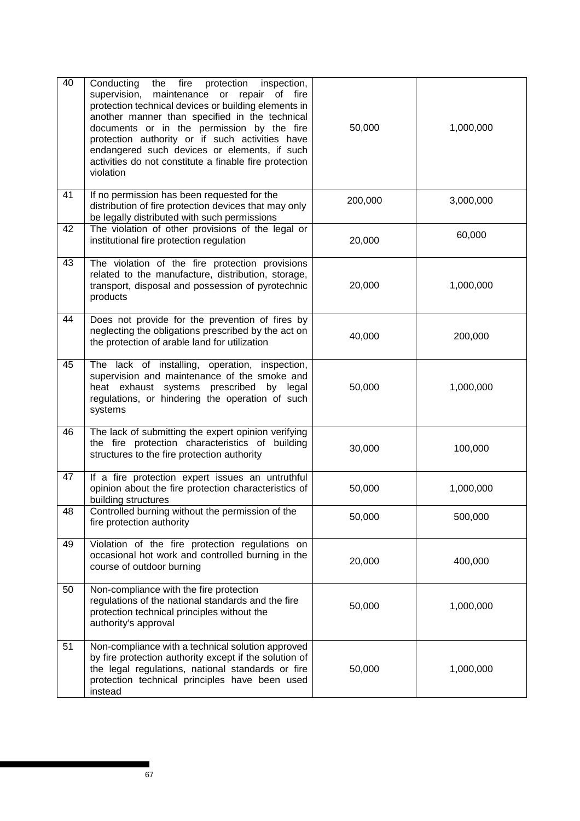| 40 | Conducting the fire<br>protection<br>inspection,<br>supervision, maintenance or repair of fire<br>protection technical devices or building elements in<br>another manner than specified in the technical<br>documents or in the permission by the fire<br>protection authority or if such activities have<br>endangered such devices or elements, if such<br>activities do not constitute a finable fire protection<br>violation | 50,000  | 1,000,000 |
|----|----------------------------------------------------------------------------------------------------------------------------------------------------------------------------------------------------------------------------------------------------------------------------------------------------------------------------------------------------------------------------------------------------------------------------------|---------|-----------|
| 41 | If no permission has been requested for the<br>distribution of fire protection devices that may only<br>be legally distributed with such permissions                                                                                                                                                                                                                                                                             | 200,000 | 3,000,000 |
| 42 | The violation of other provisions of the legal or<br>institutional fire protection regulation                                                                                                                                                                                                                                                                                                                                    | 20,000  | 60,000    |
| 43 | The violation of the fire protection provisions<br>related to the manufacture, distribution, storage,<br>transport, disposal and possession of pyrotechnic<br>products                                                                                                                                                                                                                                                           | 20,000  | 1,000,000 |
| 44 | Does not provide for the prevention of fires by<br>neglecting the obligations prescribed by the act on<br>the protection of arable land for utilization                                                                                                                                                                                                                                                                          | 40,000  | 200,000   |
| 45 | The lack of installing, operation, inspection,<br>supervision and maintenance of the smoke and<br>heat exhaust systems prescribed by legal<br>regulations, or hindering the operation of such<br>systems                                                                                                                                                                                                                         | 50,000  | 1,000,000 |
| 46 | The lack of submitting the expert opinion verifying<br>the fire protection characteristics of building<br>structures to the fire protection authority                                                                                                                                                                                                                                                                            | 30,000  | 100,000   |
| 47 | If a fire protection expert issues an untruthful<br>opinion about the fire protection characteristics of<br>building structures                                                                                                                                                                                                                                                                                                  | 50,000  | 1,000,000 |
| 48 | Controlled burning without the permission of the<br>fire protection authority                                                                                                                                                                                                                                                                                                                                                    | 50,000  | 500,000   |
| 49 | Violation of the fire protection regulations on<br>occasional hot work and controlled burning in the<br>course of outdoor burning                                                                                                                                                                                                                                                                                                | 20,000  | 400,000   |
| 50 | Non-compliance with the fire protection<br>regulations of the national standards and the fire<br>protection technical principles without the<br>authority's approval                                                                                                                                                                                                                                                             | 50,000  | 1,000,000 |
| 51 | Non-compliance with a technical solution approved<br>by fire protection authority except if the solution of<br>the legal regulations, national standards or fire<br>protection technical principles have been used<br>instead                                                                                                                                                                                                    | 50,000  | 1,000,000 |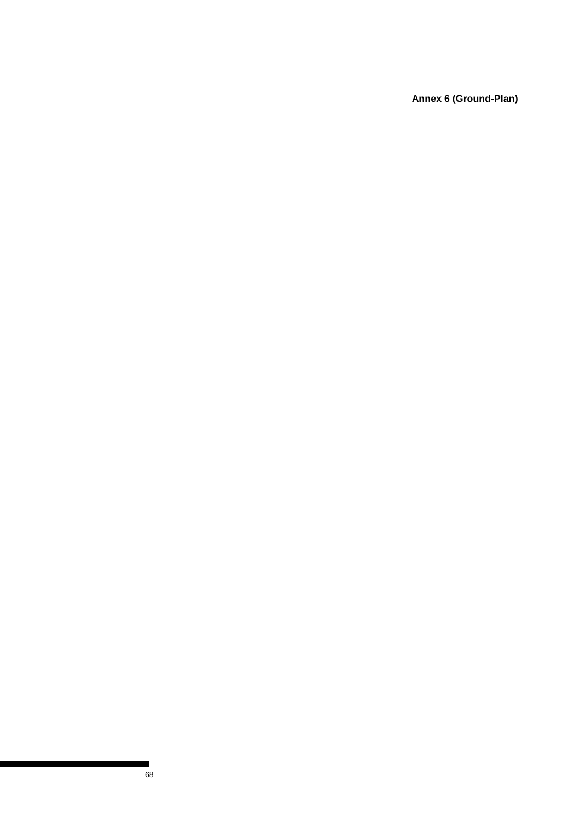**Annex 6 (Ground-Plan)**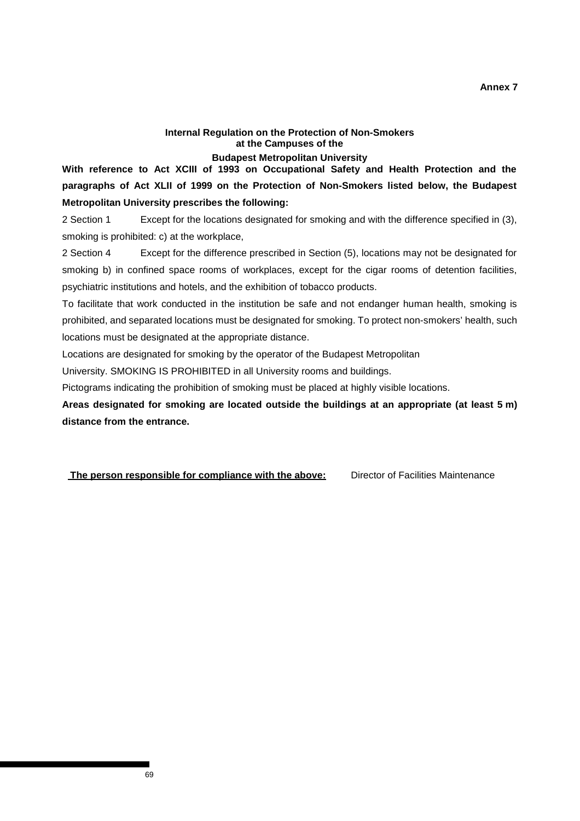## **Annex 7**

## **Internal Regulation on the Protection of Non-Smokers at the Campuses of the**

## **Budapest Metropolitan University**

**With reference to Act XCIII of 1993 on Occupational Safety and Health Protection and the paragraphs of Act XLII of 1999 on the Protection of Non-Smokers listed below, the Budapest Metropolitan University prescribes the following:** 

2 Section 1 Except for the locations designated for smoking and with the difference specified in (3), smoking is prohibited: c) at the workplace,

2 Section 4 Except for the difference prescribed in Section (5), locations may not be designated for smoking b) in confined space rooms of workplaces, except for the cigar rooms of detention facilities, psychiatric institutions and hotels, and the exhibition of tobacco products.

To facilitate that work conducted in the institution be safe and not endanger human health, smoking is prohibited, and separated locations must be designated for smoking. To protect non-smokers' health, such locations must be designated at the appropriate distance.

Locations are designated for smoking by the operator of the Budapest Metropolitan

University. SMOKING IS PROHIBITED in all University rooms and buildings.

Pictograms indicating the prohibition of smoking must be placed at highly visible locations.

**Areas designated for smoking are located outside the buildings at an appropriate (at least 5 m) distance from the entrance.** 

**The person responsible for compliance with the above:** Director of Facilities Maintenance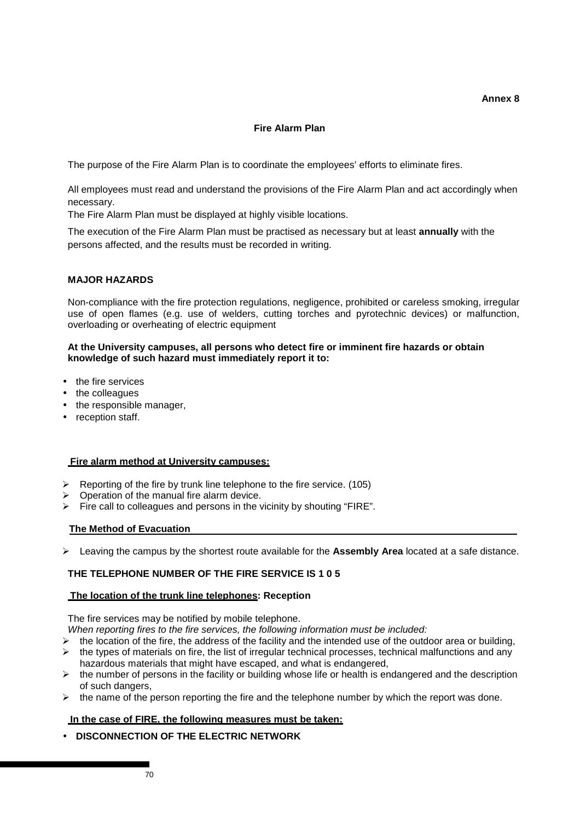# **Fire Alarm Plan**

The purpose of the Fire Alarm Plan is to coordinate the employees' efforts to eliminate fires.

All employees must read and understand the provisions of the Fire Alarm Plan and act accordingly when necessary.

The Fire Alarm Plan must be displayed at highly visible locations.

The execution of the Fire Alarm Plan must be practised as necessary but at least **annually** with the persons affected, and the results must be recorded in writing.

# **MAJOR HAZARDS**

Non-compliance with the fire protection regulations, negligence, prohibited or careless smoking, irregular use of open flames (e.g. use of welders, cutting torches and pyrotechnic devices) or malfunction, overloading or overheating of electric equipment

## **At the University campuses, all persons who detect fire or imminent fire hazards or obtain knowledge of such hazard must immediately report it to:**

- the fire services
- the colleagues
- the responsible manager,
- reception staff.

#### **Fire alarm method at University campuses:**

- $\triangleright$  Reporting of the fire by trunk line telephone to the fire service. (105)
- $\triangleright$  Operation of the manual fire alarm device.
- $\triangleright$  Fire call to colleagues and persons in the vicinity by shouting "FIRE".

#### **The Method of Evacuation**

Leaving the campus by the shortest route available for the **Assembly Area** located at a safe distance.

# **THE TELEPHONE NUMBER OF THE FIRE SERVICE IS 1 0 5**

#### **The location of the trunk line telephones: Reception**

The fire services may be notified by mobile telephone.

When reporting fires to the fire services, the following information must be included:

- $\triangleright$  the location of the fire, the address of the facility and the intended use of the outdoor area or building,
- $\triangleright$  the types of materials on fire, the list of irregular technical processes, technical malfunctions and any hazardous materials that might have escaped, and what is endangered,
- $\triangleright$  the number of persons in the facility or building whose life or health is endangered and the description of such dangers,
- $\triangleright$  the name of the person reporting the fire and the telephone number by which the report was done.

#### **In the case of FIRE, the following measures must be taken:**

• **DISCONNECTION OF THE ELECTRIC NETWORK**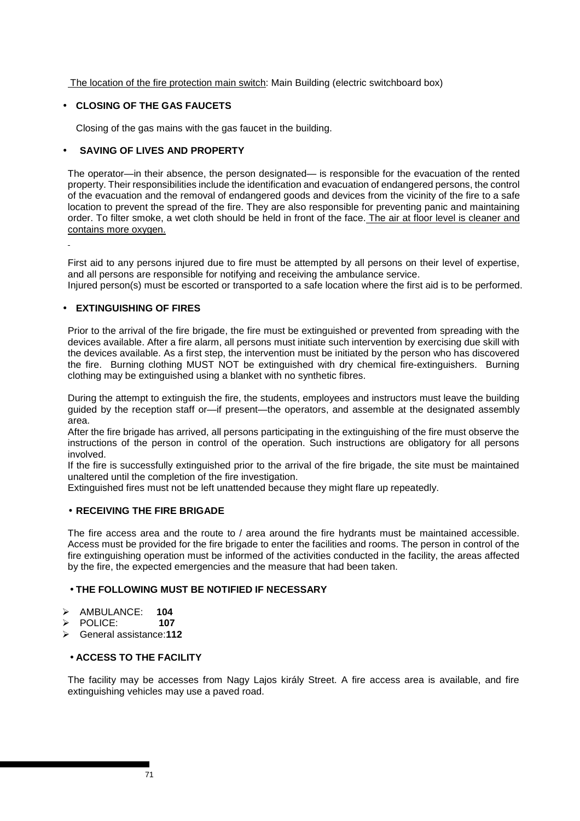The location of the fire protection main switch: Main Building (electric switchboard box)

# • **CLOSING OF THE GAS FAUCETS**

Closing of the gas mains with the gas faucet in the building.

# • **SAVING OF LIVES AND PROPERTY**

The operator—in their absence, the person designated— is responsible for the evacuation of the rented property. Their responsibilities include the identification and evacuation of endangered persons, the control of the evacuation and the removal of endangered goods and devices from the vicinity of the fire to a safe location to prevent the spread of the fire. They are also responsible for preventing panic and maintaining order. To filter smoke, a wet cloth should be held in front of the face. The air at floor level is cleaner and contains more oxygen.

First aid to any persons injured due to fire must be attempted by all persons on their level of expertise, and all persons are responsible for notifying and receiving the ambulance service.

Injured person(s) must be escorted or transported to a safe location where the first aid is to be performed.

## • **EXTINGUISHING OF FIRES**

Prior to the arrival of the fire brigade, the fire must be extinguished or prevented from spreading with the devices available. After a fire alarm, all persons must initiate such intervention by exercising due skill with the devices available. As a first step, the intervention must be initiated by the person who has discovered the fire. Burning clothing MUST NOT be extinguished with dry chemical fire-extinguishers. Burning clothing may be extinguished using a blanket with no synthetic fibres.

During the attempt to extinguish the fire, the students, employees and instructors must leave the building guided by the reception staff or—if present—the operators, and assemble at the designated assembly area.

After the fire brigade has arrived, all persons participating in the extinguishing of the fire must observe the instructions of the person in control of the operation. Such instructions are obligatory for all persons involved.

If the fire is successfully extinguished prior to the arrival of the fire brigade, the site must be maintained unaltered until the completion of the fire investigation.

Extinguished fires must not be left unattended because they might flare up repeatedly.

# • **RECEIVING THE FIRE BRIGADE**

The fire access area and the route to / area around the fire hydrants must be maintained accessible. Access must be provided for the fire brigade to enter the facilities and rooms. The person in control of the fire extinguishing operation must be informed of the activities conducted in the facility, the areas affected by the fire, the expected emergencies and the measure that had been taken.

# • **THE FOLLOWING MUST BE NOTIFIED IF NECESSARY**

- AMBULANCE: **104**
- POLICE: **107**
- General assistance:**112**

# • **ACCESS TO THE FACILITY**

The facility may be accesses from Nagy Lajos király Street. A fire access area is available, and fire extinguishing vehicles may use a paved road.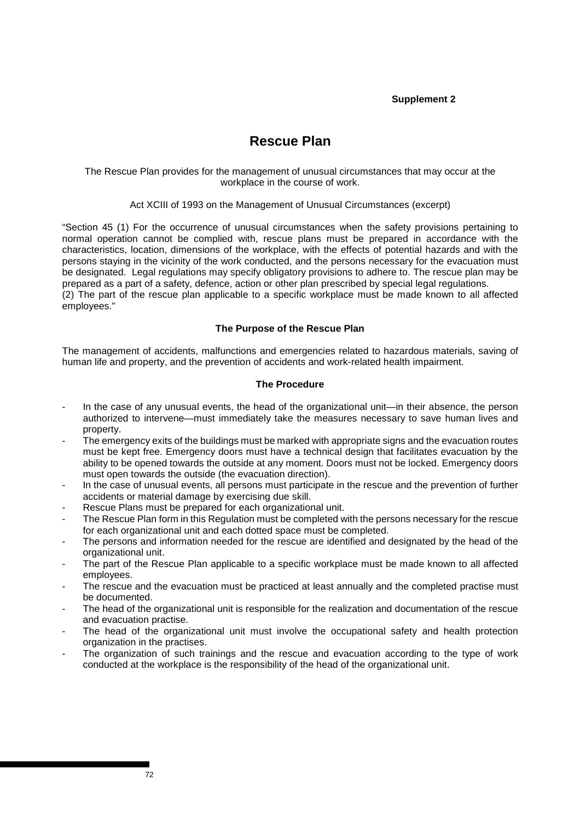# **Supplement 2**

# **Rescue Plan**

### The Rescue Plan provides for the management of unusual circumstances that may occur at the workplace in the course of work.

## Act XCIII of 1993 on the Management of Unusual Circumstances (excerpt)

"Section 45 (1) For the occurrence of unusual circumstances when the safety provisions pertaining to normal operation cannot be complied with, rescue plans must be prepared in accordance with the characteristics, location, dimensions of the workplace, with the effects of potential hazards and with the persons staying in the vicinity of the work conducted, and the persons necessary for the evacuation must be designated. Legal regulations may specify obligatory provisions to adhere to. The rescue plan may be prepared as a part of a safety, defence, action or other plan prescribed by special legal regulations. (2) The part of the rescue plan applicable to a specific workplace must be made known to all affected employees."

## **The Purpose of the Rescue Plan**

The management of accidents, malfunctions and emergencies related to hazardous materials, saving of human life and property, and the prevention of accidents and work-related health impairment.

## **The Procedure**

- In the case of any unusual events, the head of the organizational unit—in their absence, the person authorized to intervene—must immediately take the measures necessary to save human lives and property.
- The emergency exits of the buildings must be marked with appropriate signs and the evacuation routes must be kept free. Emergency doors must have a technical design that facilitates evacuation by the ability to be opened towards the outside at any moment. Doors must not be locked. Emergency doors must open towards the outside (the evacuation direction).
- In the case of unusual events, all persons must participate in the rescue and the prevention of further accidents or material damage by exercising due skill.
- Rescue Plans must be prepared for each organizational unit.
- The Rescue Plan form in this Regulation must be completed with the persons necessary for the rescue for each organizational unit and each dotted space must be completed.
- The persons and information needed for the rescue are identified and designated by the head of the organizational unit.
- The part of the Rescue Plan applicable to a specific workplace must be made known to all affected employees.
- The rescue and the evacuation must be practiced at least annually and the completed practise must be documented.
- The head of the organizational unit is responsible for the realization and documentation of the rescue and evacuation practise.
- The head of the organizational unit must involve the occupational safety and health protection organization in the practises.
- The organization of such trainings and the rescue and evacuation according to the type of work conducted at the workplace is the responsibility of the head of the organizational unit.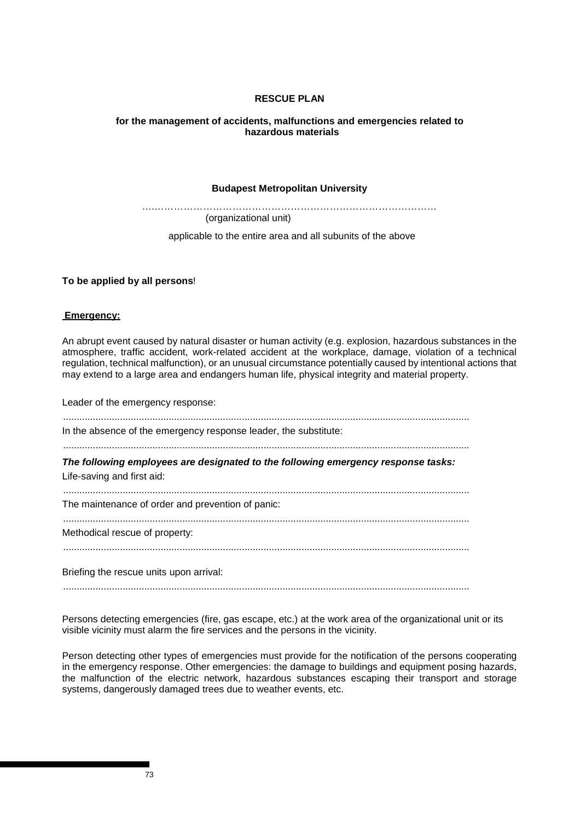## **RESCUE PLAN**

#### **for the management of accidents, malfunctions and emergencies related to hazardous materials**

#### **Budapest Metropolitan University**

….…………………………………………………………………………… (organizational unit)

applicable to the entire area and all subunits of the above

**To be applied by all persons**!

#### **Emergency:**

An abrupt event caused by natural disaster or human activity (e.g. explosion, hazardous substances in the atmosphere, traffic accident, work-related accident at the workplace, damage, violation of a technical regulation, technical malfunction), or an unusual circumstance potentially caused by intentional actions that may extend to a large area and endangers human life, physical integrity and material property.

Leader of the emergency response:

...................................................................................................................................................... In the absence of the emergency response leader, the substitute: ...................................................................................................................................................... **The following employees are designated to the following emergency response tasks:**  Life-saving and first aid: ...................................................................................................................................................... The maintenance of order and prevention of panic: ...................................................................................................................................................... Methodical rescue of property: ...................................................................................................................................................... Briefing the rescue units upon arrival:

......................................................................................................................................................

Persons detecting emergencies (fire, gas escape, etc.) at the work area of the organizational unit or its visible vicinity must alarm the fire services and the persons in the vicinity.

Person detecting other types of emergencies must provide for the notification of the persons cooperating in the emergency response. Other emergencies: the damage to buildings and equipment posing hazards, the malfunction of the electric network, hazardous substances escaping their transport and storage systems, dangerously damaged trees due to weather events, etc.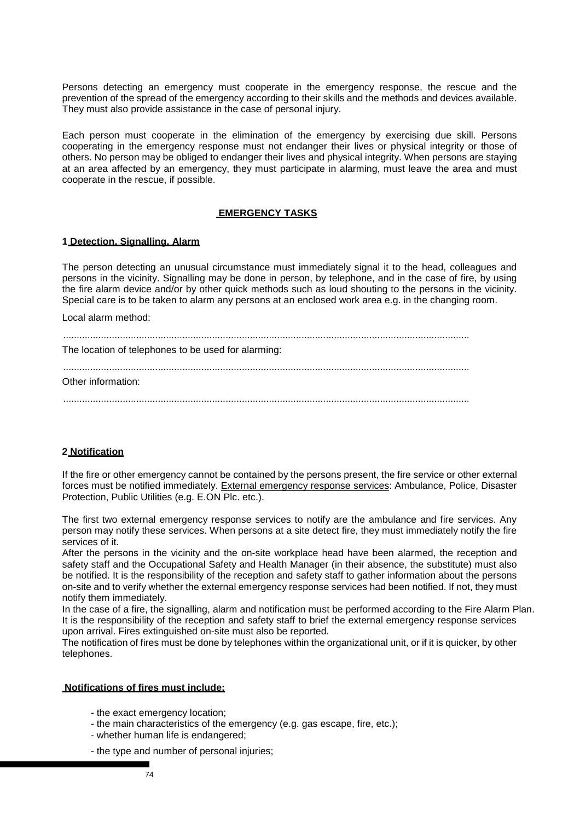Persons detecting an emergency must cooperate in the emergency response, the rescue and the prevention of the spread of the emergency according to their skills and the methods and devices available. They must also provide assistance in the case of personal injury.

Each person must cooperate in the elimination of the emergency by exercising due skill. Persons cooperating in the emergency response must not endanger their lives or physical integrity or those of others. No person may be obliged to endanger their lives and physical integrity. When persons are staying at an area affected by an emergency, they must participate in alarming, must leave the area and must cooperate in the rescue, if possible.

#### **EMERGENCY TASKS**

#### **1 Detection, Signalling, Alarm**

The person detecting an unusual circumstance must immediately signal it to the head, colleagues and persons in the vicinity. Signalling may be done in person, by telephone, and in the case of fire, by using the fire alarm device and/or by other quick methods such as loud shouting to the persons in the vicinity. Special care is to be taken to alarm any persons at an enclosed work area e.g. in the changing room.

Local alarm method:

......................................................................................................................................................

The location of telephones to be used for alarming:

......................................................................................................................................................

Other information:

......................................................................................................................................................

#### **2 Notification**

If the fire or other emergency cannot be contained by the persons present, the fire service or other external forces must be notified immediately. External emergency response services: Ambulance, Police, Disaster Protection, Public Utilities (e.g. E.ON Plc. etc.).

The first two external emergency response services to notify are the ambulance and fire services. Any person may notify these services. When persons at a site detect fire, they must immediately notify the fire services of it.

After the persons in the vicinity and the on-site workplace head have been alarmed, the reception and safety staff and the Occupational Safety and Health Manager (in their absence, the substitute) must also be notified. It is the responsibility of the reception and safety staff to gather information about the persons on-site and to verify whether the external emergency response services had been notified. If not, they must notify them immediately.

In the case of a fire, the signalling, alarm and notification must be performed according to the Fire Alarm Plan. It is the responsibility of the reception and safety staff to brief the external emergency response services upon arrival. Fires extinguished on-site must also be reported.

The notification of fires must be done by telephones within the organizational unit, or if it is quicker, by other telephones.

#### **Notifications of fires must include:**

- the exact emergency location;
- the main characteristics of the emergency (e.g. gas escape, fire, etc.);
- whether human life is endangered;
- the type and number of personal injuries;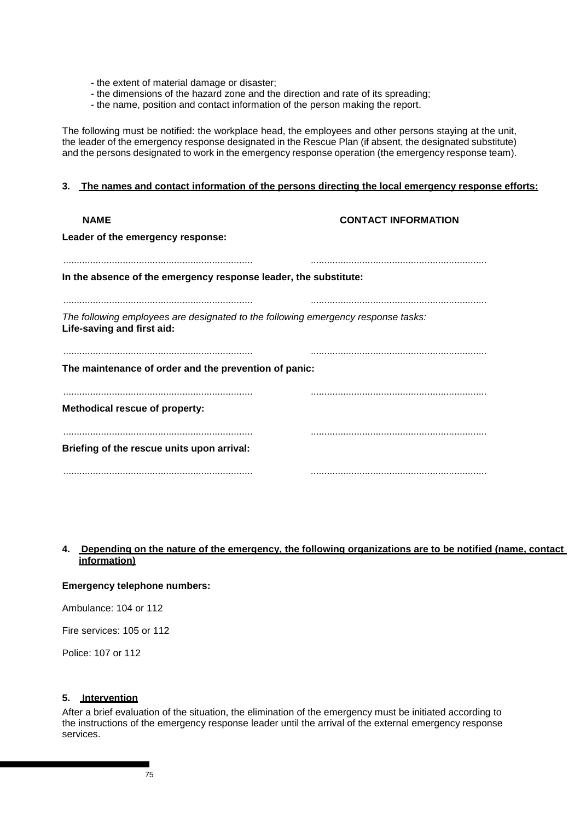- the extent of material damage or disaster;
- the dimensions of the hazard zone and the direction and rate of its spreading;
- the name, position and contact information of the person making the report.

The following must be notified: the workplace head, the employees and other persons staying at the unit, the leader of the emergency response designated in the Rescue Plan (if absent, the designated substitute) and the persons designated to work in the emergency response operation (the emergency response team).

#### **3. The names and contact information of the persons directing the local emergency response efforts:**

| <b>NAME</b>                                                                                                     | <b>CONTACT INFORMATION</b> |
|-----------------------------------------------------------------------------------------------------------------|----------------------------|
| Leader of the emergency response:                                                                               |                            |
|                                                                                                                 |                            |
| In the absence of the emergency response leader, the substitute:                                                |                            |
|                                                                                                                 |                            |
| The following employees are designated to the following emergency response tasks:<br>Life-saving and first aid: |                            |
| The maintenance of order and the prevention of panic:                                                           |                            |
| Methodical rescue of property:                                                                                  |                            |
| Briefing of the rescue units upon arrival:                                                                      |                            |
|                                                                                                                 |                            |

# **4. Depending on the nature of the emergency, the following organizations are to be notified (name, contact information)**

#### **Emergency telephone numbers:**

Ambulance: 104 or 112

Fire services: 105 or 112

Police: 107 or 112

#### **5. Intervention**

After a brief evaluation of the situation, the elimination of the emergency must be initiated according to the instructions of the emergency response leader until the arrival of the external emergency response services.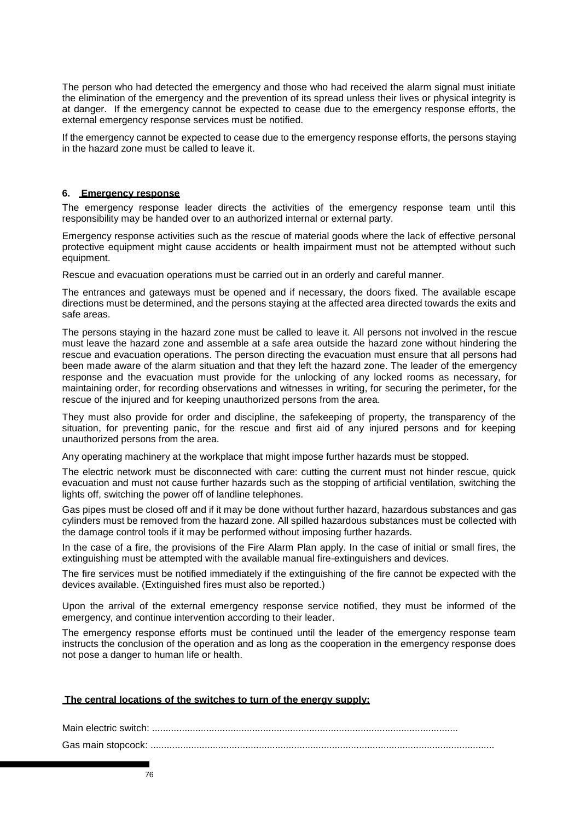The person who had detected the emergency and those who had received the alarm signal must initiate the elimination of the emergency and the prevention of its spread unless their lives or physical integrity is at danger. If the emergency cannot be expected to cease due to the emergency response efforts, the external emergency response services must be notified.

If the emergency cannot be expected to cease due to the emergency response efforts, the persons staying in the hazard zone must be called to leave it.

### **6. Emergency response**

The emergency response leader directs the activities of the emergency response team until this responsibility may be handed over to an authorized internal or external party.

Emergency response activities such as the rescue of material goods where the lack of effective personal protective equipment might cause accidents or health impairment must not be attempted without such equipment.

Rescue and evacuation operations must be carried out in an orderly and careful manner.

The entrances and gateways must be opened and if necessary, the doors fixed. The available escape directions must be determined, and the persons staying at the affected area directed towards the exits and safe areas.

The persons staying in the hazard zone must be called to leave it. All persons not involved in the rescue must leave the hazard zone and assemble at a safe area outside the hazard zone without hindering the rescue and evacuation operations. The person directing the evacuation must ensure that all persons had been made aware of the alarm situation and that they left the hazard zone. The leader of the emergency response and the evacuation must provide for the unlocking of any locked rooms as necessary, for maintaining order, for recording observations and witnesses in writing, for securing the perimeter, for the rescue of the injured and for keeping unauthorized persons from the area.

They must also provide for order and discipline, the safekeeping of property, the transparency of the situation, for preventing panic, for the rescue and first aid of any injured persons and for keeping unauthorized persons from the area.

Any operating machinery at the workplace that might impose further hazards must be stopped.

The electric network must be disconnected with care: cutting the current must not hinder rescue, quick evacuation and must not cause further hazards such as the stopping of artificial ventilation, switching the lights off, switching the power off of landline telephones.

Gas pipes must be closed off and if it may be done without further hazard, hazardous substances and gas cylinders must be removed from the hazard zone. All spilled hazardous substances must be collected with the damage control tools if it may be performed without imposing further hazards.

In the case of a fire, the provisions of the Fire Alarm Plan apply. In the case of initial or small fires, the extinguishing must be attempted with the available manual fire-extinguishers and devices.

The fire services must be notified immediately if the extinguishing of the fire cannot be expected with the devices available. (Extinguished fires must also be reported.)

Upon the arrival of the external emergency response service notified, they must be informed of the emergency, and continue intervention according to their leader.

The emergency response efforts must be continued until the leader of the emergency response team instructs the conclusion of the operation and as long as the cooperation in the emergency response does not pose a danger to human life or health.

#### **The central locations of the switches to turn of the energy supply:**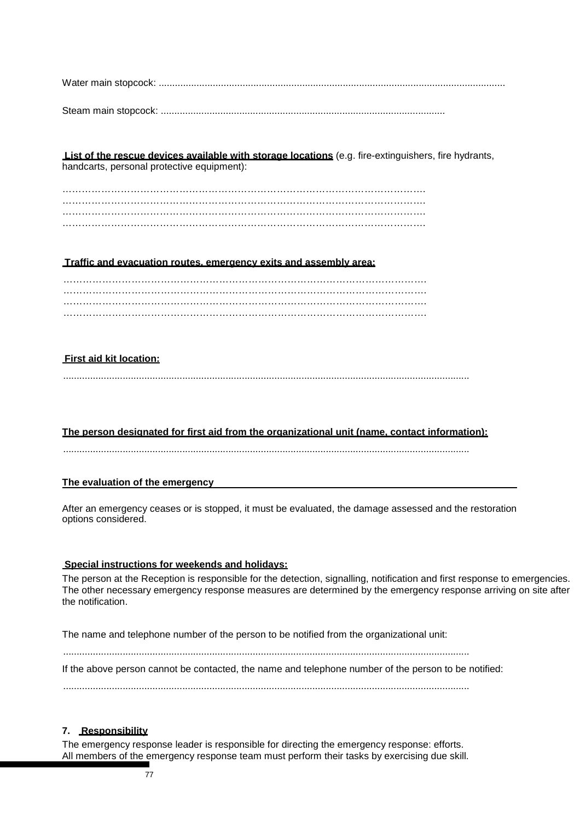Water main stopcock: ................................................................................................................................

Steam main stopcock: .........................................................................................................

**List of the rescue devices available with storage locations** (e.g. fire-extinguishers, fire hydrants, handcarts, personal protective equipment):

…………………………………………………………………………………………………. …………………………………………………………………………………………………. ………………………………………………………………………………………………….

## **Traffic and evacuation routes, emergency exits and assembly area:**

…………………………………………………………………………………………………. …………………………………………………………………………………………………. …………………………………………………………………………………………………. ………………………………………………………………………………………………….

# **First aid kit location:**

......................................................................................................................................................

# **The person designated for first aid from the organizational unit (name, contact information):**

......................................................................................................................................................

# **The evaluation of the emergency**

After an emergency ceases or is stopped, it must be evaluated, the damage assessed and the restoration options considered.

# **Special instructions for weekends and holidays:**

The person at the Reception is responsible for the detection, signalling, notification and first response to emergencies. The other necessary emergency response measures are determined by the emergency response arriving on site after the notification.

The name and telephone number of the person to be notified from the organizational unit:

......................................................................................................................................................

If the above person cannot be contacted, the name and telephone number of the person to be notified:

......................................................................................................................................................

# **7. Responsibility**

The emergency response leader is responsible for directing the emergency response: efforts. All members of the emergency response team must perform their tasks by exercising due skill.